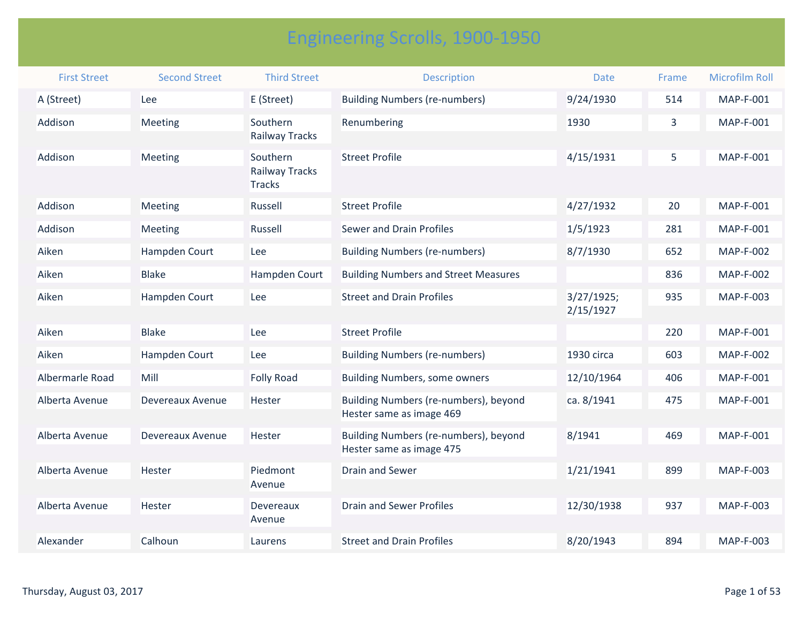## Engineering Scrolls, 1900-1950

| <b>First Street</b> | <b>Second Street</b> | <b>Third Street</b>                                | <b>Description</b>                                                | <b>Date</b>             | Frame | <b>Microfilm Roll</b> |
|---------------------|----------------------|----------------------------------------------------|-------------------------------------------------------------------|-------------------------|-------|-----------------------|
| A (Street)          | Lee                  | E (Street)                                         | <b>Building Numbers (re-numbers)</b>                              | 9/24/1930               | 514   | MAP-F-001             |
| Addison             | Meeting              | Southern<br>Railway Tracks                         | Renumbering                                                       | 1930                    | 3     | <b>MAP-F-001</b>      |
| Addison             | Meeting              | Southern<br><b>Railway Tracks</b><br><b>Tracks</b> | <b>Street Profile</b>                                             | 4/15/1931               | 5     | MAP-F-001             |
| Addison             | Meeting              | Russell                                            | <b>Street Profile</b>                                             | 4/27/1932               | 20    | MAP-F-001             |
| Addison             | Meeting              | Russell                                            | <b>Sewer and Drain Profiles</b>                                   | 1/5/1923                | 281   | MAP-F-001             |
| Aiken               | Hampden Court        | Lee                                                | <b>Building Numbers (re-numbers)</b>                              | 8/7/1930                | 652   | <b>MAP-F-002</b>      |
| Aiken               | <b>Blake</b>         | Hampden Court                                      | <b>Building Numbers and Street Measures</b>                       |                         | 836   | <b>MAP-F-002</b>      |
| Aiken               | Hampden Court        | Lee                                                | <b>Street and Drain Profiles</b>                                  | 3/27/1925;<br>2/15/1927 | 935   | MAP-F-003             |
| Aiken               | <b>Blake</b>         | Lee                                                | <b>Street Profile</b>                                             |                         | 220   | MAP-F-001             |
| Aiken               | Hampden Court        | Lee                                                | <b>Building Numbers (re-numbers)</b>                              | 1930 circa              | 603   | <b>MAP-F-002</b>      |
| Albermarle Road     | Mill                 | <b>Folly Road</b>                                  | <b>Building Numbers, some owners</b>                              | 12/10/1964              | 406   | MAP-F-001             |
| Alberta Avenue      | Devereaux Avenue     | Hester                                             | Building Numbers (re-numbers), beyond<br>Hester same as image 469 | ca. 8/1941              | 475   | MAP-F-001             |
| Alberta Avenue      | Devereaux Avenue     | <b>Hester</b>                                      | Building Numbers (re-numbers), beyond<br>Hester same as image 475 | 8/1941                  | 469   | MAP-F-001             |
| Alberta Avenue      | Hester               | Piedmont<br>Avenue                                 | <b>Drain and Sewer</b>                                            | 1/21/1941               | 899   | MAP-F-003             |
| Alberta Avenue      | Hester               | Devereaux<br>Avenue                                | <b>Drain and Sewer Profiles</b>                                   | 12/30/1938              | 937   | MAP-F-003             |
| Alexander           | Calhoun              | Laurens                                            | <b>Street and Drain Profiles</b>                                  | 8/20/1943               | 894   | MAP-F-003             |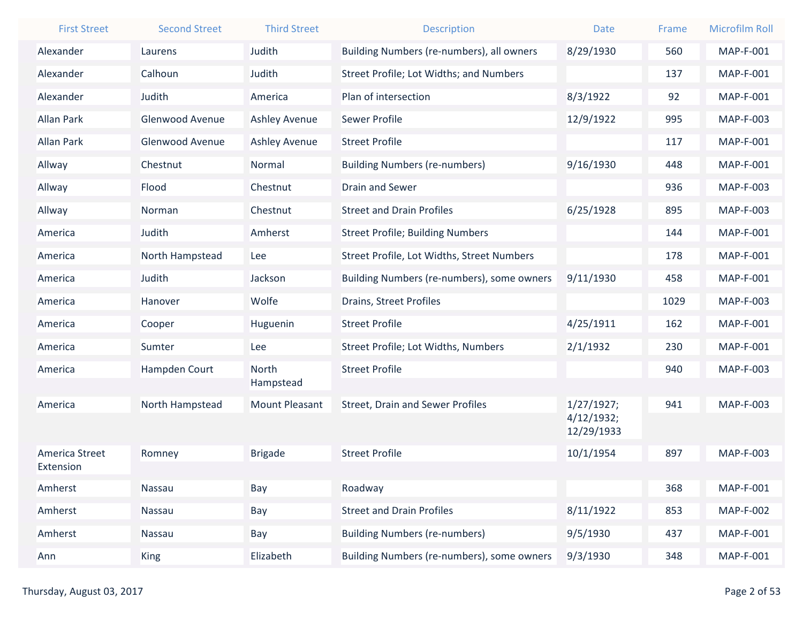| <b>First Street</b>         | <b>Second Street</b> | <b>Third Street</b>                | <b>Description</b>                         | <b>Date</b>                            | Frame | <b>Microfilm Roll</b> |
|-----------------------------|----------------------|------------------------------------|--------------------------------------------|----------------------------------------|-------|-----------------------|
| Alexander                   | Laurens              | Judith                             | Building Numbers (re-numbers), all owners  | 8/29/1930                              | 560   | <b>MAP-F-001</b>      |
| Alexander                   | Calhoun              | Judith                             | Street Profile; Lot Widths; and Numbers    |                                        | 137   | <b>MAP-F-001</b>      |
| Alexander                   | Judith               | America                            | Plan of intersection                       | 8/3/1922                               | 92    | <b>MAP-F-001</b>      |
| <b>Allan Park</b>           | Glenwood Avenue      | <b>Ashley Avenue</b>               | <b>Sewer Profile</b>                       | 12/9/1922                              | 995   | <b>MAP-F-003</b>      |
| <b>Allan Park</b>           | Glenwood Avenue      | <b>Ashley Avenue</b>               | <b>Street Profile</b>                      |                                        | 117   | <b>MAP-F-001</b>      |
| Allway                      | Chestnut             | Normal                             | <b>Building Numbers (re-numbers)</b>       | 9/16/1930                              | 448   | <b>MAP-F-001</b>      |
| Allway                      | Flood                | Chestnut                           | <b>Drain and Sewer</b>                     |                                        | 936   | <b>MAP-F-003</b>      |
| Allway                      | Norman               | Chestnut                           | <b>Street and Drain Profiles</b>           | 6/25/1928                              | 895   | <b>MAP-F-003</b>      |
| America                     | Judith               | Amherst                            | <b>Street Profile; Building Numbers</b>    |                                        | 144   | <b>MAP-F-001</b>      |
| America                     | North Hampstead      | Lee                                | Street Profile, Lot Widths, Street Numbers |                                        | 178   | <b>MAP-F-001</b>      |
| America                     | <b>Judith</b>        | Jackson                            | Building Numbers (re-numbers), some owners | 9/11/1930                              | 458   | <b>MAP-F-001</b>      |
| America                     | Hanover              | Wolfe                              | Drains, Street Profiles                    |                                        | 1029  | <b>MAP-F-003</b>      |
| America                     | Cooper               | Huguenin                           | <b>Street Profile</b>                      | 4/25/1911                              | 162   | <b>MAP-F-001</b>      |
| America                     | Sumter               | Lee                                | Street Profile; Lot Widths, Numbers        | 2/1/1932                               | 230   | <b>MAP-F-001</b>      |
| America                     | Hampden Court        | North                              | <b>Street Profile</b>                      |                                        | 940   | MAP-F-003             |
| America                     | North Hampstead      | Hampstead<br><b>Mount Pleasant</b> | <b>Street, Drain and Sewer Profiles</b>    | 1/27/1927;<br>4/12/1932;<br>12/29/1933 | 941   | <b>MAP-F-003</b>      |
| America Street<br>Extension | Romney               | <b>Brigade</b>                     | <b>Street Profile</b>                      | 10/1/1954                              | 897   | <b>MAP-F-003</b>      |
| Amherst                     | Nassau               | Bay                                | Roadway                                    |                                        | 368   | MAP-F-001             |
| Amherst                     | Nassau               | Bay                                | <b>Street and Drain Profiles</b>           | 8/11/1922                              | 853   | <b>MAP-F-002</b>      |
| Amherst                     | Nassau               | Bay                                | <b>Building Numbers (re-numbers)</b>       | 9/5/1930                               | 437   | MAP-F-001             |
| Ann                         | <b>King</b>          | Elizabeth                          | Building Numbers (re-numbers), some owners | 9/3/1930                               | 348   | MAP-F-001             |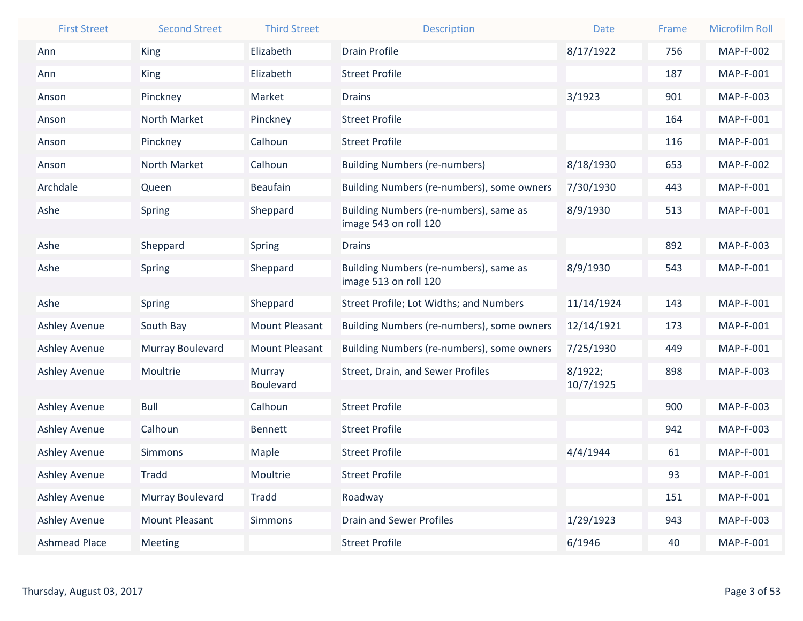| <b>First Street</b>  | <b>Second Street</b> | <b>Third Street</b>        | <b>Description</b>                                              | <b>Date</b>          | Frame | <b>Microfilm Roll</b> |
|----------------------|----------------------|----------------------------|-----------------------------------------------------------------|----------------------|-------|-----------------------|
| Ann                  | <b>King</b>          | Elizabeth                  | <b>Drain Profile</b>                                            | 8/17/1922            | 756   | <b>MAP-F-002</b>      |
| Ann                  | King                 | Elizabeth                  | <b>Street Profile</b>                                           |                      | 187   | <b>MAP-F-001</b>      |
| Anson                | Pinckney             | Market                     | <b>Drains</b>                                                   | 3/1923               | 901   | MAP-F-003             |
| Anson                | North Market         | Pinckney                   | <b>Street Profile</b>                                           |                      | 164   | <b>MAP-F-001</b>      |
| Anson                | Pinckney             | Calhoun                    | <b>Street Profile</b>                                           |                      | 116   | MAP-F-001             |
| Anson                | North Market         | Calhoun                    | <b>Building Numbers (re-numbers)</b>                            | 8/18/1930            | 653   | <b>MAP-F-002</b>      |
| Archdale             | Queen                | <b>Beaufain</b>            | Building Numbers (re-numbers), some owners                      | 7/30/1930            | 443   | MAP-F-001             |
| Ashe                 | Spring               | Sheppard                   | Building Numbers (re-numbers), same as<br>image 543 on roll 120 | 8/9/1930             | 513   | <b>MAP-F-001</b>      |
| Ashe                 | Sheppard             | <b>Spring</b>              | <b>Drains</b>                                                   |                      | 892   | MAP-F-003             |
| Ashe                 | Spring               | Sheppard                   | Building Numbers (re-numbers), same as<br>image 513 on roll 120 | 8/9/1930             | 543   | <b>MAP-F-001</b>      |
| Ashe                 | Spring               | Sheppard                   | Street Profile; Lot Widths; and Numbers                         | 11/14/1924           | 143   | <b>MAP-F-001</b>      |
| <b>Ashley Avenue</b> | South Bay            | <b>Mount Pleasant</b>      | Building Numbers (re-numbers), some owners                      | 12/14/1921           | 173   | <b>MAP-F-001</b>      |
| <b>Ashley Avenue</b> | Murray Boulevard     | <b>Mount Pleasant</b>      | Building Numbers (re-numbers), some owners                      | 7/25/1930            | 449   | <b>MAP-F-001</b>      |
| <b>Ashley Avenue</b> | Moultrie             | Murray<br><b>Boulevard</b> | Street, Drain, and Sewer Profiles                               | 8/1922;<br>10/7/1925 | 898   | MAP-F-003             |
| <b>Ashley Avenue</b> | <b>Bull</b>          | Calhoun                    | <b>Street Profile</b>                                           |                      | 900   | MAP-F-003             |
| <b>Ashley Avenue</b> | Calhoun              | <b>Bennett</b>             | <b>Street Profile</b>                                           |                      | 942   | MAP-F-003             |
| <b>Ashley Avenue</b> | <b>Simmons</b>       | Maple                      | <b>Street Profile</b>                                           | 4/4/1944             | 61    | <b>MAP-F-001</b>      |
| <b>Ashley Avenue</b> | <b>Tradd</b>         | Moultrie                   | <b>Street Profile</b>                                           |                      | 93    | MAP-F-001             |
| <b>Ashley Avenue</b> | Murray Boulevard     | <b>Tradd</b>               | Roadway                                                         |                      | 151   | MAP-F-001             |
| <b>Ashley Avenue</b> | Mount Pleasant       | Simmons                    | <b>Drain and Sewer Profiles</b>                                 | 1/29/1923            | 943   | MAP-F-003             |
| <b>Ashmead Place</b> | Meeting              |                            | <b>Street Profile</b>                                           | 6/1946               | 40    | MAP-F-001             |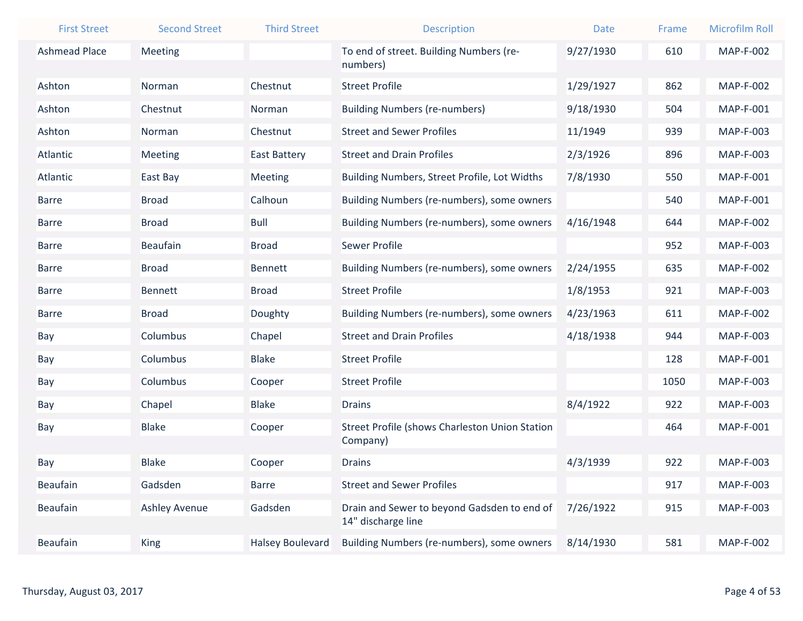| <b>First Street</b>  | <b>Second Street</b> | <b>Third Street</b>     | <b>Description</b>                                    | <b>Date</b> | Frame | <b>Microfilm Roll</b> |
|----------------------|----------------------|-------------------------|-------------------------------------------------------|-------------|-------|-----------------------|
| <b>Ashmead Place</b> | Meeting              |                         | To end of street. Building Numbers (re-               | 9/27/1930   | 610   | <b>MAP-F-002</b>      |
|                      |                      |                         | numbers)                                              |             |       |                       |
| Ashton               | Norman               | Chestnut                | <b>Street Profile</b>                                 | 1/29/1927   | 862   | <b>MAP-F-002</b>      |
| Ashton               | Chestnut             | Norman                  | <b>Building Numbers (re-numbers)</b>                  | 9/18/1930   | 504   | <b>MAP-F-001</b>      |
| Ashton               | Norman               | Chestnut                | <b>Street and Sewer Profiles</b>                      | 11/1949     | 939   | MAP-F-003             |
| Atlantic             | Meeting              | <b>East Battery</b>     | <b>Street and Drain Profiles</b>                      | 2/3/1926    | 896   | MAP-F-003             |
| Atlantic             | East Bay             | Meeting                 | Building Numbers, Street Profile, Lot Widths          | 7/8/1930    | 550   | <b>MAP-F-001</b>      |
| <b>Barre</b>         | <b>Broad</b>         | Calhoun                 | Building Numbers (re-numbers), some owners            |             | 540   | <b>MAP-F-001</b>      |
| <b>Barre</b>         | <b>Broad</b>         | <b>Bull</b>             | Building Numbers (re-numbers), some owners            | 4/16/1948   | 644   | <b>MAP-F-002</b>      |
| <b>Barre</b>         | <b>Beaufain</b>      | <b>Broad</b>            | <b>Sewer Profile</b>                                  |             | 952   | MAP-F-003             |
| <b>Barre</b>         | <b>Broad</b>         | <b>Bennett</b>          | Building Numbers (re-numbers), some owners            | 2/24/1955   | 635   | <b>MAP-F-002</b>      |
| <b>Barre</b>         | <b>Bennett</b>       | <b>Broad</b>            | <b>Street Profile</b>                                 | 1/8/1953    | 921   | MAP-F-003             |
| <b>Barre</b>         | <b>Broad</b>         | Doughty                 | Building Numbers (re-numbers), some owners            | 4/23/1963   | 611   | <b>MAP-F-002</b>      |
| Bay                  | Columbus             | Chapel                  | <b>Street and Drain Profiles</b>                      | 4/18/1938   | 944   | MAP-F-003             |
| Bay                  | Columbus             | <b>Blake</b>            | <b>Street Profile</b>                                 |             | 128   | MAP-F-001             |
| Bay                  | Columbus             | Cooper                  | <b>Street Profile</b>                                 |             | 1050  | MAP-F-003             |
| Bay                  | Chapel               | <b>Blake</b>            | <b>Drains</b>                                         | 8/4/1922    | 922   | MAP-F-003             |
| Bay                  | <b>Blake</b>         | Cooper                  | <b>Street Profile (shows Charleston Union Station</b> |             | 464   | <b>MAP-F-001</b>      |
|                      |                      |                         | Company)                                              |             |       |                       |
| Bay                  | <b>Blake</b>         | Cooper                  | <b>Drains</b>                                         | 4/3/1939    | 922   | <b>MAP-F-003</b>      |
| Beaufain             | Gadsden              | <b>Barre</b>            | <b>Street and Sewer Profiles</b>                      |             | 917   | MAP-F-003             |
| Beaufain             | <b>Ashley Avenue</b> | Gadsden                 | Drain and Sewer to beyond Gadsden to end of           | 7/26/1922   | 915   | MAP-F-003             |
|                      |                      |                         | 14" discharge line                                    |             |       |                       |
| Beaufain             | <b>King</b>          | <b>Halsey Boulevard</b> | Building Numbers (re-numbers), some owners            | 8/14/1930   | 581   | <b>MAP-F-002</b>      |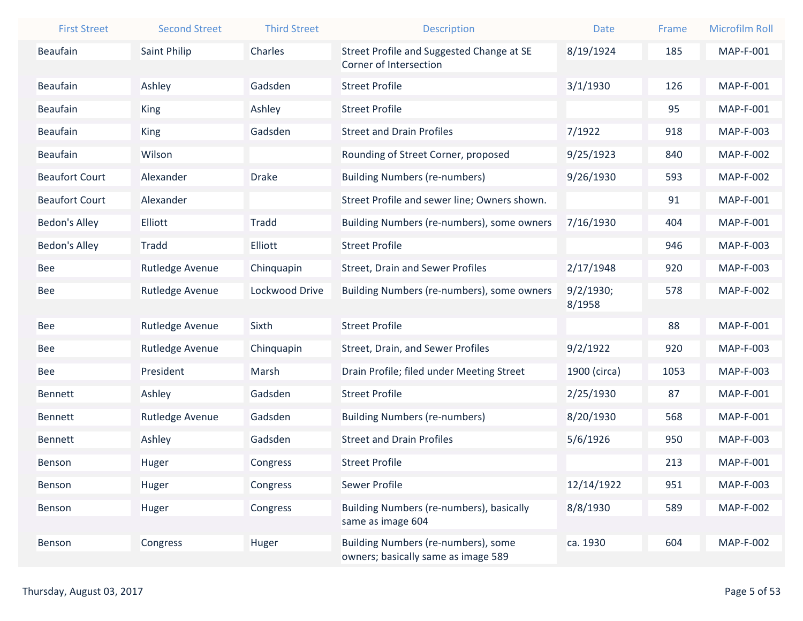| <b>First Street</b>   | <b>Second Street</b> | <b>Third Street</b> | <b>Description</b>                                                         | <b>Date</b>  | Frame | <b>Microfilm Roll</b> |
|-----------------------|----------------------|---------------------|----------------------------------------------------------------------------|--------------|-------|-----------------------|
| Beaufain              | Saint Philip         | Charles             | Street Profile and Suggested Change at SE<br>Corner of Intersection        | 8/19/1924    | 185   | <b>MAP-F-001</b>      |
| Beaufain              | Ashley               | Gadsden             | <b>Street Profile</b>                                                      | 3/1/1930     | 126   | MAP-F-001             |
| Beaufain              | <b>King</b>          | Ashley              | <b>Street Profile</b>                                                      |              | 95    | <b>MAP-F-001</b>      |
| Beaufain              | <b>King</b>          | Gadsden             | <b>Street and Drain Profiles</b>                                           | 7/1922       | 918   | MAP-F-003             |
| Beaufain              | Wilson               |                     | Rounding of Street Corner, proposed                                        | 9/25/1923    | 840   | <b>MAP-F-002</b>      |
| <b>Beaufort Court</b> | Alexander            | <b>Drake</b>        | <b>Building Numbers (re-numbers)</b>                                       | 9/26/1930    | 593   | <b>MAP-F-002</b>      |
| <b>Beaufort Court</b> | Alexander            |                     | Street Profile and sewer line; Owners shown.                               |              | 91    | <b>MAP-F-001</b>      |
| <b>Bedon's Alley</b>  | Elliott              | <b>Tradd</b>        | Building Numbers (re-numbers), some owners                                 | 7/16/1930    | 404   | <b>MAP-F-001</b>      |
| Bedon's Alley         | <b>Tradd</b>         | Elliott             | <b>Street Profile</b>                                                      |              | 946   | MAP-F-003             |
| <b>Bee</b>            | Rutledge Avenue      | Chinquapin          | <b>Street, Drain and Sewer Profiles</b>                                    | 2/17/1948    | 920   | MAP-F-003             |
| Bee                   | Rutledge Avenue      | Lockwood Drive      | Building Numbers (re-numbers), some owners                                 | 9/2/1930;    | 578   | <b>MAP-F-002</b>      |
|                       |                      |                     |                                                                            | 8/1958       |       |                       |
| <b>Bee</b>            | Rutledge Avenue      | Sixth               | <b>Street Profile</b>                                                      |              | 88    | <b>MAP-F-001</b>      |
| <b>Bee</b>            | Rutledge Avenue      | Chinquapin          | Street, Drain, and Sewer Profiles                                          | 9/2/1922     | 920   | MAP-F-003             |
| <b>Bee</b>            | President            | Marsh               | Drain Profile; filed under Meeting Street                                  | 1900 (circa) | 1053  | MAP-F-003             |
| Bennett               | Ashley               | Gadsden             | <b>Street Profile</b>                                                      | 2/25/1930    | 87    | <b>MAP-F-001</b>      |
| Bennett               | Rutledge Avenue      | Gadsden             | <b>Building Numbers (re-numbers)</b>                                       | 8/20/1930    | 568   | <b>MAP-F-001</b>      |
| <b>Bennett</b>        | Ashley               | Gadsden             | <b>Street and Drain Profiles</b>                                           | 5/6/1926     | 950   | MAP-F-003             |
| Benson                | Huger                | Congress            | <b>Street Profile</b>                                                      |              | 213   | <b>MAP-F-001</b>      |
| Benson                | Huger                | Congress            | Sewer Profile                                                              | 12/14/1922   | 951   | MAP-F-003             |
| Benson                | Huger                | Congress            | Building Numbers (re-numbers), basically<br>same as image 604              | 8/8/1930     | 589   | <b>MAP-F-002</b>      |
| Benson                | Congress             | Huger               | Building Numbers (re-numbers), some<br>owners; basically same as image 589 | ca. 1930     | 604   | <b>MAP-F-002</b>      |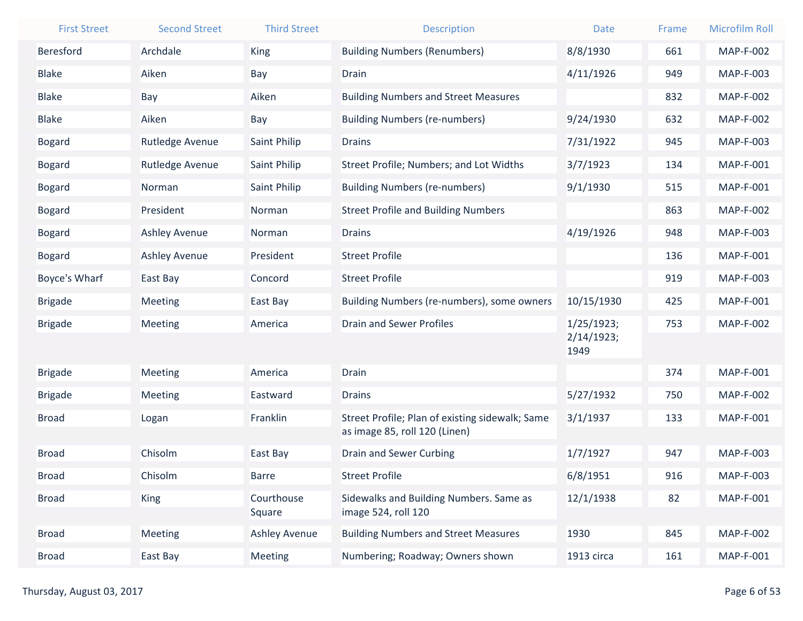| <b>First Street</b> | <b>Second Street</b> | <b>Third Street</b>  | <b>Description</b>                                             | <b>Date</b>        | Frame | <b>Microfilm Roll</b> |
|---------------------|----------------------|----------------------|----------------------------------------------------------------|--------------------|-------|-----------------------|
| Beresford           | Archdale             | King                 | <b>Building Numbers (Renumbers)</b>                            | 8/8/1930           | 661   | <b>MAP-F-002</b>      |
| <b>Blake</b>        | Aiken                | Bay                  | <b>Drain</b>                                                   | 4/11/1926          | 949   | MAP-F-003             |
| <b>Blake</b>        | Bay                  | Aiken                | <b>Building Numbers and Street Measures</b>                    |                    | 832   | <b>MAP-F-002</b>      |
| <b>Blake</b>        | Aiken                | Bay                  | <b>Building Numbers (re-numbers)</b>                           | 9/24/1930          | 632   | <b>MAP-F-002</b>      |
| <b>Bogard</b>       | Rutledge Avenue      | Saint Philip         | <b>Drains</b>                                                  | 7/31/1922          | 945   | <b>MAP-F-003</b>      |
| <b>Bogard</b>       | Rutledge Avenue      | Saint Philip         | Street Profile; Numbers; and Lot Widths                        | 3/7/1923           | 134   | <b>MAP-F-001</b>      |
| <b>Bogard</b>       | Norman               | Saint Philip         | <b>Building Numbers (re-numbers)</b>                           | 9/1/1930           | 515   | MAP-F-001             |
| <b>Bogard</b>       | President            | Norman               | <b>Street Profile and Building Numbers</b>                     |                    | 863   | <b>MAP-F-002</b>      |
| <b>Bogard</b>       | <b>Ashley Avenue</b> | Norman               | <b>Drains</b>                                                  | 4/19/1926          | 948   | MAP-F-003             |
| <b>Bogard</b>       | <b>Ashley Avenue</b> | President            | <b>Street Profile</b>                                          |                    | 136   | <b>MAP-F-001</b>      |
| Boyce's Wharf       | East Bay             | Concord              | <b>Street Profile</b>                                          |                    | 919   | MAP-F-003             |
| <b>Brigade</b>      | Meeting              | East Bay             | Building Numbers (re-numbers), some owners                     | 10/15/1930         | 425   | <b>MAP-F-001</b>      |
| <b>Brigade</b>      | Meeting              | America              | <b>Drain and Sewer Profiles</b>                                | 1/25/1923;         | 753   | <b>MAP-F-002</b>      |
|                     |                      |                      |                                                                | 2/14/1923;<br>1949 |       |                       |
| <b>Brigade</b>      | Meeting              | America              | <b>Drain</b>                                                   |                    | 374   | <b>MAP-F-001</b>      |
| <b>Brigade</b>      | Meeting              | Eastward             | <b>Drains</b>                                                  | 5/27/1932          | 750   | <b>MAP-F-002</b>      |
| <b>Broad</b>        | Logan                | Franklin             | Street Profile; Plan of existing sidewalk; Same                | 3/1/1937           | 133   | <b>MAP-F-001</b>      |
|                     |                      |                      | as image 85, roll 120 (Linen)                                  |                    |       |                       |
| <b>Broad</b>        | Chisolm              | East Bay             | Drain and Sewer Curbing                                        | 1/7/1927           | 947   | MAP-F-003             |
| <b>Broad</b>        | Chisolm              | <b>Barre</b>         | <b>Street Profile</b>                                          | 6/8/1951           | 916   | MAP-F-003             |
| <b>Broad</b>        | <b>King</b>          | Courthouse<br>Square | Sidewalks and Building Numbers. Same as<br>image 524, roll 120 | 12/1/1938          | 82    | <b>MAP-F-001</b>      |
| <b>Broad</b>        | Meeting              | <b>Ashley Avenue</b> | <b>Building Numbers and Street Measures</b>                    | 1930               | 845   | <b>MAP-F-002</b>      |
| <b>Broad</b>        | East Bay             | Meeting              | Numbering; Roadway; Owners shown                               | 1913 circa         | 161   | MAP-F-001             |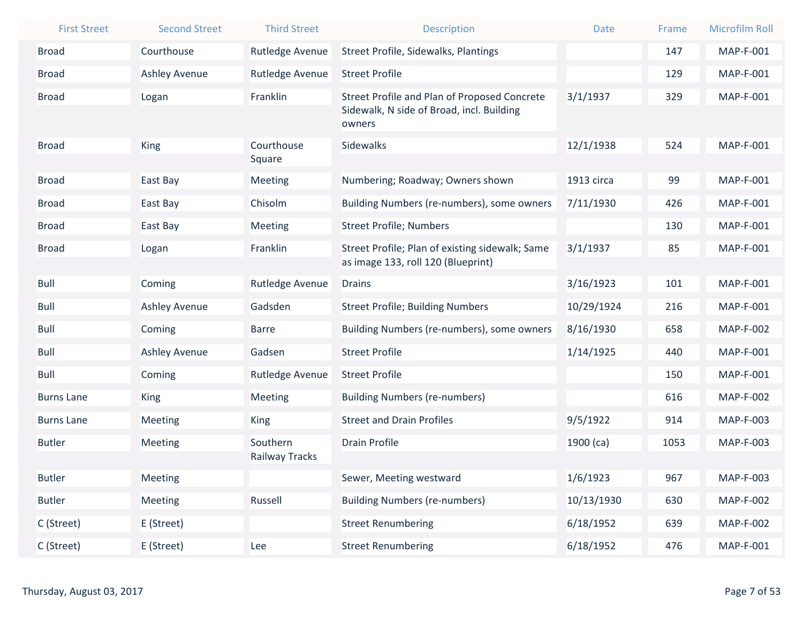| <b>First Street</b> | <b>Second Street</b> | <b>Third Street</b> | <b>Description</b>                                  | <b>Date</b> | Frame | <b>Microfilm Roll</b> |
|---------------------|----------------------|---------------------|-----------------------------------------------------|-------------|-------|-----------------------|
| <b>Broad</b>        | Courthouse           | Rutledge Avenue     | Street Profile, Sidewalks, Plantings                |             | 147   | MAP-F-001             |
| <b>Broad</b>        | <b>Ashley Avenue</b> | Rutledge Avenue     | <b>Street Profile</b>                               |             | 129   | <b>MAP-F-001</b>      |
| <b>Broad</b>        | Logan                | Franklin            | Street Profile and Plan of Proposed Concrete        | 3/1/1937    | 329   | MAP-F-001             |
|                     |                      |                     | Sidewalk, N side of Broad, incl. Building<br>owners |             |       |                       |
| <b>Broad</b>        | King                 | Courthouse          | Sidewalks                                           | 12/1/1938   | 524   | MAP-F-001             |
|                     |                      | Square              |                                                     |             |       |                       |
| <b>Broad</b>        | East Bay             | Meeting             | Numbering; Roadway; Owners shown                    | 1913 circa  | 99    | MAP-F-001             |
| <b>Broad</b>        | East Bay             | Chisolm             | Building Numbers (re-numbers), some owners          | 7/11/1930   | 426   | MAP-F-001             |
| <b>Broad</b>        | East Bay             | Meeting             | <b>Street Profile; Numbers</b>                      |             | 130   | MAP-F-001             |
| <b>Broad</b>        | Logan                | Franklin            | Street Profile; Plan of existing sidewalk; Same     | 3/1/1937    | 85    | MAP-F-001             |
|                     |                      |                     | as image 133, roll 120 (Blueprint)                  |             |       |                       |
| <b>Bull</b>         | Coming               | Rutledge Avenue     | <b>Drains</b>                                       | 3/16/1923   | 101   | MAP-F-001             |
| Bull                | <b>Ashley Avenue</b> | Gadsden             | <b>Street Profile; Building Numbers</b>             | 10/29/1924  | 216   | MAP-F-001             |
| Bull                | Coming               | <b>Barre</b>        | Building Numbers (re-numbers), some owners          | 8/16/1930   | 658   | <b>MAP-F-002</b>      |
| <b>Bull</b>         | Ashley Avenue        | Gadsen              | <b>Street Profile</b>                               | 1/14/1925   | 440   | MAP-F-001             |
| <b>Bull</b>         | Coming               | Rutledge Avenue     | <b>Street Profile</b>                               |             | 150   | MAP-F-001             |
| <b>Burns Lane</b>   | <b>King</b>          | Meeting             | <b>Building Numbers (re-numbers)</b>                |             | 616   | <b>MAP-F-002</b>      |
| <b>Burns Lane</b>   | Meeting              | <b>King</b>         | <b>Street and Drain Profiles</b>                    | 9/5/1922    | 914   | MAP-F-003             |
| <b>Butler</b>       | Meeting              | Southern            | <b>Drain Profile</b>                                | $1900$ (ca) | 1053  | MAP-F-003             |
|                     |                      | Railway Tracks      |                                                     |             |       |                       |
| <b>Butler</b>       | <b>Meeting</b>       |                     | Sewer, Meeting westward                             | 1/6/1923    | 967   | MAP-F-003             |
| <b>Butler</b>       | Meeting              | Russell             | <b>Building Numbers (re-numbers)</b>                | 10/13/1930  | 630   | <b>MAP-F-002</b>      |
| C (Street)          | E (Street)           |                     | <b>Street Renumbering</b>                           | 6/18/1952   | 639   | <b>MAP-F-002</b>      |
| C (Street)          | E (Street)           | Lee                 | <b>Street Renumbering</b>                           | 6/18/1952   | 476   | MAP-F-001             |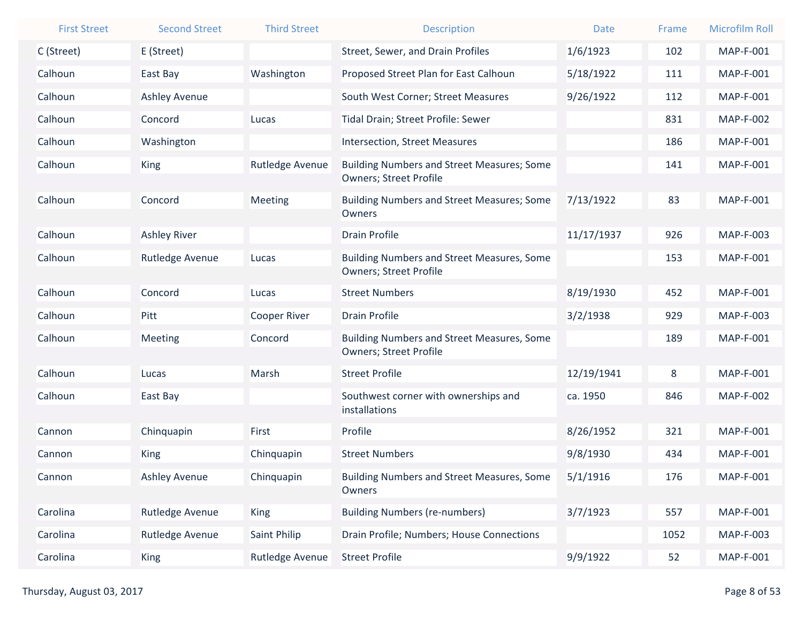| <b>First Street</b> | <b>Second Street</b> | <b>Third Street</b> | <b>Description</b>                                                                 | <b>Date</b> | Frame | <b>Microfilm Roll</b> |
|---------------------|----------------------|---------------------|------------------------------------------------------------------------------------|-------------|-------|-----------------------|
| C (Street)          | E (Street)           |                     | Street, Sewer, and Drain Profiles                                                  | 1/6/1923    | 102   | MAP-F-001             |
| Calhoun             | East Bay             | Washington          | Proposed Street Plan for East Calhoun                                              | 5/18/1922   | 111   | MAP-F-001             |
| Calhoun             | <b>Ashley Avenue</b> |                     | South West Corner; Street Measures                                                 | 9/26/1922   | 112   | MAP-F-001             |
| Calhoun             | Concord              | Lucas               | Tidal Drain; Street Profile: Sewer                                                 |             | 831   | <b>MAP-F-002</b>      |
| Calhoun             | Washington           |                     | <b>Intersection, Street Measures</b>                                               |             | 186   | <b>MAP-F-001</b>      |
| Calhoun             | <b>King</b>          | Rutledge Avenue     | <b>Building Numbers and Street Measures; Some</b><br><b>Owners; Street Profile</b> |             | 141   | MAP-F-001             |
| Calhoun             | Concord              | Meeting             | <b>Building Numbers and Street Measures; Some</b><br>Owners                        | 7/13/1922   | 83    | MAP-F-001             |
| Calhoun             | <b>Ashley River</b>  |                     | <b>Drain Profile</b>                                                               | 11/17/1937  | 926   | <b>MAP-F-003</b>      |
| Calhoun             | Rutledge Avenue      | Lucas               | <b>Building Numbers and Street Measures, Some</b><br><b>Owners; Street Profile</b> |             | 153   | <b>MAP-F-001</b>      |
| Calhoun             | Concord              | Lucas               | <b>Street Numbers</b>                                                              | 8/19/1930   | 452   | MAP-F-001             |
| Calhoun             | Pitt                 | Cooper River        | <b>Drain Profile</b>                                                               | 3/2/1938    | 929   | MAP-F-003             |
| Calhoun             | Meeting              | Concord             | <b>Building Numbers and Street Measures, Some</b><br><b>Owners; Street Profile</b> |             | 189   | MAP-F-001             |
| Calhoun             | Lucas                | Marsh               | <b>Street Profile</b>                                                              | 12/19/1941  | 8     | <b>MAP-F-001</b>      |
| Calhoun             | East Bay             |                     | Southwest corner with ownerships and                                               | ca. 1950    | 846   | <b>MAP-F-002</b>      |
|                     |                      |                     | installations                                                                      |             |       |                       |
| Cannon              | Chinquapin           | First               | Profile                                                                            | 8/26/1952   | 321   | MAP-F-001             |
| Cannon              | <b>King</b>          | Chinquapin          | <b>Street Numbers</b>                                                              | 9/8/1930    | 434   | <b>MAP-F-001</b>      |
| Cannon              | <b>Ashley Avenue</b> | Chinquapin          | <b>Building Numbers and Street Measures, Some</b><br>Owners                        | 5/1/1916    | 176   | MAP-F-001             |
| Carolina            | Rutledge Avenue      | King                | <b>Building Numbers (re-numbers)</b>                                               | 3/7/1923    | 557   | MAP-F-001             |
| Carolina            | Rutledge Avenue      | Saint Philip        | Drain Profile; Numbers; House Connections                                          |             | 1052  | MAP-F-003             |
| Carolina            | <b>King</b>          | Rutledge Avenue     | <b>Street Profile</b>                                                              | 9/9/1922    | 52    | MAP-F-001             |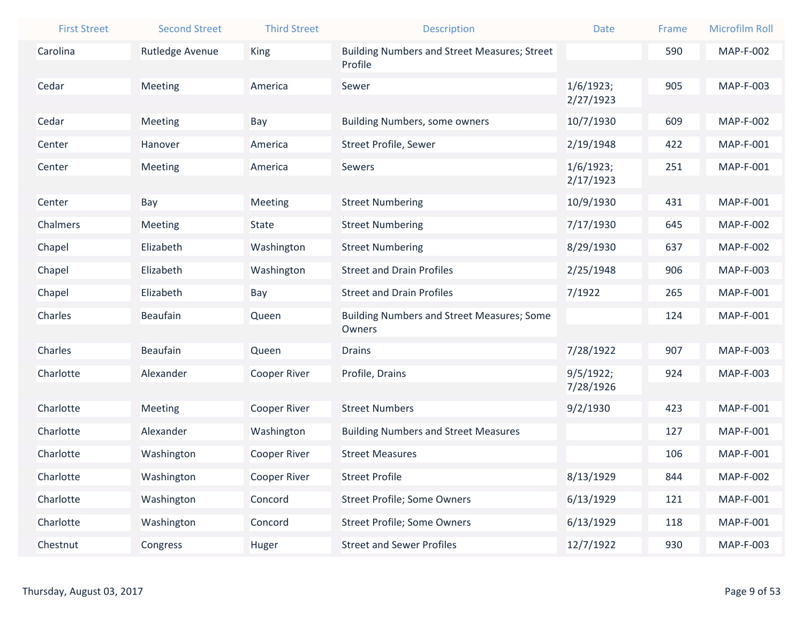| <b>First Street</b> | <b>Second Street</b> | <b>Third Street</b> | <b>Description</b>                                             | <b>Date</b>            | Frame | <b>Microfilm Roll</b> |
|---------------------|----------------------|---------------------|----------------------------------------------------------------|------------------------|-------|-----------------------|
| Carolina            | Rutledge Avenue      | King                | <b>Building Numbers and Street Measures; Street</b><br>Profile |                        | 590   | <b>MAP-F-002</b>      |
| Cedar               | Meeting              | America             | Sewer                                                          | 1/6/1923;<br>2/27/1923 | 905   | MAP-F-003             |
| Cedar               | Meeting              | Bay                 | <b>Building Numbers, some owners</b>                           | 10/7/1930              | 609   | <b>MAP-F-002</b>      |
| Center              | Hanover              | America             | Street Profile, Sewer                                          | 2/19/1948              | 422   | MAP-F-001             |
| Center              | Meeting              | America             | Sewers                                                         | 1/6/1923;<br>2/17/1923 | 251   | MAP-F-001             |
| Center              | Bay                  | Meeting             | <b>Street Numbering</b>                                        | 10/9/1930              | 431   | MAP-F-001             |
| Chalmers            | Meeting              | <b>State</b>        | <b>Street Numbering</b>                                        | 7/17/1930              | 645   | <b>MAP-F-002</b>      |
| Chapel              | Elizabeth            | Washington          | <b>Street Numbering</b>                                        | 8/29/1930              | 637   | <b>MAP-F-002</b>      |
| Chapel              | Elizabeth            | Washington          | <b>Street and Drain Profiles</b>                               | 2/25/1948              | 906   | <b>MAP-F-003</b>      |
| Chapel              | Elizabeth            | Bay                 | <b>Street and Drain Profiles</b>                               | 7/1922                 | 265   | MAP-F-001             |
| Charles             | <b>Beaufain</b>      | Queen               | <b>Building Numbers and Street Measures; Some</b><br>Owners    |                        | 124   | MAP-F-001             |
| Charles             | <b>Beaufain</b>      | Queen               | <b>Drains</b>                                                  | 7/28/1922              | 907   | <b>MAP-F-003</b>      |
| Charlotte           | Alexander            | <b>Cooper River</b> | Profile, Drains                                                | 9/5/1922;              | 924   | MAP-F-003             |
|                     |                      |                     |                                                                | 7/28/1926              |       |                       |
| Charlotte           | Meeting              | <b>Cooper River</b> | <b>Street Numbers</b>                                          | 9/2/1930               | 423   | MAP-F-001             |
| Charlotte           | Alexander            | Washington          | <b>Building Numbers and Street Measures</b>                    |                        | 127   | MAP-F-001             |
| Charlotte           | Washington           | Cooper River        | <b>Street Measures</b>                                         |                        | 106   | MAP-F-001             |
| Charlotte           | Washington           | Cooper River        | <b>Street Profile</b>                                          | 8/13/1929              | 844   | <b>MAP-F-002</b>      |
| Charlotte           | Washington           | Concord             | <b>Street Profile; Some Owners</b>                             | 6/13/1929              | 121   | MAP-F-001             |
| Charlotte           | Washington           | Concord             | <b>Street Profile; Some Owners</b>                             | 6/13/1929              | 118   | MAP-F-001             |
| Chestnut            | Congress             | Huger               | <b>Street and Sewer Profiles</b>                               | 12/7/1922              | 930   | MAP-F-003             |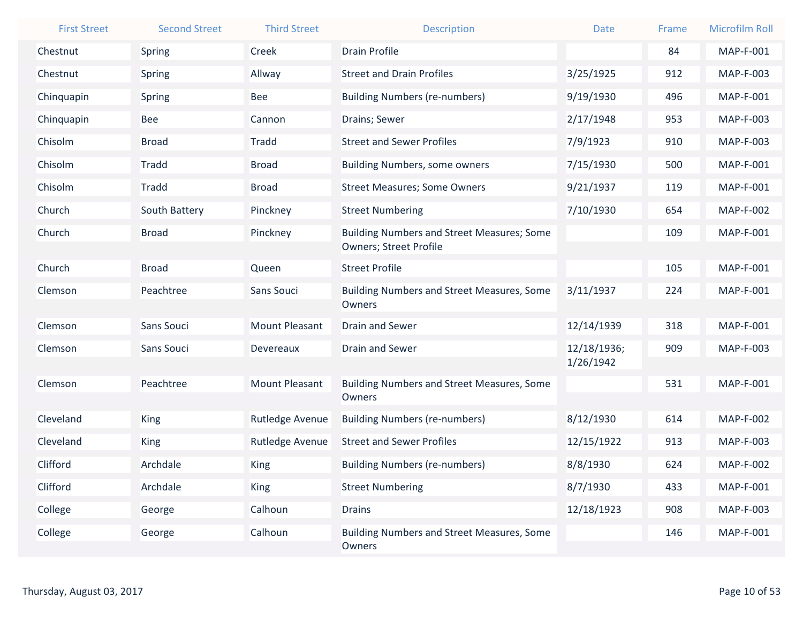| <b>First Street</b> | <b>Second Street</b> | <b>Third Street</b>   | <b>Description</b>                                                                 | <b>Date</b>              | Frame | <b>Microfilm Roll</b> |
|---------------------|----------------------|-----------------------|------------------------------------------------------------------------------------|--------------------------|-------|-----------------------|
| Chestnut            | Spring               | Creek                 | <b>Drain Profile</b>                                                               |                          | 84    | <b>MAP-F-001</b>      |
| Chestnut            | Spring               | Allway                | <b>Street and Drain Profiles</b>                                                   | 3/25/1925                | 912   | MAP-F-003             |
| Chinquapin          | Spring               | <b>Bee</b>            | <b>Building Numbers (re-numbers)</b>                                               | 9/19/1930                | 496   | <b>MAP-F-001</b>      |
| Chinquapin          | <b>Bee</b>           | Cannon                | Drains; Sewer                                                                      | 2/17/1948                | 953   | <b>MAP-F-003</b>      |
| Chisolm             | <b>Broad</b>         | <b>Tradd</b>          | <b>Street and Sewer Profiles</b>                                                   | 7/9/1923                 | 910   | <b>MAP-F-003</b>      |
| Chisolm             | Tradd                | <b>Broad</b>          | <b>Building Numbers, some owners</b>                                               | 7/15/1930                | 500   | <b>MAP-F-001</b>      |
| Chisolm             | Tradd                | <b>Broad</b>          | <b>Street Measures; Some Owners</b>                                                | 9/21/1937                | 119   | <b>MAP-F-001</b>      |
| Church              | South Battery        | Pinckney              | <b>Street Numbering</b>                                                            | 7/10/1930                | 654   | <b>MAP-F-002</b>      |
| Church              | <b>Broad</b>         | Pinckney              | <b>Building Numbers and Street Measures; Some</b><br><b>Owners; Street Profile</b> |                          | 109   | <b>MAP-F-001</b>      |
| Church              | <b>Broad</b>         | Queen                 | <b>Street Profile</b>                                                              |                          | 105   | <b>MAP-F-001</b>      |
| Clemson             | Peachtree            | Sans Souci            | <b>Building Numbers and Street Measures, Some</b><br>Owners                        | 3/11/1937                | 224   | <b>MAP-F-001</b>      |
| Clemson             | <b>Sans Souci</b>    | <b>Mount Pleasant</b> | <b>Drain and Sewer</b>                                                             | 12/14/1939               | 318   | <b>MAP-F-001</b>      |
| Clemson             | Sans Souci           | Devereaux             | <b>Drain and Sewer</b>                                                             | 12/18/1936;<br>1/26/1942 | 909   | <b>MAP-F-003</b>      |
| Clemson             | Peachtree            | <b>Mount Pleasant</b> | <b>Building Numbers and Street Measures, Some</b><br>Owners                        |                          | 531   | <b>MAP-F-001</b>      |
| Cleveland           | <b>King</b>          | Rutledge Avenue       | <b>Building Numbers (re-numbers)</b>                                               | 8/12/1930                | 614   | <b>MAP-F-002</b>      |
| Cleveland           | <b>King</b>          | Rutledge Avenue       | <b>Street and Sewer Profiles</b>                                                   | 12/15/1922               | 913   | <b>MAP-F-003</b>      |
| Clifford            | Archdale             | <b>King</b>           | <b>Building Numbers (re-numbers)</b>                                               | 8/8/1930                 | 624   | <b>MAP-F-002</b>      |
| Clifford            | Archdale             | <b>King</b>           | <b>Street Numbering</b>                                                            | 8/7/1930                 | 433   | MAP-F-001             |
| College             | George               | Calhoun               | <b>Drains</b>                                                                      | 12/18/1923               | 908   | MAP-F-003             |
| College             | George               | Calhoun               | <b>Building Numbers and Street Measures, Some</b><br>Owners                        |                          | 146   | MAP-F-001             |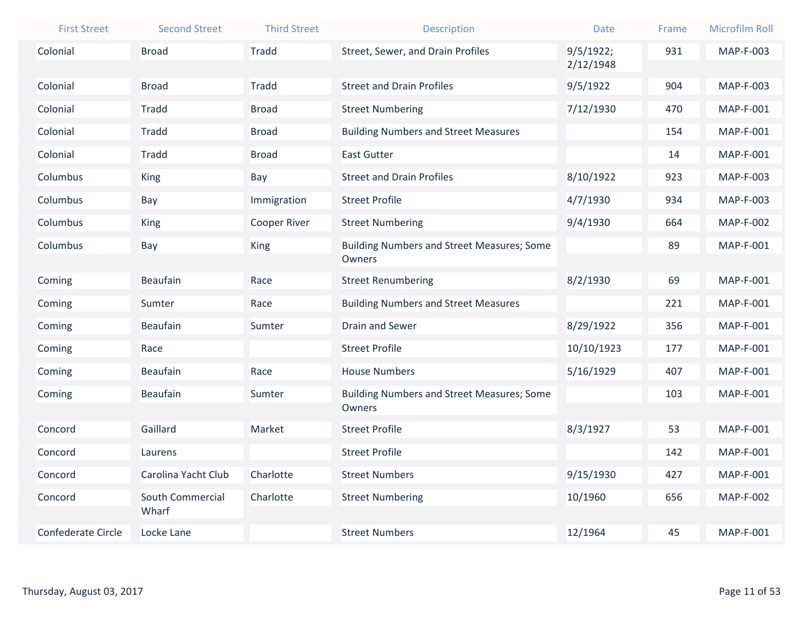| <b>First Street</b>       | <b>Second Street</b> | <b>Third Street</b> | <b>Description</b>                                          | <b>Date</b> | Frame | <b>Microfilm Roll</b> |
|---------------------------|----------------------|---------------------|-------------------------------------------------------------|-------------|-------|-----------------------|
| Colonial                  | <b>Broad</b>         | <b>Tradd</b>        | Street, Sewer, and Drain Profiles                           | 9/5/1922;   | 931   | <b>MAP-F-003</b>      |
|                           |                      |                     |                                                             | 2/12/1948   |       |                       |
| Colonial                  | <b>Broad</b>         | <b>Tradd</b>        | <b>Street and Drain Profiles</b>                            | 9/5/1922    | 904   | <b>MAP-F-003</b>      |
| Colonial                  | <b>Tradd</b>         | <b>Broad</b>        | <b>Street Numbering</b>                                     | 7/12/1930   | 470   | MAP-F-001             |
| Colonial                  | Tradd                | <b>Broad</b>        | <b>Building Numbers and Street Measures</b>                 |             | 154   | <b>MAP-F-001</b>      |
| Colonial                  | Tradd                | <b>Broad</b>        | <b>East Gutter</b>                                          |             | 14    | MAP-F-001             |
| Columbus                  | King                 | Bay                 | <b>Street and Drain Profiles</b>                            | 8/10/1922   | 923   | <b>MAP-F-003</b>      |
| Columbus                  | Bay                  | Immigration         | <b>Street Profile</b>                                       | 4/7/1930    | 934   | MAP-F-003             |
| Columbus                  | King                 | <b>Cooper River</b> | <b>Street Numbering</b>                                     | 9/4/1930    | 664   | <b>MAP-F-002</b>      |
| Columbus                  | Bay                  | <b>King</b>         | <b>Building Numbers and Street Measures; Some</b>           |             | 89    | MAP-F-001             |
|                           |                      |                     | Owners                                                      |             |       |                       |
| Coming                    | <b>Beaufain</b>      | Race                | <b>Street Renumbering</b>                                   | 8/2/1930    | 69    | MAP-F-001             |
| Coming                    | Sumter               | Race                | <b>Building Numbers and Street Measures</b>                 |             | 221   | MAP-F-001             |
| Coming                    | <b>Beaufain</b>      | Sumter              | <b>Drain and Sewer</b>                                      | 8/29/1922   | 356   | MAP-F-001             |
| Coming                    | Race                 |                     | <b>Street Profile</b>                                       | 10/10/1923  | 177   | MAP-F-001             |
| Coming                    | <b>Beaufain</b>      | Race                | <b>House Numbers</b>                                        | 5/16/1929   | 407   | MAP-F-001             |
| Coming                    | Beaufain             | Sumter              | <b>Building Numbers and Street Measures; Some</b><br>Owners |             | 103   | MAP-F-001             |
| Concord                   | Gaillard             | Market              | <b>Street Profile</b>                                       | 8/3/1927    | 53    | <b>MAP-F-001</b>      |
| Concord                   | Laurens              |                     | <b>Street Profile</b>                                       |             | 142   | MAP-F-001             |
| Concord                   | Carolina Yacht Club  | Charlotte           | <b>Street Numbers</b>                                       | 9/15/1930   | 427   | MAP-F-001             |
| Concord                   | South Commercial     | Charlotte           | <b>Street Numbering</b>                                     | 10/1960     | 656   | <b>MAP-F-002</b>      |
|                           | Wharf                |                     |                                                             |             |       |                       |
| <b>Confederate Circle</b> | Locke Lane           |                     | <b>Street Numbers</b>                                       | 12/1964     | 45    | <b>MAP-F-001</b>      |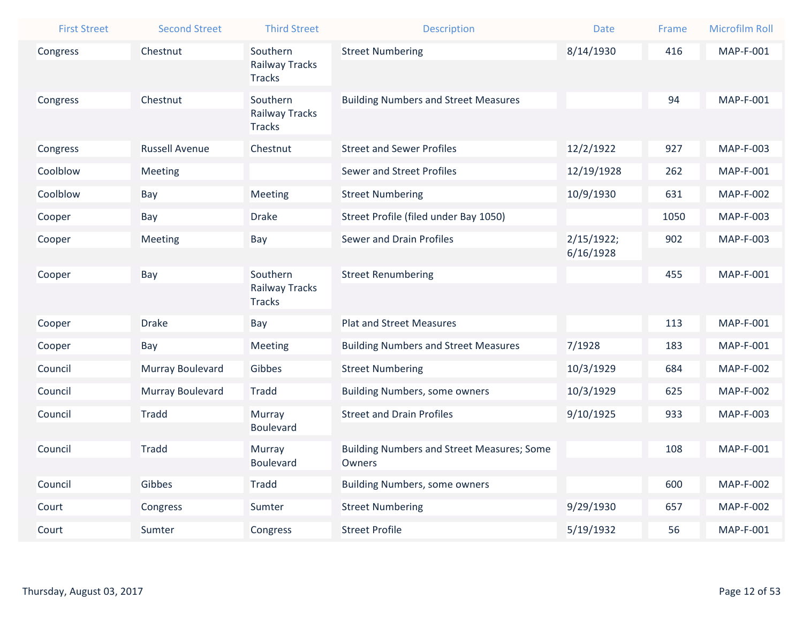| <b>First Street</b> | <b>Second Street</b>  | <b>Third Street</b>                    | Description                                                 | <b>Date</b> | Frame | <b>Microfilm Roll</b> |
|---------------------|-----------------------|----------------------------------------|-------------------------------------------------------------|-------------|-------|-----------------------|
| Congress            | Chestnut              | Southern                               | <b>Street Numbering</b>                                     | 8/14/1930   | 416   | <b>MAP-F-001</b>      |
|                     |                       | Railway Tracks<br><b>Tracks</b>        |                                                             |             |       |                       |
| Congress            | Chestnut              | Southern                               | <b>Building Numbers and Street Measures</b>                 |             | 94    | <b>MAP-F-001</b>      |
|                     |                       | <b>Railway Tracks</b><br><b>Tracks</b> |                                                             |             |       |                       |
| Congress            | <b>Russell Avenue</b> | Chestnut                               | <b>Street and Sewer Profiles</b>                            | 12/2/1922   | 927   | <b>MAP-F-003</b>      |
| Coolblow            | Meeting               |                                        | <b>Sewer and Street Profiles</b>                            | 12/19/1928  | 262   | MAP-F-001             |
| Coolblow            | Bay                   | Meeting                                | <b>Street Numbering</b>                                     | 10/9/1930   | 631   | <b>MAP-F-002</b>      |
| Cooper              | Bay                   | <b>Drake</b>                           | Street Profile (filed under Bay 1050)                       |             | 1050  | <b>MAP-F-003</b>      |
| Cooper              | Meeting               | Bay                                    | <b>Sewer and Drain Profiles</b>                             | 2/15/1922;  | 902   | MAP-F-003             |
|                     |                       |                                        |                                                             | 6/16/1928   |       |                       |
| Cooper              | Bay                   | Southern<br>Railway Tracks             | <b>Street Renumbering</b>                                   |             | 455   | MAP-F-001             |
|                     |                       | <b>Tracks</b>                          |                                                             |             |       |                       |
| Cooper              | <b>Drake</b>          | Bay                                    | <b>Plat and Street Measures</b>                             |             | 113   | MAP-F-001             |
| Cooper              | Bay                   | Meeting                                | <b>Building Numbers and Street Measures</b>                 | 7/1928      | 183   | <b>MAP-F-001</b>      |
| Council             | Murray Boulevard      | Gibbes                                 | <b>Street Numbering</b>                                     | 10/3/1929   | 684   | <b>MAP-F-002</b>      |
| Council             | Murray Boulevard      | <b>Tradd</b>                           | <b>Building Numbers, some owners</b>                        | 10/3/1929   | 625   | <b>MAP-F-002</b>      |
| Council             | <b>Tradd</b>          | Murray                                 | <b>Street and Drain Profiles</b>                            | 9/10/1925   | 933   | MAP-F-003             |
|                     |                       | <b>Boulevard</b>                       |                                                             |             |       |                       |
| Council             | <b>Tradd</b>          | Murray<br><b>Boulevard</b>             | <b>Building Numbers and Street Measures; Some</b><br>Owners |             | 108   | MAP-F-001             |
| Council             | Gibbes                | <b>Tradd</b>                           | <b>Building Numbers, some owners</b>                        |             | 600   | <b>MAP-F-002</b>      |
| Court               | Congress              | Sumter                                 | <b>Street Numbering</b>                                     | 9/29/1930   | 657   | <b>MAP-F-002</b>      |
|                     |                       |                                        |                                                             |             |       |                       |
| Court               | Sumter                | Congress                               | <b>Street Profile</b>                                       | 5/19/1932   | 56    | MAP-F-001             |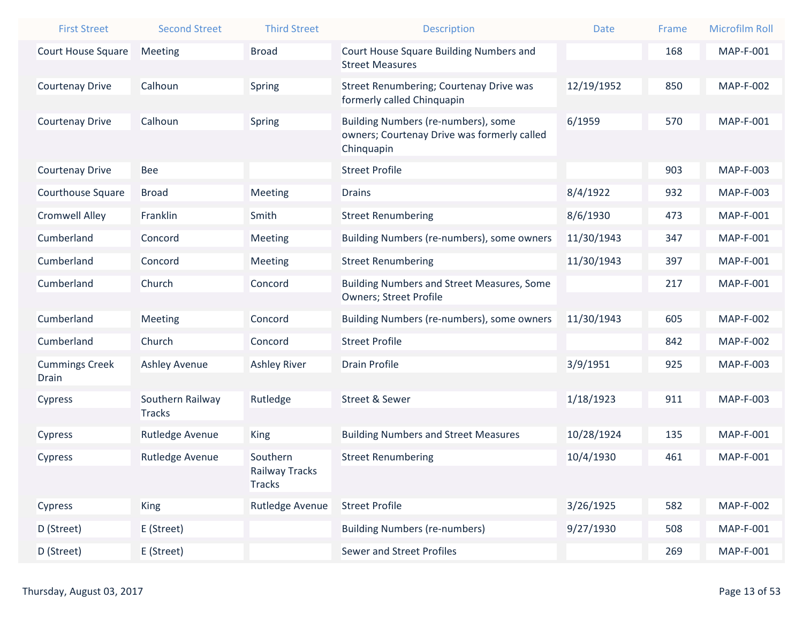| <b>First Street</b>            | <b>Second Street</b>   | <b>Third Street</b>                         | <b>Description</b>                                                                               | Date       | Frame | <b>Microfilm Roll</b> |
|--------------------------------|------------------------|---------------------------------------------|--------------------------------------------------------------------------------------------------|------------|-------|-----------------------|
| <b>Court House Square</b>      | <b>Meeting</b>         | <b>Broad</b>                                | Court House Square Building Numbers and<br><b>Street Measures</b>                                |            | 168   | <b>MAP-F-001</b>      |
| <b>Courtenay Drive</b>         | Calhoun                | Spring                                      | Street Renumbering; Courtenay Drive was<br>formerly called Chinquapin                            | 12/19/1952 | 850   | <b>MAP-F-002</b>      |
| <b>Courtenay Drive</b>         | Calhoun                | Spring                                      | Building Numbers (re-numbers), some<br>owners; Courtenay Drive was formerly called<br>Chinquapin | 6/1959     | 570   | MAP-F-001             |
| <b>Courtenay Drive</b>         | Bee                    |                                             | <b>Street Profile</b>                                                                            |            | 903   | MAP-F-003             |
| <b>Courthouse Square</b>       | <b>Broad</b>           | <b>Meeting</b>                              | <b>Drains</b>                                                                                    | 8/4/1922   | 932   | MAP-F-003             |
| <b>Cromwell Alley</b>          | Franklin               | Smith                                       | <b>Street Renumbering</b>                                                                        | 8/6/1930   | 473   | MAP-F-001             |
| Cumberland                     | Concord                | <b>Meeting</b>                              | Building Numbers (re-numbers), some owners                                                       | 11/30/1943 | 347   | MAP-F-001             |
| Cumberland                     | Concord                | Meeting                                     | <b>Street Renumbering</b>                                                                        | 11/30/1943 | 397   | MAP-F-001             |
| Cumberland                     | Church                 | Concord                                     | <b>Building Numbers and Street Measures, Some</b><br><b>Owners; Street Profile</b>               |            | 217   | MAP-F-001             |
| Cumberland                     | <b>Meeting</b>         | Concord                                     | Building Numbers (re-numbers), some owners                                                       | 11/30/1943 | 605   | <b>MAP-F-002</b>      |
| Cumberland                     | Church                 | Concord                                     | <b>Street Profile</b>                                                                            |            | 842   | <b>MAP-F-002</b>      |
| <b>Cummings Creek</b><br>Drain | <b>Ashley Avenue</b>   | <b>Ashley River</b>                         | <b>Drain Profile</b>                                                                             | 3/9/1951   | 925   | MAP-F-003             |
| Cypress                        | Southern Railway       | Rutledge                                    | <b>Street &amp; Sewer</b>                                                                        | 1/18/1923  | 911   | MAP-F-003             |
|                                | <b>Tracks</b>          |                                             |                                                                                                  |            |       |                       |
| Cypress                        | <b>Rutledge Avenue</b> | <b>King</b>                                 | <b>Building Numbers and Street Measures</b>                                                      | 10/28/1924 | 135   | MAP-F-001             |
| <b>Cypress</b>                 | Rutledge Avenue        | Southern<br>Railway Tracks<br><b>Tracks</b> | <b>Street Renumbering</b>                                                                        | 10/4/1930  | 461   | MAP-F-001             |
| Cypress                        | <b>King</b>            | Rutledge Avenue                             | <b>Street Profile</b>                                                                            | 3/26/1925  | 582   | <b>MAP-F-002</b>      |
| D (Street)                     | E (Street)             |                                             | <b>Building Numbers (re-numbers)</b>                                                             | 9/27/1930  | 508   | MAP-F-001             |
| D (Street)                     | E (Street)             |                                             | <b>Sewer and Street Profiles</b>                                                                 |            | 269   | <b>MAP-F-001</b>      |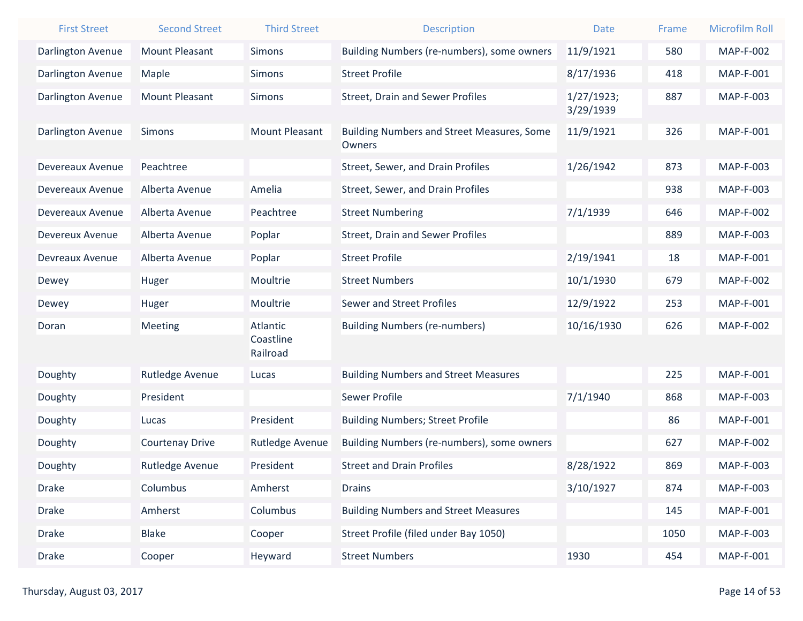| <b>First Street</b>      | <b>Second Street</b>   | <b>Third Street</b>   | <b>Description</b>                                | <b>Date</b> | Frame | <b>Microfilm Roll</b> |
|--------------------------|------------------------|-----------------------|---------------------------------------------------|-------------|-------|-----------------------|
| <b>Darlington Avenue</b> | <b>Mount Pleasant</b>  | <b>Simons</b>         | Building Numbers (re-numbers), some owners        | 11/9/1921   | 580   | <b>MAP-F-002</b>      |
| Darlington Avenue        | Maple                  | <b>Simons</b>         | <b>Street Profile</b>                             | 8/17/1936   | 418   | <b>MAP-F-001</b>      |
| Darlington Avenue        | <b>Mount Pleasant</b>  | <b>Simons</b>         | <b>Street, Drain and Sewer Profiles</b>           | 1/27/1923;  | 887   | MAP-F-003             |
|                          |                        |                       |                                                   | 3/29/1939   |       |                       |
| <b>Darlington Avenue</b> | <b>Simons</b>          | <b>Mount Pleasant</b> | <b>Building Numbers and Street Measures, Some</b> | 11/9/1921   | 326   | <b>MAP-F-001</b>      |
|                          |                        |                       | Owners                                            |             |       |                       |
| Devereaux Avenue         | Peachtree              |                       | Street, Sewer, and Drain Profiles                 | 1/26/1942   | 873   | <b>MAP-F-003</b>      |
| Devereaux Avenue         | Alberta Avenue         | Amelia                | Street, Sewer, and Drain Profiles                 |             | 938   | MAP-F-003             |
| Devereaux Avenue         | Alberta Avenue         | Peachtree             | <b>Street Numbering</b>                           | 7/1/1939    | 646   | <b>MAP-F-002</b>      |
| Devereux Avenue          | Alberta Avenue         | Poplar                | <b>Street, Drain and Sewer Profiles</b>           |             | 889   | <b>MAP-F-003</b>      |
| Devreaux Avenue          | Alberta Avenue         | Poplar                | <b>Street Profile</b>                             | 2/19/1941   | 18    | <b>MAP-F-001</b>      |
| Dewey                    | Huger                  | Moultrie              | <b>Street Numbers</b>                             | 10/1/1930   | 679   | <b>MAP-F-002</b>      |
| Dewey                    | Huger                  | Moultrie              | <b>Sewer and Street Profiles</b>                  | 12/9/1922   | 253   | <b>MAP-F-001</b>      |
| Doran                    | <b>Meeting</b>         | Atlantic              | <b>Building Numbers (re-numbers)</b>              | 10/16/1930  | 626   | <b>MAP-F-002</b>      |
|                          |                        | Coastline<br>Railroad |                                                   |             |       |                       |
| Doughty                  | Rutledge Avenue        | Lucas                 | <b>Building Numbers and Street Measures</b>       |             | 225   | <b>MAP-F-001</b>      |
| Doughty                  | President              |                       | <b>Sewer Profile</b>                              | 7/1/1940    | 868   | <b>MAP-F-003</b>      |
| Doughty                  | Lucas                  | President             | <b>Building Numbers; Street Profile</b>           |             | 86    | <b>MAP-F-001</b>      |
| Doughty                  | <b>Courtenay Drive</b> | Rutledge Avenue       | Building Numbers (re-numbers), some owners        |             | 627   | <b>MAP-F-002</b>      |
| Doughty                  | Rutledge Avenue        | President             | <b>Street and Drain Profiles</b>                  | 8/28/1922   | 869   | <b>MAP-F-003</b>      |
| <b>Drake</b>             | Columbus               | Amherst               | <b>Drains</b>                                     | 3/10/1927   | 874   | MAP-F-003             |
| <b>Drake</b>             | Amherst                | Columbus              | <b>Building Numbers and Street Measures</b>       |             | 145   | <b>MAP-F-001</b>      |
| <b>Drake</b>             | <b>Blake</b>           | Cooper                | Street Profile (filed under Bay 1050)             |             | 1050  | MAP-F-003             |
| <b>Drake</b>             | Cooper                 | Heyward               | <b>Street Numbers</b>                             | 1930        | 454   | MAP-F-001             |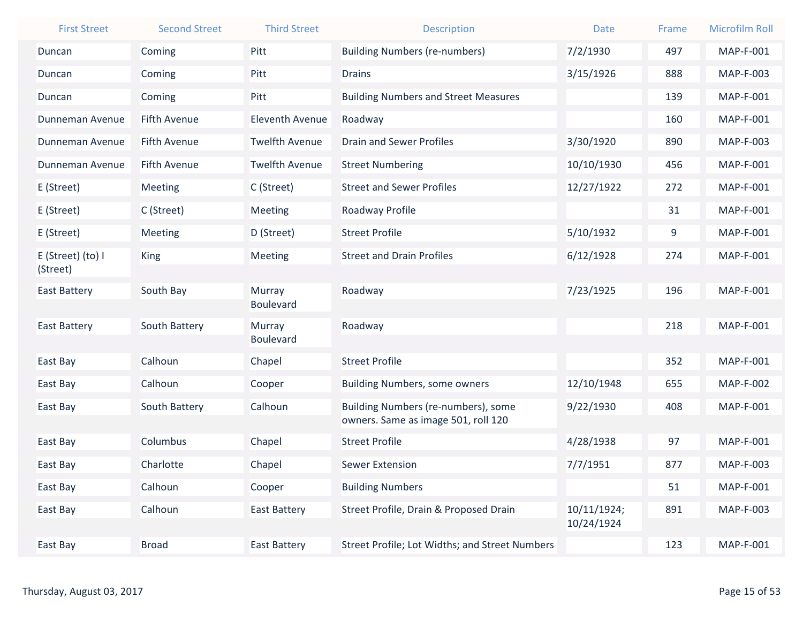| <b>First Street</b>           | <b>Second Street</b> | <b>Third Street</b>        | <b>Description</b>                                                         | <b>Date</b>               | Frame | <b>Microfilm Roll</b> |
|-------------------------------|----------------------|----------------------------|----------------------------------------------------------------------------|---------------------------|-------|-----------------------|
| Duncan                        | Coming               | Pitt                       | <b>Building Numbers (re-numbers)</b>                                       | 7/2/1930                  | 497   | <b>MAP-F-001</b>      |
| Duncan                        | Coming               | Pitt                       | <b>Drains</b>                                                              | 3/15/1926                 | 888   | MAP-F-003             |
| Duncan                        | Coming               | Pitt                       | <b>Building Numbers and Street Measures</b>                                |                           | 139   | <b>MAP-F-001</b>      |
| Dunneman Avenue               | <b>Fifth Avenue</b>  | <b>Eleventh Avenue</b>     | Roadway                                                                    |                           | 160   | MAP-F-001             |
| Dunneman Avenue               | <b>Fifth Avenue</b>  | <b>Twelfth Avenue</b>      | <b>Drain and Sewer Profiles</b>                                            | 3/30/1920                 | 890   | MAP-F-003             |
| Dunneman Avenue               | <b>Fifth Avenue</b>  | <b>Twelfth Avenue</b>      | <b>Street Numbering</b>                                                    | 10/10/1930                | 456   | <b>MAP-F-001</b>      |
| E (Street)                    | Meeting              | C (Street)                 | <b>Street and Sewer Profiles</b>                                           | 12/27/1922                | 272   | MAP-F-001             |
| E (Street)                    | C (Street)           | Meeting                    | Roadway Profile                                                            |                           | 31    | MAP-F-001             |
| E (Street)                    | Meeting              | D (Street)                 | <b>Street Profile</b>                                                      | 5/10/1932                 | 9     | MAP-F-001             |
| E (Street) (to) I<br>(Street) | <b>King</b>          | Meeting                    | <b>Street and Drain Profiles</b>                                           | 6/12/1928                 | 274   | MAP-F-001             |
| <b>East Battery</b>           | South Bay            | Murray<br><b>Boulevard</b> | Roadway                                                                    | 7/23/1925                 | 196   | MAP-F-001             |
| <b>East Battery</b>           | South Battery        | Murray<br><b>Boulevard</b> | Roadway                                                                    |                           | 218   | MAP-F-001             |
| East Bay                      | Calhoun              | Chapel                     | <b>Street Profile</b>                                                      |                           | 352   | MAP-F-001             |
| East Bay                      | Calhoun              | Cooper                     | <b>Building Numbers, some owners</b>                                       | 12/10/1948                | 655   | <b>MAP-F-002</b>      |
| East Bay                      | South Battery        | Calhoun                    | Building Numbers (re-numbers), some<br>owners. Same as image 501, roll 120 | 9/22/1930                 | 408   | MAP-F-001             |
| East Bay                      | Columbus             | Chapel                     | <b>Street Profile</b>                                                      | 4/28/1938                 | 97    | MAP-F-001             |
| East Bay                      | Charlotte            | Chapel                     | <b>Sewer Extension</b>                                                     | 7/7/1951                  | 877   | <b>MAP-F-003</b>      |
| East Bay                      | Calhoun              | Cooper                     | <b>Building Numbers</b>                                                    |                           | 51    | MAP-F-001             |
| East Bay                      | Calhoun              | <b>East Battery</b>        | Street Profile, Drain & Proposed Drain                                     | 10/11/1924;<br>10/24/1924 | 891   | MAP-F-003             |
| East Bay                      | <b>Broad</b>         | <b>East Battery</b>        | Street Profile; Lot Widths; and Street Numbers                             |                           | 123   | MAP-F-001             |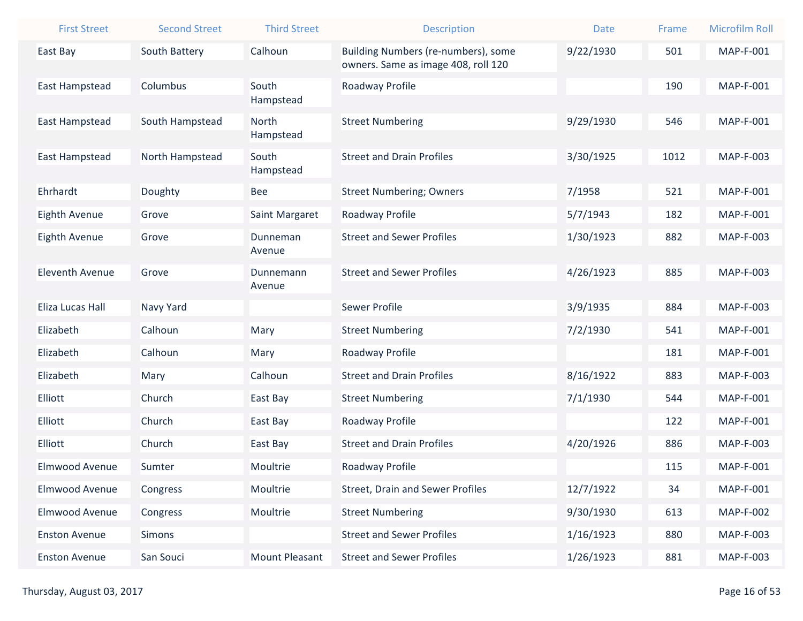| <b>First Street</b>    | <b>Second Street</b> | <b>Third Street</b>   | <b>Description</b>                      | <b>Date</b> | Frame | <b>Microfilm Roll</b> |
|------------------------|----------------------|-----------------------|-----------------------------------------|-------------|-------|-----------------------|
| East Bay               | South Battery        | Calhoun               | Building Numbers (re-numbers), some     | 9/22/1930   | 501   | <b>MAP-F-001</b>      |
|                        |                      |                       | owners. Same as image 408, roll 120     |             |       |                       |
| <b>East Hampstead</b>  | Columbus             | South<br>Hampstead    | Roadway Profile                         |             | 190   | <b>MAP-F-001</b>      |
| East Hampstead         | South Hampstead      | North                 | <b>Street Numbering</b>                 | 9/29/1930   | 546   | <b>MAP-F-001</b>      |
|                        |                      | Hampstead             |                                         |             |       |                       |
| East Hampstead         | North Hampstead      | South<br>Hampstead    | <b>Street and Drain Profiles</b>        | 3/30/1925   | 1012  | MAP-F-003             |
| Ehrhardt               | Doughty              | Bee                   | <b>Street Numbering; Owners</b>         | 7/1958      | 521   | <b>MAP-F-001</b>      |
| <b>Eighth Avenue</b>   | Grove                | Saint Margaret        | Roadway Profile                         | 5/7/1943    | 182   | <b>MAP-F-001</b>      |
| Eighth Avenue          | Grove                | Dunneman              | <b>Street and Sewer Profiles</b>        | 1/30/1923   | 882   | MAP-F-003             |
|                        |                      | Avenue                |                                         |             |       |                       |
| <b>Eleventh Avenue</b> | Grove                | Dunnemann<br>Avenue   | <b>Street and Sewer Profiles</b>        | 4/26/1923   | 885   | MAP-F-003             |
| Eliza Lucas Hall       | Navy Yard            |                       | <b>Sewer Profile</b>                    | 3/9/1935    | 884   | MAP-F-003             |
| Elizabeth              | Calhoun              | Mary                  | <b>Street Numbering</b>                 | 7/2/1930    | 541   | <b>MAP-F-001</b>      |
| Elizabeth              | Calhoun              | Mary                  | Roadway Profile                         |             | 181   | <b>MAP-F-001</b>      |
| Elizabeth              | Mary                 | Calhoun               | <b>Street and Drain Profiles</b>        | 8/16/1922   | 883   | MAP-F-003             |
| Elliott                | Church               | East Bay              | <b>Street Numbering</b>                 | 7/1/1930    | 544   | <b>MAP-F-001</b>      |
| Elliott                | Church               | East Bay              | Roadway Profile                         |             | 122   | <b>MAP-F-001</b>      |
| Elliott                | Church               | East Bay              | <b>Street and Drain Profiles</b>        | 4/20/1926   | 886   | MAP-F-003             |
| Elmwood Avenue         | Sumter               | Moultrie              | Roadway Profile                         |             | 115   | MAP-F-001             |
| Elmwood Avenue         | Congress             | Moultrie              | <b>Street, Drain and Sewer Profiles</b> | 12/7/1922   | 34    | MAP-F-001             |
| Elmwood Avenue         | Congress             | Moultrie              | <b>Street Numbering</b>                 | 9/30/1930   | 613   | <b>MAP-F-002</b>      |
| <b>Enston Avenue</b>   | Simons               |                       | <b>Street and Sewer Profiles</b>        | 1/16/1923   | 880   | MAP-F-003             |
| <b>Enston Avenue</b>   | San Souci            | <b>Mount Pleasant</b> | <b>Street and Sewer Profiles</b>        | 1/26/1923   | 881   | MAP-F-003             |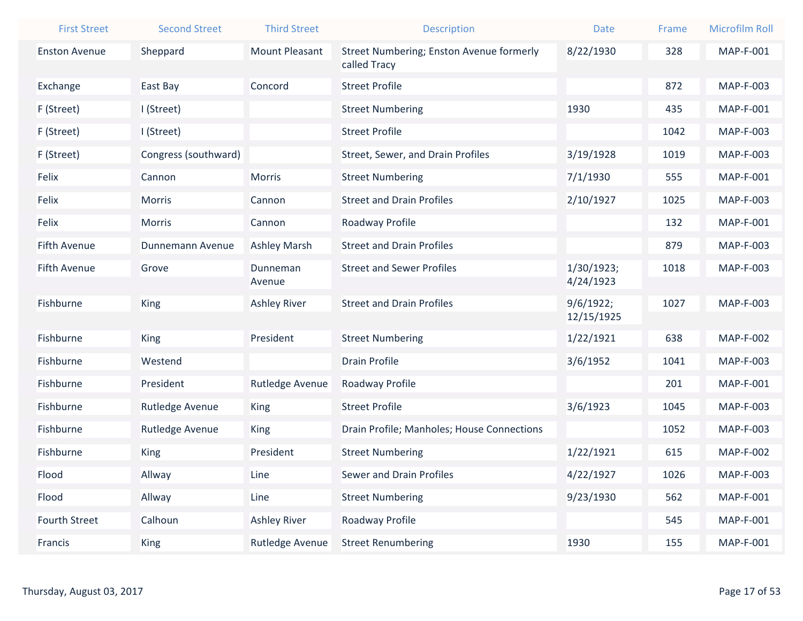| <b>First Street</b>  | <b>Second Street</b> | <b>Third Street</b>   | <b>Description</b>                                       | <b>Date</b>             | Frame | <b>Microfilm Roll</b> |
|----------------------|----------------------|-----------------------|----------------------------------------------------------|-------------------------|-------|-----------------------|
| <b>Enston Avenue</b> | Sheppard             | <b>Mount Pleasant</b> | Street Numbering; Enston Avenue formerly<br>called Tracy | 8/22/1930               | 328   | MAP-F-001             |
| Exchange             | East Bay             | Concord               | <b>Street Profile</b>                                    |                         | 872   | MAP-F-003             |
| F (Street)           | I (Street)           |                       | <b>Street Numbering</b>                                  | 1930                    | 435   | MAP-F-001             |
| F (Street)           | I (Street)           |                       | <b>Street Profile</b>                                    |                         | 1042  | MAP-F-003             |
| F (Street)           | Congress (southward) |                       | Street, Sewer, and Drain Profiles                        | 3/19/1928               | 1019  | <b>MAP-F-003</b>      |
| Felix                | Cannon               | <b>Morris</b>         | <b>Street Numbering</b>                                  | 7/1/1930                | 555   | MAP-F-001             |
| Felix                | Morris               | Cannon                | <b>Street and Drain Profiles</b>                         | 2/10/1927               | 1025  | MAP-F-003             |
| Felix                | Morris               | Cannon                | Roadway Profile                                          |                         | 132   | MAP-F-001             |
| <b>Fifth Avenue</b>  | Dunnemann Avenue     | <b>Ashley Marsh</b>   | <b>Street and Drain Profiles</b>                         |                         | 879   | MAP-F-003             |
| <b>Fifth Avenue</b>  | Grove                | Dunneman<br>Avenue    | <b>Street and Sewer Profiles</b>                         | 1/30/1923;<br>4/24/1923 | 1018  | MAP-F-003             |
| Fishburne            | King                 | <b>Ashley River</b>   | <b>Street and Drain Profiles</b>                         | 9/6/1922;<br>12/15/1925 | 1027  | <b>MAP-F-003</b>      |
| Fishburne            | King                 | President             | <b>Street Numbering</b>                                  | 1/22/1921               | 638   | <b>MAP-F-002</b>      |
| Fishburne            | Westend              |                       | <b>Drain Profile</b>                                     | 3/6/1952                | 1041  | <b>MAP-F-003</b>      |
| Fishburne            | President            | Rutledge Avenue       | Roadway Profile                                          |                         | 201   | MAP-F-001             |
| Fishburne            | Rutledge Avenue      | <b>King</b>           | <b>Street Profile</b>                                    | 3/6/1923                | 1045  | MAP-F-003             |
| Fishburne            | Rutledge Avenue      | <b>King</b>           | Drain Profile; Manholes; House Connections               |                         | 1052  | MAP-F-003             |
| Fishburne            | <b>King</b>          | President             | <b>Street Numbering</b>                                  | 1/22/1921               | 615   | <b>MAP-F-002</b>      |
| Flood                | Allway               | Line                  | Sewer and Drain Profiles                                 | 4/22/1927               | 1026  | MAP-F-003             |
| Flood                | Allway               | Line                  | <b>Street Numbering</b>                                  | 9/23/1930               | 562   | MAP-F-001             |
| Fourth Street        | Calhoun              | <b>Ashley River</b>   | Roadway Profile                                          |                         | 545   | MAP-F-001             |
| Francis              | King                 | Rutledge Avenue       | <b>Street Renumbering</b>                                | 1930                    | 155   | MAP-F-001             |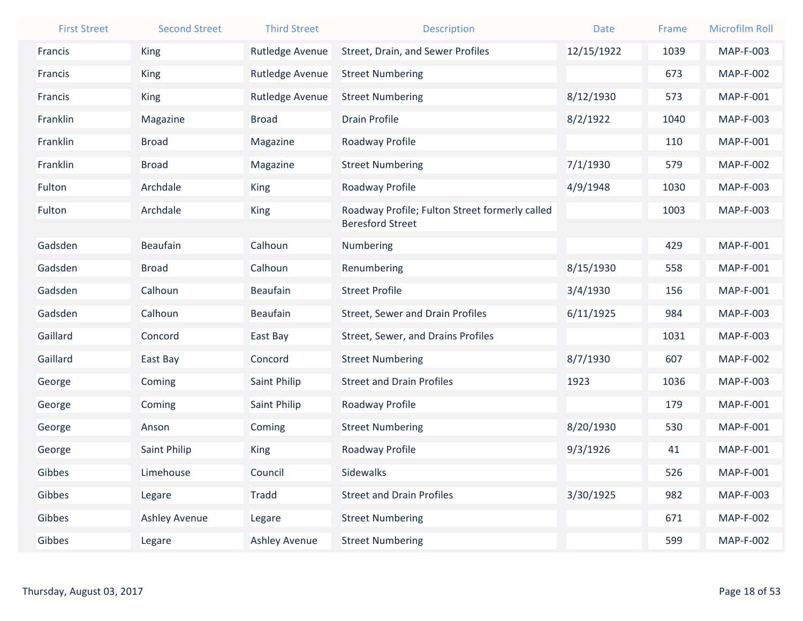| <b>First Street</b> | <b>Second Street</b> | <b>Third Street</b>  | <b>Description</b>                                                        | <b>Date</b> | Frame | <b>Microfilm Roll</b> |
|---------------------|----------------------|----------------------|---------------------------------------------------------------------------|-------------|-------|-----------------------|
| Francis             | <b>King</b>          | Rutledge Avenue      | Street, Drain, and Sewer Profiles                                         | 12/15/1922  | 1039  | MAP-F-003             |
| Francis             | King                 | Rutledge Avenue      | <b>Street Numbering</b>                                                   |             | 673   | <b>MAP-F-002</b>      |
| Francis             | King                 | Rutledge Avenue      | <b>Street Numbering</b>                                                   | 8/12/1930   | 573   | MAP-F-001             |
| Franklin            | Magazine             | <b>Broad</b>         | <b>Drain Profile</b>                                                      | 8/2/1922    | 1040  | MAP-F-003             |
| Franklin            | <b>Broad</b>         | Magazine             | Roadway Profile                                                           |             | 110   | MAP-F-001             |
| Franklin            | <b>Broad</b>         | Magazine             | <b>Street Numbering</b>                                                   | 7/1/1930    | 579   | <b>MAP-F-002</b>      |
| Fulton              | Archdale             | <b>King</b>          | Roadway Profile                                                           | 4/9/1948    | 1030  | MAP-F-003             |
| Fulton              | Archdale             | King                 | Roadway Profile; Fulton Street formerly called<br><b>Beresford Street</b> |             | 1003  | MAP-F-003             |
| Gadsden             | <b>Beaufain</b>      | Calhoun              | Numbering                                                                 |             | 429   | MAP-F-001             |
| Gadsden             | <b>Broad</b>         | Calhoun              | Renumbering                                                               | 8/15/1930   | 558   | MAP-F-001             |
| Gadsden             | Calhoun              | <b>Beaufain</b>      | <b>Street Profile</b>                                                     | 3/4/1930    | 156   | MAP-F-001             |
| Gadsden             | Calhoun              | <b>Beaufain</b>      | <b>Street, Sewer and Drain Profiles</b>                                   | 6/11/1925   | 984   | MAP-F-003             |
| Gaillard            | Concord              | East Bay             | Street, Sewer, and Drains Profiles                                        |             | 1031  | MAP-F-003             |
| Gaillard            | East Bay             | Concord              | <b>Street Numbering</b>                                                   | 8/7/1930    | 607   | <b>MAP-F-002</b>      |
| George              | Coming               | Saint Philip         | <b>Street and Drain Profiles</b>                                          | 1923        | 1036  | MAP-F-003             |
| George              | Coming               | Saint Philip         | Roadway Profile                                                           |             | 179   | MAP-F-001             |
| George              | Anson                | Coming               | <b>Street Numbering</b>                                                   | 8/20/1930   | 530   | MAP-F-001             |
| George              | Saint Philip         | <b>King</b>          | Roadway Profile                                                           | 9/3/1926    | 41    | MAP-F-001             |
| Gibbes              | Limehouse            | Council              | Sidewalks                                                                 |             | 526   | MAP-F-001             |
| Gibbes              | Legare               | Tradd                | <b>Street and Drain Profiles</b>                                          | 3/30/1925   | 982   | MAP-F-003             |
| Gibbes              | <b>Ashley Avenue</b> | Legare               | <b>Street Numbering</b>                                                   |             | 671   | <b>MAP-F-002</b>      |
| Gibbes              | Legare               | <b>Ashley Avenue</b> | <b>Street Numbering</b>                                                   |             | 599   | <b>MAP-F-002</b>      |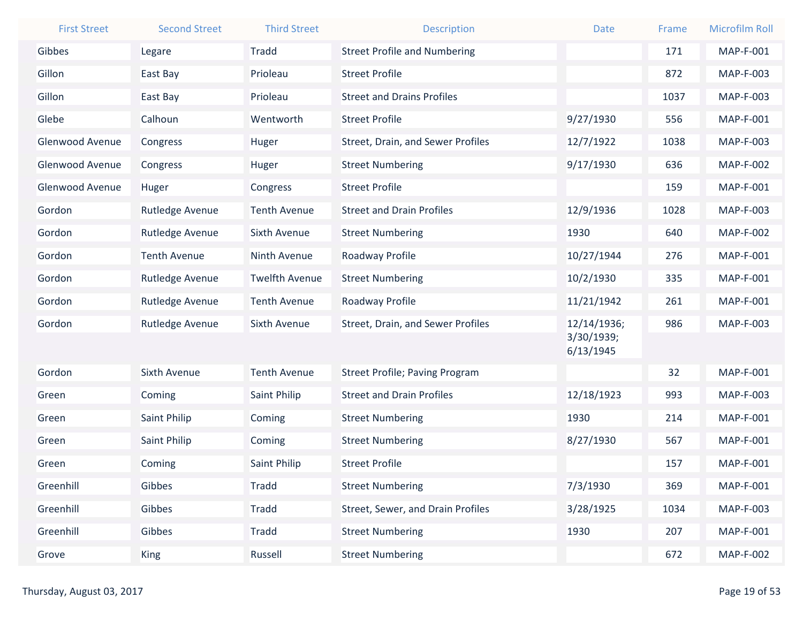| <b>First Street</b>    | <b>Second Street</b> | <b>Third Street</b>   | <b>Description</b>                    | <b>Date</b>             | Frame | <b>Microfilm Roll</b> |
|------------------------|----------------------|-----------------------|---------------------------------------|-------------------------|-------|-----------------------|
| Gibbes                 | Legare               | <b>Tradd</b>          | <b>Street Profile and Numbering</b>   |                         | 171   | <b>MAP-F-001</b>      |
| Gillon                 | East Bay             | Prioleau              | <b>Street Profile</b>                 |                         | 872   | MAP-F-003             |
| Gillon                 | East Bay             | Prioleau              | <b>Street and Drains Profiles</b>     |                         | 1037  | MAP-F-003             |
| Glebe                  | Calhoun              | Wentworth             | <b>Street Profile</b>                 | 9/27/1930               | 556   | MAP-F-001             |
| Glenwood Avenue        | Congress             | Huger                 | Street, Drain, and Sewer Profiles     | 12/7/1922               | 1038  | MAP-F-003             |
| <b>Glenwood Avenue</b> | Congress             | Huger                 | <b>Street Numbering</b>               | 9/17/1930               | 636   | <b>MAP-F-002</b>      |
| Glenwood Avenue        | Huger                | Congress              | <b>Street Profile</b>                 |                         | 159   | MAP-F-001             |
| Gordon                 | Rutledge Avenue      | <b>Tenth Avenue</b>   | <b>Street and Drain Profiles</b>      | 12/9/1936               | 1028  | MAP-F-003             |
| Gordon                 | Rutledge Avenue      | <b>Sixth Avenue</b>   | <b>Street Numbering</b>               | 1930                    | 640   | <b>MAP-F-002</b>      |
| Gordon                 | <b>Tenth Avenue</b>  | Ninth Avenue          | Roadway Profile                       | 10/27/1944              | 276   | <b>MAP-F-001</b>      |
| Gordon                 | Rutledge Avenue      | <b>Twelfth Avenue</b> | <b>Street Numbering</b>               | 10/2/1930               | 335   | MAP-F-001             |
| Gordon                 | Rutledge Avenue      | <b>Tenth Avenue</b>   | Roadway Profile                       | 11/21/1942              | 261   | MAP-F-001             |
| Gordon                 | Rutledge Avenue      | Sixth Avenue          | Street, Drain, and Sewer Profiles     | 12/14/1936;             | 986   | MAP-F-003             |
|                        |                      |                       |                                       | 3/30/1939;<br>6/13/1945 |       |                       |
| Gordon                 | Sixth Avenue         | <b>Tenth Avenue</b>   | <b>Street Profile; Paving Program</b> |                         | 32    | MAP-F-001             |
| Green                  | Coming               | Saint Philip          | <b>Street and Drain Profiles</b>      | 12/18/1923              | 993   | MAP-F-003             |
| Green                  | Saint Philip         | Coming                | <b>Street Numbering</b>               | 1930                    | 214   | MAP-F-001             |
| Green                  | Saint Philip         | Coming                | <b>Street Numbering</b>               | 8/27/1930               | 567   | <b>MAP-F-001</b>      |
| Green                  | Coming               | Saint Philip          | <b>Street Profile</b>                 |                         | 157   | MAP-F-001             |
| Greenhill              | Gibbes               | <b>Tradd</b>          | <b>Street Numbering</b>               | 7/3/1930                | 369   | MAP-F-001             |
| Greenhill              | Gibbes               | Tradd                 | Street, Sewer, and Drain Profiles     | 3/28/1925               | 1034  | MAP-F-003             |
| Greenhill              | Gibbes               | <b>Tradd</b>          | <b>Street Numbering</b>               | 1930                    | 207   | MAP-F-001             |
| Grove                  | <b>King</b>          | Russell               | <b>Street Numbering</b>               |                         | 672   | <b>MAP-F-002</b>      |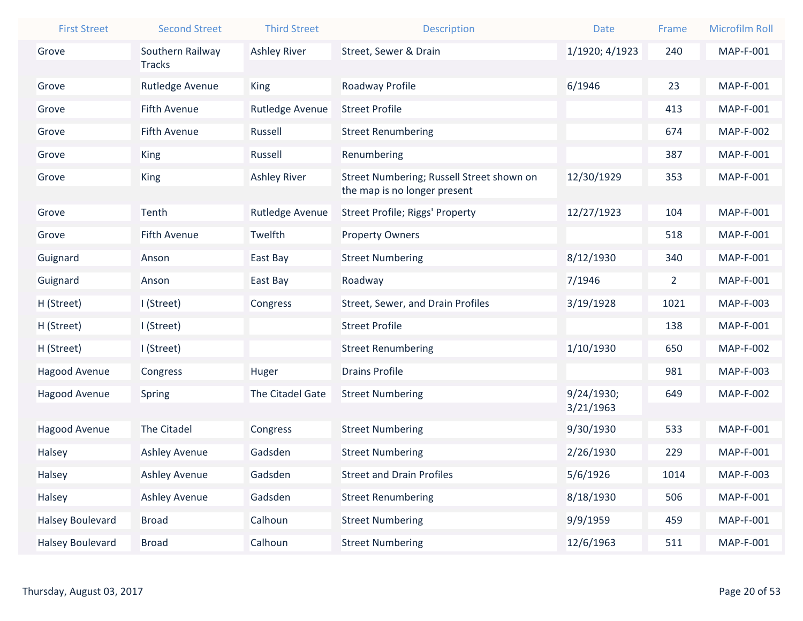| <b>First Street</b>     | <b>Second Street</b> | <b>Third Street</b> | <b>Description</b>                                                        | Date           | Frame          | <b>Microfilm Roll</b> |
|-------------------------|----------------------|---------------------|---------------------------------------------------------------------------|----------------|----------------|-----------------------|
| Grove                   | Southern Railway     | <b>Ashley River</b> | Street, Sewer & Drain                                                     | 1/1920; 4/1923 | 240            | <b>MAP-F-001</b>      |
|                         | <b>Tracks</b>        |                     |                                                                           |                |                |                       |
| Grove                   | Rutledge Avenue      | <b>King</b>         | Roadway Profile                                                           | 6/1946         | 23             | <b>MAP-F-001</b>      |
| Grove                   | <b>Fifth Avenue</b>  | Rutledge Avenue     | <b>Street Profile</b>                                                     |                | 413            | <b>MAP-F-001</b>      |
| Grove                   | <b>Fifth Avenue</b>  | Russell             | <b>Street Renumbering</b>                                                 |                | 674            | <b>MAP-F-002</b>      |
| Grove                   | <b>King</b>          | Russell             | Renumbering                                                               |                | 387            | <b>MAP-F-001</b>      |
| Grove                   | <b>King</b>          | <b>Ashley River</b> | Street Numbering; Russell Street shown on<br>the map is no longer present | 12/30/1929     | 353            | <b>MAP-F-001</b>      |
| Grove                   | Tenth                | Rutledge Avenue     | <b>Street Profile; Riggs' Property</b>                                    | 12/27/1923     | 104            | MAP-F-001             |
| Grove                   | <b>Fifth Avenue</b>  | Twelfth             | <b>Property Owners</b>                                                    |                | 518            | <b>MAP-F-001</b>      |
| Guignard                | Anson                | East Bay            | <b>Street Numbering</b>                                                   | 8/12/1930      | 340            | <b>MAP-F-001</b>      |
| Guignard                | Anson                | East Bay            | Roadway                                                                   | 7/1946         | $\overline{2}$ | <b>MAP-F-001</b>      |
| H (Street)              | I (Street)           | Congress            | Street, Sewer, and Drain Profiles                                         | 3/19/1928      | 1021           | MAP-F-003             |
| H (Street)              | I (Street)           |                     | <b>Street Profile</b>                                                     |                | 138            | <b>MAP-F-001</b>      |
| H (Street)              | I (Street)           |                     | <b>Street Renumbering</b>                                                 | 1/10/1930      | 650            | <b>MAP-F-002</b>      |
| Hagood Avenue           | Congress             | Huger               | <b>Drains Profile</b>                                                     |                | 981            | MAP-F-003             |
| Hagood Avenue           | Spring               | The Citadel Gate    | <b>Street Numbering</b>                                                   | 9/24/1930;     | 649            | <b>MAP-F-002</b>      |
|                         |                      |                     |                                                                           | 3/21/1963      |                |                       |
| Hagood Avenue           | The Citadel          | Congress            | <b>Street Numbering</b>                                                   | 9/30/1930      | 533            | MAP-F-001             |
| Halsey                  | Ashley Avenue        | Gadsden             | <b>Street Numbering</b>                                                   | 2/26/1930      | 229            | <b>MAP-F-001</b>      |
| Halsey                  | Ashley Avenue        | Gadsden             | <b>Street and Drain Profiles</b>                                          | 5/6/1926       | 1014           | MAP-F-003             |
| Halsey                  | <b>Ashley Avenue</b> | Gadsden             | <b>Street Renumbering</b>                                                 | 8/18/1930      | 506            | MAP-F-001             |
| Halsey Boulevard        | <b>Broad</b>         | Calhoun             | <b>Street Numbering</b>                                                   | 9/9/1959       | 459            | MAP-F-001             |
| <b>Halsey Boulevard</b> | <b>Broad</b>         | Calhoun             | <b>Street Numbering</b>                                                   | 12/6/1963      | 511            | MAP-F-001             |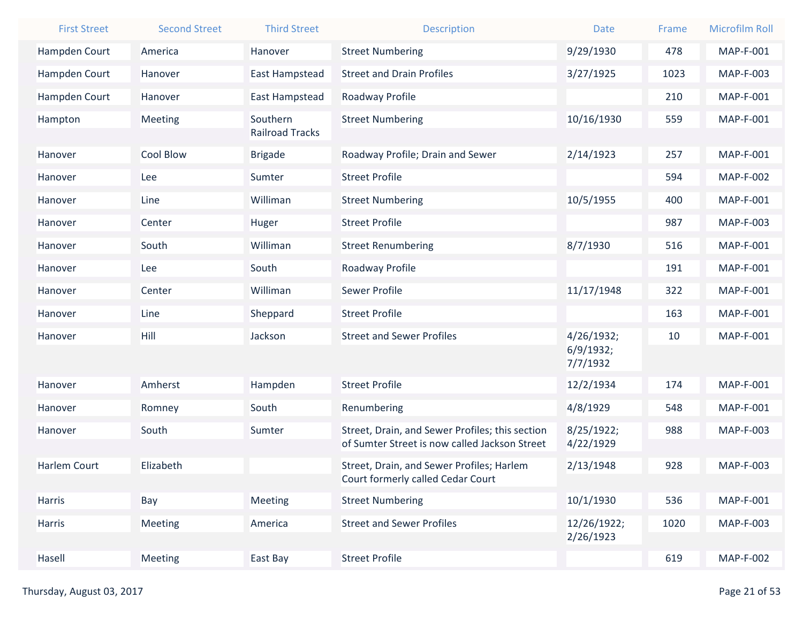| <b>First Street</b> | <b>Second Street</b> | <b>Third Street</b>                | <b>Description</b>                                                             | <b>Date</b>           | Frame | <b>Microfilm Roll</b> |
|---------------------|----------------------|------------------------------------|--------------------------------------------------------------------------------|-----------------------|-------|-----------------------|
| Hampden Court       | America              | Hanover                            | <b>Street Numbering</b>                                                        | 9/29/1930             | 478   | <b>MAP-F-001</b>      |
| Hampden Court       | Hanover              | East Hampstead                     | <b>Street and Drain Profiles</b>                                               | 3/27/1925             | 1023  | MAP-F-003             |
| Hampden Court       | Hanover              | East Hampstead                     | Roadway Profile                                                                |                       | 210   | <b>MAP-F-001</b>      |
| Hampton             | Meeting              | Southern<br><b>Railroad Tracks</b> | <b>Street Numbering</b>                                                        | 10/16/1930            | 559   | MAP-F-001             |
| Hanover             | <b>Cool Blow</b>     | <b>Brigade</b>                     | Roadway Profile; Drain and Sewer                                               | 2/14/1923             | 257   | MAP-F-001             |
| Hanover             | Lee                  | Sumter                             | <b>Street Profile</b>                                                          |                       | 594   | <b>MAP-F-002</b>      |
| Hanover             | Line                 | Williman                           | <b>Street Numbering</b>                                                        | 10/5/1955             | 400   | <b>MAP-F-001</b>      |
| Hanover             | Center               | Huger                              | <b>Street Profile</b>                                                          |                       | 987   | MAP-F-003             |
| Hanover             | South                | Williman                           | <b>Street Renumbering</b>                                                      | 8/7/1930              | 516   | MAP-F-001             |
| Hanover             | Lee                  | South                              | Roadway Profile                                                                |                       | 191   | <b>MAP-F-001</b>      |
| Hanover             | Center               | Williman                           | <b>Sewer Profile</b>                                                           | 11/17/1948            | 322   | <b>MAP-F-001</b>      |
| Hanover             | Line                 | Sheppard                           | <b>Street Profile</b>                                                          |                       | 163   | <b>MAP-F-001</b>      |
| Hanover             | Hill                 | Jackson                            | <b>Street and Sewer Profiles</b>                                               | 4/26/1932;            | 10    | MAP-F-001             |
|                     |                      |                                    |                                                                                | 6/9/1932;<br>7/7/1932 |       |                       |
| Hanover             | Amherst              | Hampden                            | <b>Street Profile</b>                                                          | 12/2/1934             | 174   | MAP-F-001             |
| Hanover             | Romney               | South                              | Renumbering                                                                    | 4/8/1929              | 548   | <b>MAP-F-001</b>      |
| Hanover             | South                | Sumter                             | Street, Drain, and Sewer Profiles; this section                                | 8/25/1922;            | 988   | MAP-F-003             |
|                     |                      |                                    | of Sumter Street is now called Jackson Street                                  | 4/22/1929             |       |                       |
| Harlem Court        | Elizabeth            |                                    | Street, Drain, and Sewer Profiles; Harlem<br>Court formerly called Cedar Court | 2/13/1948             | 928   | <b>MAP-F-003</b>      |
| Harris              | Bay                  | <b>Meeting</b>                     | <b>Street Numbering</b>                                                        | 10/1/1930             | 536   | MAP-F-001             |
| Harris              | Meeting              | America                            | <b>Street and Sewer Profiles</b>                                               | 12/26/1922;           | 1020  | MAP-F-003             |
|                     |                      |                                    |                                                                                | 2/26/1923             |       |                       |
| Hasell              | Meeting              | East Bay                           | <b>Street Profile</b>                                                          |                       | 619   | <b>MAP-F-002</b>      |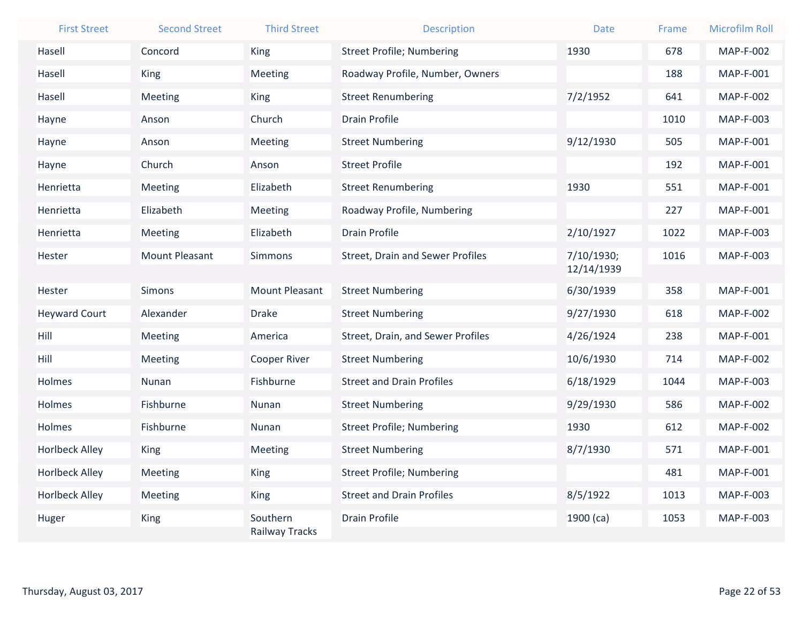| <b>First Street</b>   | <b>Second Street</b>  | <b>Third Street</b>               | <b>Description</b>                      | <b>Date</b> | Frame | <b>Microfilm Roll</b> |
|-----------------------|-----------------------|-----------------------------------|-----------------------------------------|-------------|-------|-----------------------|
| Hasell                | Concord               | <b>King</b>                       | <b>Street Profile; Numbering</b>        | 1930        | 678   | <b>MAP-F-002</b>      |
| Hasell                | <b>King</b>           | Meeting                           | Roadway Profile, Number, Owners         |             | 188   | MAP-F-001             |
| Hasell                | Meeting               | <b>King</b>                       | <b>Street Renumbering</b>               | 7/2/1952    | 641   | <b>MAP-F-002</b>      |
| Hayne                 | Anson                 | Church                            | <b>Drain Profile</b>                    |             | 1010  | MAP-F-003             |
| Hayne                 | Anson                 | Meeting                           | <b>Street Numbering</b>                 | 9/12/1930   | 505   | MAP-F-001             |
| Hayne                 | Church                | Anson                             | <b>Street Profile</b>                   |             | 192   | MAP-F-001             |
| Henrietta             | Meeting               | Elizabeth                         | <b>Street Renumbering</b>               | 1930        | 551   | MAP-F-001             |
| Henrietta             | Elizabeth             | Meeting                           | Roadway Profile, Numbering              |             | 227   | MAP-F-001             |
| Henrietta             | Meeting               | Elizabeth                         | <b>Drain Profile</b>                    | 2/10/1927   | 1022  | MAP-F-003             |
| Hester                | <b>Mount Pleasant</b> | <b>Simmons</b>                    | <b>Street, Drain and Sewer Profiles</b> | 7/10/1930;  | 1016  | MAP-F-003             |
|                       |                       |                                   |                                         | 12/14/1939  |       |                       |
| Hester                | <b>Simons</b>         | <b>Mount Pleasant</b>             | <b>Street Numbering</b>                 | 6/30/1939   | 358   | MAP-F-001             |
| <b>Heyward Court</b>  | Alexander             | <b>Drake</b>                      | <b>Street Numbering</b>                 | 9/27/1930   | 618   | <b>MAP-F-002</b>      |
| Hill                  | Meeting               | America                           | Street, Drain, and Sewer Profiles       | 4/26/1924   | 238   | MAP-F-001             |
| Hill                  | Meeting               | <b>Cooper River</b>               | <b>Street Numbering</b>                 | 10/6/1930   | 714   | <b>MAP-F-002</b>      |
| Holmes                | Nunan                 | Fishburne                         | <b>Street and Drain Profiles</b>        | 6/18/1929   | 1044  | MAP-F-003             |
| Holmes                | Fishburne             | Nunan                             | <b>Street Numbering</b>                 | 9/29/1930   | 586   | <b>MAP-F-002</b>      |
| Holmes                | Fishburne             | Nunan                             | <b>Street Profile; Numbering</b>        | 1930        | 612   | <b>MAP-F-002</b>      |
| <b>Horlbeck Alley</b> | <b>King</b>           | Meeting                           | <b>Street Numbering</b>                 | 8/7/1930    | 571   | MAP-F-001             |
| <b>Horlbeck Alley</b> | Meeting               | <b>King</b>                       | <b>Street Profile; Numbering</b>        |             | 481   | MAP-F-001             |
| <b>Horlbeck Alley</b> | Meeting               | <b>King</b>                       | <b>Street and Drain Profiles</b>        | 8/5/1922    | 1013  | MAP-F-003             |
| Huger                 | <b>King</b>           | Southern<br><b>Railway Tracks</b> | <b>Drain Profile</b>                    | 1900 (ca)   | 1053  | MAP-F-003             |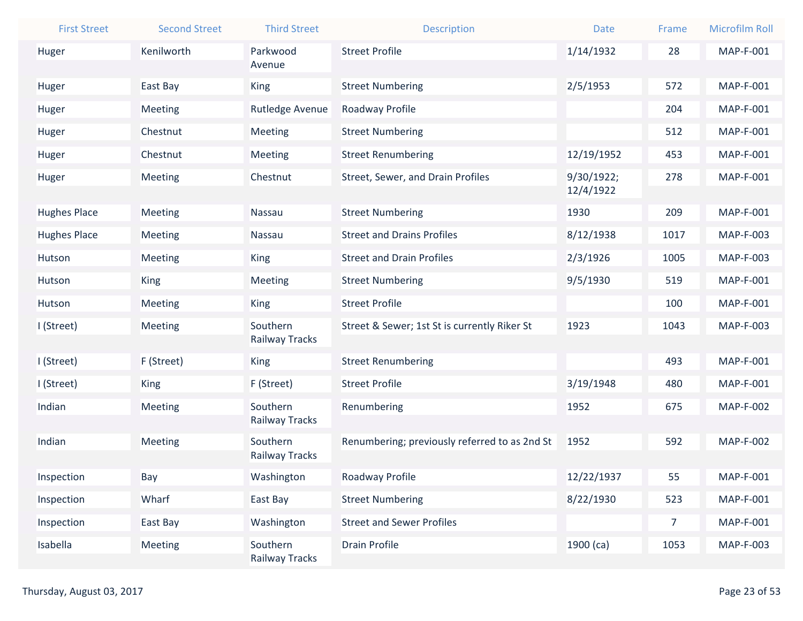| <b>First Street</b> | <b>Second Street</b> | <b>Third Street</b>        | <b>Description</b>                            | <b>Date</b> | Frame          | <b>Microfilm Roll</b> |
|---------------------|----------------------|----------------------------|-----------------------------------------------|-------------|----------------|-----------------------|
| Huger               | Kenilworth           | Parkwood                   | <b>Street Profile</b>                         | 1/14/1932   | 28             | MAP-F-001             |
|                     |                      | Avenue                     |                                               |             |                |                       |
| Huger               | East Bay             | <b>King</b>                | <b>Street Numbering</b>                       | 2/5/1953    | 572            | MAP-F-001             |
| Huger               | Meeting              | Rutledge Avenue            | Roadway Profile                               |             | 204            | MAP-F-001             |
| Huger               | Chestnut             | Meeting                    | <b>Street Numbering</b>                       |             | 512            | MAP-F-001             |
| Huger               | Chestnut             | Meeting                    | <b>Street Renumbering</b>                     | 12/19/1952  | 453            | <b>MAP-F-001</b>      |
| Huger               | Meeting              | Chestnut                   | Street, Sewer, and Drain Profiles             | 9/30/1922;  | 278            | MAP-F-001             |
|                     |                      |                            |                                               | 12/4/1922   |                |                       |
| <b>Hughes Place</b> | Meeting              | Nassau                     | <b>Street Numbering</b>                       | 1930        | 209            | MAP-F-001             |
| <b>Hughes Place</b> | Meeting              | Nassau                     | <b>Street and Drains Profiles</b>             | 8/12/1938   | 1017           | MAP-F-003             |
| Hutson              | Meeting              | <b>King</b>                | <b>Street and Drain Profiles</b>              | 2/3/1926    | 1005           | MAP-F-003             |
| Hutson              | King                 | Meeting                    | <b>Street Numbering</b>                       | 9/5/1930    | 519            | MAP-F-001             |
| Hutson              | Meeting              | King                       | <b>Street Profile</b>                         |             | 100            | MAP-F-001             |
| I (Street)          | Meeting              | Southern                   | Street & Sewer; 1st St is currently Riker St  | 1923        | 1043           | MAP-F-003             |
|                     |                      | Railway Tracks             |                                               |             |                |                       |
| I (Street)          | F (Street)           | King                       | <b>Street Renumbering</b>                     |             | 493            | <b>MAP-F-001</b>      |
| I (Street)          | <b>King</b>          | F (Street)                 | <b>Street Profile</b>                         | 3/19/1948   | 480            | MAP-F-001             |
| Indian              | Meeting              | Southern                   | Renumbering                                   | 1952        | 675            | <b>MAP-F-002</b>      |
|                     |                      | Railway Tracks             |                                               |             |                |                       |
| Indian              | Meeting              | Southern<br>Railway Tracks | Renumbering; previously referred to as 2nd St | 1952        | 592            | <b>MAP-F-002</b>      |
|                     |                      |                            |                                               |             |                |                       |
| Inspection          | Bay                  | Washington                 | Roadway Profile                               | 12/22/1937  | 55             | <b>MAP-F-001</b>      |
| Inspection          | Wharf                | East Bay                   | <b>Street Numbering</b>                       | 8/22/1930   | 523            | <b>MAP-F-001</b>      |
| Inspection          | East Bay             | Washington                 | <b>Street and Sewer Profiles</b>              |             | 7 <sup>7</sup> | <b>MAP-F-001</b>      |
| Isabella            | Meeting              | Southern<br>Railway Tracks | <b>Drain Profile</b>                          | $1900$ (ca) | 1053           | MAP-F-003             |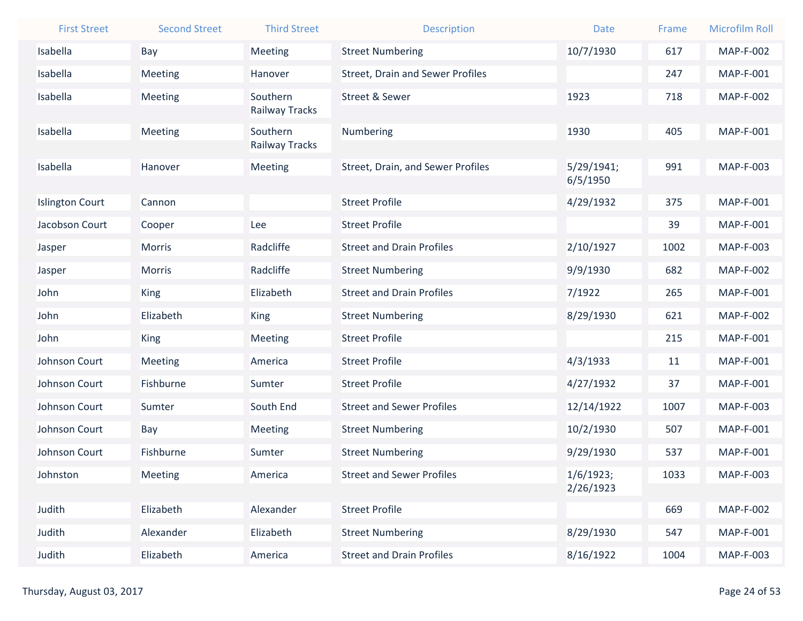| <b>First Street</b>    | <b>Second Street</b> | <b>Third Street</b>        | <b>Description</b>                      | <b>Date</b>            | Frame | <b>Microfilm Roll</b> |
|------------------------|----------------------|----------------------------|-----------------------------------------|------------------------|-------|-----------------------|
| Isabella               | Bay                  | Meeting                    | <b>Street Numbering</b>                 | 10/7/1930              | 617   | <b>MAP-F-002</b>      |
| Isabella               | <b>Meeting</b>       | Hanover                    | <b>Street, Drain and Sewer Profiles</b> |                        | 247   | <b>MAP-F-001</b>      |
| Isabella               | <b>Meeting</b>       | Southern                   | <b>Street &amp; Sewer</b>               | 1923                   | 718   | <b>MAP-F-002</b>      |
|                        |                      | Railway Tracks             |                                         |                        |       |                       |
| Isabella               | <b>Meeting</b>       | Southern<br>Railway Tracks | Numbering                               | 1930                   | 405   | MAP-F-001             |
|                        |                      |                            |                                         |                        |       |                       |
| Isabella               | Hanover              | Meeting                    | Street, Drain, and Sewer Profiles       | 5/29/1941;<br>6/5/1950 | 991   | <b>MAP-F-003</b>      |
| <b>Islington Court</b> | Cannon               |                            | <b>Street Profile</b>                   | 4/29/1932              | 375   | <b>MAP-F-001</b>      |
| Jacobson Court         | Cooper               | Lee                        | <b>Street Profile</b>                   |                        | 39    | MAP-F-001             |
| Jasper                 | <b>Morris</b>        | Radcliffe                  | <b>Street and Drain Profiles</b>        | 2/10/1927              | 1002  | <b>MAP-F-003</b>      |
| Jasper                 | <b>Morris</b>        | Radcliffe                  | <b>Street Numbering</b>                 | 9/9/1930               | 682   | <b>MAP-F-002</b>      |
| John                   | <b>King</b>          | Elizabeth                  | <b>Street and Drain Profiles</b>        | 7/1922                 | 265   | MAP-F-001             |
| John                   | Elizabeth            | <b>King</b>                | <b>Street Numbering</b>                 | 8/29/1930              | 621   | <b>MAP-F-002</b>      |
| John                   | <b>King</b>          | Meeting                    | <b>Street Profile</b>                   |                        | 215   | <b>MAP-F-001</b>      |
| Johnson Court          | <b>Meeting</b>       | America                    | <b>Street Profile</b>                   | 4/3/1933               | 11    | MAP-F-001             |
| Johnson Court          | Fishburne            | Sumter                     | <b>Street Profile</b>                   | 4/27/1932              | 37    | MAP-F-001             |
| Johnson Court          | Sumter               | South End                  | <b>Street and Sewer Profiles</b>        | 12/14/1922             | 1007  | MAP-F-003             |
| Johnson Court          | Bay                  | Meeting                    | <b>Street Numbering</b>                 | 10/2/1930              | 507   | MAP-F-001             |
| Johnson Court          | Fishburne            | Sumter                     | <b>Street Numbering</b>                 | 9/29/1930              | 537   | <b>MAP-F-001</b>      |
| Johnston               | Meeting              | America                    | <b>Street and Sewer Profiles</b>        | 1/6/1923;              | 1033  | MAP-F-003             |
|                        |                      |                            |                                         | 2/26/1923              |       |                       |
| Judith                 | Elizabeth            | Alexander                  | <b>Street Profile</b>                   |                        | 669   | <b>MAP-F-002</b>      |
| Judith                 | Alexander            | Elizabeth                  | <b>Street Numbering</b>                 | 8/29/1930              | 547   | MAP-F-001             |
| Judith                 | Elizabeth            | America                    | <b>Street and Drain Profiles</b>        | 8/16/1922              | 1004  | MAP-F-003             |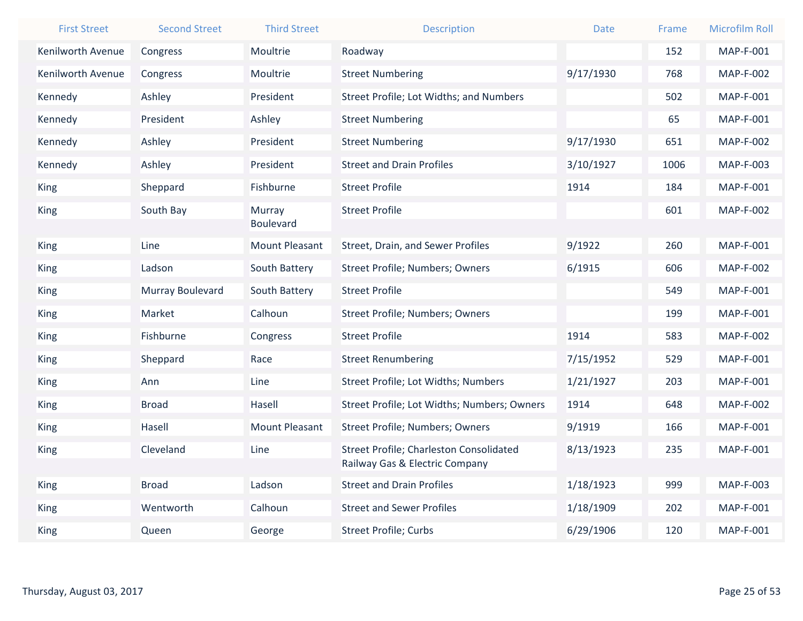| <b>First Street</b>      | <b>Second Street</b> | <b>Third Street</b>   | <b>Description</b>                                                               | <b>Date</b> | Frame | <b>Microfilm Roll</b> |
|--------------------------|----------------------|-----------------------|----------------------------------------------------------------------------------|-------------|-------|-----------------------|
| <b>Kenilworth Avenue</b> | Congress             | Moultrie              | Roadway                                                                          |             | 152   | MAP-F-001             |
| Kenilworth Avenue        | Congress             | Moultrie              | <b>Street Numbering</b>                                                          | 9/17/1930   | 768   | <b>MAP-F-002</b>      |
| Kennedy                  | Ashley               | President             | Street Profile; Lot Widths; and Numbers                                          |             | 502   | <b>MAP-F-001</b>      |
| Kennedy                  | President            | Ashley                | <b>Street Numbering</b>                                                          |             | 65    | MAP-F-001             |
| Kennedy                  | Ashley               | President             | <b>Street Numbering</b>                                                          | 9/17/1930   | 651   | <b>MAP-F-002</b>      |
| Kennedy                  | Ashley               | President             | <b>Street and Drain Profiles</b>                                                 | 3/10/1927   | 1006  | MAP-F-003             |
| King                     | Sheppard             | Fishburne             | <b>Street Profile</b>                                                            | 1914        | 184   | MAP-F-001             |
| <b>King</b>              | South Bay            | Murray                | <b>Street Profile</b>                                                            |             | 601   | <b>MAP-F-002</b>      |
|                          |                      | <b>Boulevard</b>      |                                                                                  |             |       |                       |
| <b>King</b>              | Line                 | <b>Mount Pleasant</b> | Street, Drain, and Sewer Profiles                                                | 9/1922      | 260   | MAP-F-001             |
| <b>King</b>              | Ladson               | South Battery         | Street Profile; Numbers; Owners                                                  | 6/1915      | 606   | <b>MAP-F-002</b>      |
| <b>King</b>              | Murray Boulevard     | South Battery         | <b>Street Profile</b>                                                            |             | 549   | <b>MAP-F-001</b>      |
| <b>King</b>              | Market               | Calhoun               | Street Profile; Numbers; Owners                                                  |             | 199   | MAP-F-001             |
| <b>King</b>              | Fishburne            | Congress              | <b>Street Profile</b>                                                            | 1914        | 583   | <b>MAP-F-002</b>      |
| <b>King</b>              | Sheppard             | Race                  | <b>Street Renumbering</b>                                                        | 7/15/1952   | 529   | MAP-F-001             |
| <b>King</b>              | Ann                  | Line                  | Street Profile; Lot Widths; Numbers                                              | 1/21/1927   | 203   | MAP-F-001             |
| <b>King</b>              | <b>Broad</b>         | Hasell                | Street Profile; Lot Widths; Numbers; Owners                                      | 1914        | 648   | <b>MAP-F-002</b>      |
| <b>King</b>              | Hasell               | <b>Mount Pleasant</b> | Street Profile; Numbers; Owners                                                  | 9/1919      | 166   | MAP-F-001             |
| King                     | Cleveland            | Line                  | <b>Street Profile; Charleston Consolidated</b><br>Railway Gas & Electric Company | 8/13/1923   | 235   | MAP-F-001             |
| King                     | <b>Broad</b>         | Ladson                | <b>Street and Drain Profiles</b>                                                 | 1/18/1923   | 999   | MAP-F-003             |
| <b>King</b>              | Wentworth            | Calhoun               | <b>Street and Sewer Profiles</b>                                                 | 1/18/1909   | 202   | MAP-F-001             |
| King                     | Queen                | George                | <b>Street Profile; Curbs</b>                                                     | 6/29/1906   | 120   | MAP-F-001             |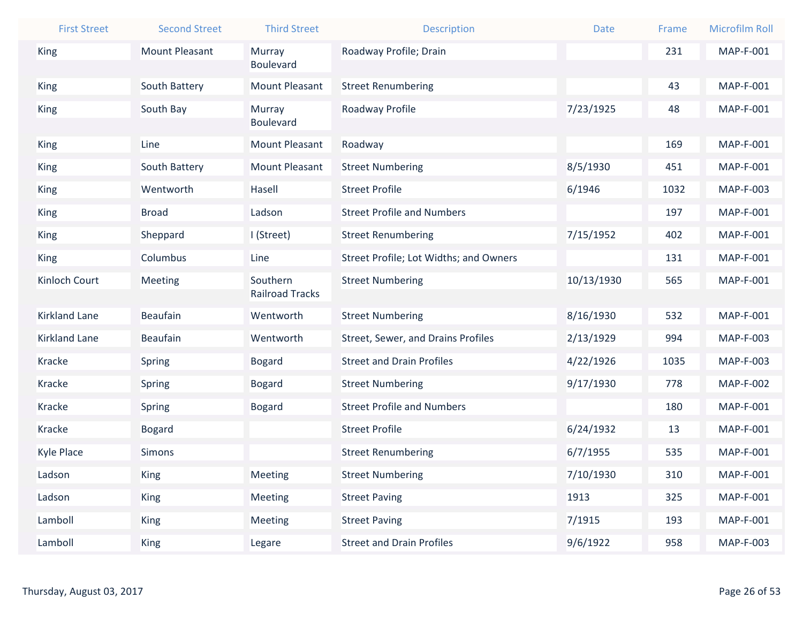| <b>First Street</b>  | <b>Second Street</b>  | <b>Third Street</b>                | <b>Description</b>                     | <b>Date</b> | Frame | <b>Microfilm Roll</b> |
|----------------------|-----------------------|------------------------------------|----------------------------------------|-------------|-------|-----------------------|
| <b>King</b>          | <b>Mount Pleasant</b> | Murray                             | Roadway Profile; Drain                 |             | 231   | MAP-F-001             |
|                      |                       | <b>Boulevard</b>                   |                                        |             |       |                       |
| <b>King</b>          | South Battery         | <b>Mount Pleasant</b>              | <b>Street Renumbering</b>              |             | 43    | MAP-F-001             |
| <b>King</b>          | South Bay             | Murray<br>Boulevard                | Roadway Profile                        | 7/23/1925   | 48    | MAP-F-001             |
| King                 | Line                  | <b>Mount Pleasant</b>              | Roadway                                |             | 169   | MAP-F-001             |
| King                 | South Battery         | <b>Mount Pleasant</b>              | <b>Street Numbering</b>                | 8/5/1930    | 451   | MAP-F-001             |
| <b>King</b>          | Wentworth             | Hasell                             | <b>Street Profile</b>                  | 6/1946      | 1032  | MAP-F-003             |
| <b>King</b>          | <b>Broad</b>          | Ladson                             | <b>Street Profile and Numbers</b>      |             | 197   | MAP-F-001             |
| <b>King</b>          | Sheppard              | I (Street)                         | <b>Street Renumbering</b>              | 7/15/1952   | 402   | <b>MAP-F-001</b>      |
| King                 | Columbus              | Line                               | Street Profile; Lot Widths; and Owners |             | 131   | <b>MAP-F-001</b>      |
| Kinloch Court        | Meeting               | Southern<br><b>Railroad Tracks</b> | <b>Street Numbering</b>                | 10/13/1930  | 565   | MAP-F-001             |
| <b>Kirkland Lane</b> | <b>Beaufain</b>       | Wentworth                          | <b>Street Numbering</b>                | 8/16/1930   | 532   | MAP-F-001             |
| <b>Kirkland Lane</b> | <b>Beaufain</b>       | Wentworth                          | Street, Sewer, and Drains Profiles     | 2/13/1929   | 994   | MAP-F-003             |
| Kracke               | Spring                | <b>Bogard</b>                      | <b>Street and Drain Profiles</b>       | 4/22/1926   | 1035  | MAP-F-003             |
| <b>Kracke</b>        | Spring                | <b>Bogard</b>                      | <b>Street Numbering</b>                | 9/17/1930   | 778   | <b>MAP-F-002</b>      |
| <b>Kracke</b>        | Spring                | <b>Bogard</b>                      | <b>Street Profile and Numbers</b>      |             | 180   | MAP-F-001             |
| <b>Kracke</b>        | <b>Bogard</b>         |                                    | <b>Street Profile</b>                  | 6/24/1932   | 13    | MAP-F-001             |
| <b>Kyle Place</b>    | Simons                |                                    | <b>Street Renumbering</b>              | 6/7/1955    | 535   | <b>MAP-F-001</b>      |
| Ladson               | King                  | Meeting                            | <b>Street Numbering</b>                | 7/10/1930   | 310   | MAP-F-001             |
| Ladson               | <b>King</b>           | Meeting                            | <b>Street Paving</b>                   | 1913        | 325   | MAP-F-001             |
| Lamboll              | <b>King</b>           | Meeting                            | <b>Street Paving</b>                   | 7/1915      | 193   | MAP-F-001             |
| Lamboll              | <b>King</b>           | Legare                             | <b>Street and Drain Profiles</b>       | 9/6/1922    | 958   | MAP-F-003             |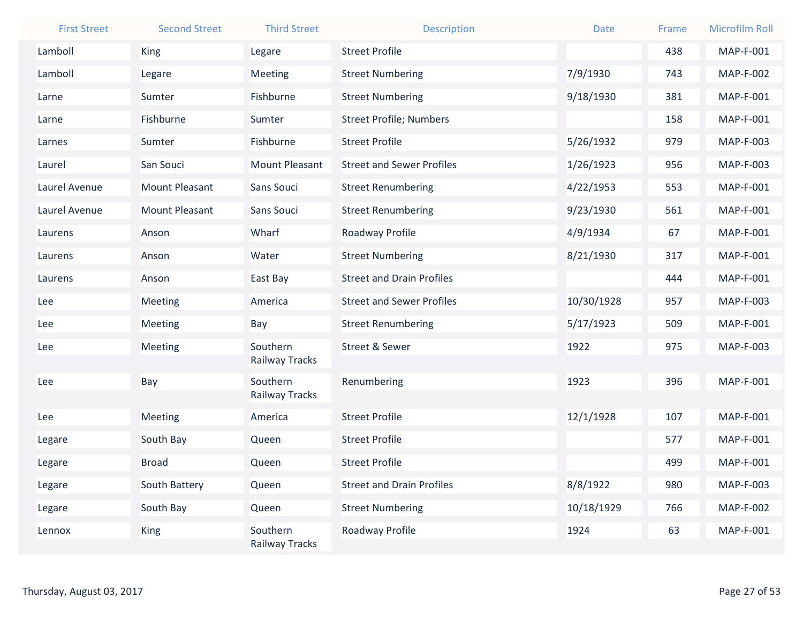| <b>First Street</b> | <b>Second Street</b>  | <b>Third Street</b>        | <b>Description</b>               | <b>Date</b> | Frame | <b>Microfilm Roll</b> |
|---------------------|-----------------------|----------------------------|----------------------------------|-------------|-------|-----------------------|
| Lamboll             | King                  | Legare                     | <b>Street Profile</b>            |             | 438   | MAP-F-001             |
| Lamboll             | Legare                | Meeting                    | <b>Street Numbering</b>          | 7/9/1930    | 743   | <b>MAP-F-002</b>      |
| Larne               | Sumter                | Fishburne                  | <b>Street Numbering</b>          | 9/18/1930   | 381   | <b>MAP-F-001</b>      |
| Larne               | Fishburne             | Sumter                     | <b>Street Profile; Numbers</b>   |             | 158   | MAP-F-001             |
| Larnes              | Sumter                | Fishburne                  | <b>Street Profile</b>            | 5/26/1932   | 979   | MAP-F-003             |
| Laurel              | San Souci             | <b>Mount Pleasant</b>      | <b>Street and Sewer Profiles</b> | 1/26/1923   | 956   | MAP-F-003             |
| Laurel Avenue       | <b>Mount Pleasant</b> | Sans Souci                 | <b>Street Renumbering</b>        | 4/22/1953   | 553   | MAP-F-001             |
| Laurel Avenue       | <b>Mount Pleasant</b> | Sans Souci                 | <b>Street Renumbering</b>        | 9/23/1930   | 561   | <b>MAP-F-001</b>      |
| Laurens             | Anson                 | Wharf                      | Roadway Profile                  | 4/9/1934    | 67    | <b>MAP-F-001</b>      |
| Laurens             | Anson                 | Water                      | <b>Street Numbering</b>          | 8/21/1930   | 317   | <b>MAP-F-001</b>      |
| Laurens             | Anson                 | East Bay                   | <b>Street and Drain Profiles</b> |             | 444   | <b>MAP-F-001</b>      |
| Lee                 | Meeting               | America                    | <b>Street and Sewer Profiles</b> | 10/30/1928  | 957   | MAP-F-003             |
| Lee                 | Meeting               | Bay                        | <b>Street Renumbering</b>        | 5/17/1923   | 509   | <b>MAP-F-001</b>      |
| Lee                 | Meeting               | Southern<br>Railway Tracks | <b>Street &amp; Sewer</b>        | 1922        | 975   | MAP-F-003             |
| Lee                 | Bay                   | Southern<br>Railway Tracks | Renumbering                      | 1923        | 396   | <b>MAP-F-001</b>      |
| Lee                 | Meeting               | America                    | <b>Street Profile</b>            | 12/1/1928   | 107   | <b>MAP-F-001</b>      |
| Legare              | South Bay             | Queen                      | <b>Street Profile</b>            |             | 577   | MAP-F-001             |
| Legare              | <b>Broad</b>          | Queen                      | <b>Street Profile</b>            |             | 499   | <b>MAP-F-001</b>      |
| Legare              | South Battery         | Queen                      | <b>Street and Drain Profiles</b> | 8/8/1922    | 980   | MAP-F-003             |
| Legare              | South Bay             | Queen                      | <b>Street Numbering</b>          | 10/18/1929  | 766   | <b>MAP-F-002</b>      |
| Lennox              | <b>King</b>           | Southern                   | Roadway Profile                  | 1924        | 63    | MAP-F-001             |
|                     |                       | Railway Tracks             |                                  |             |       |                       |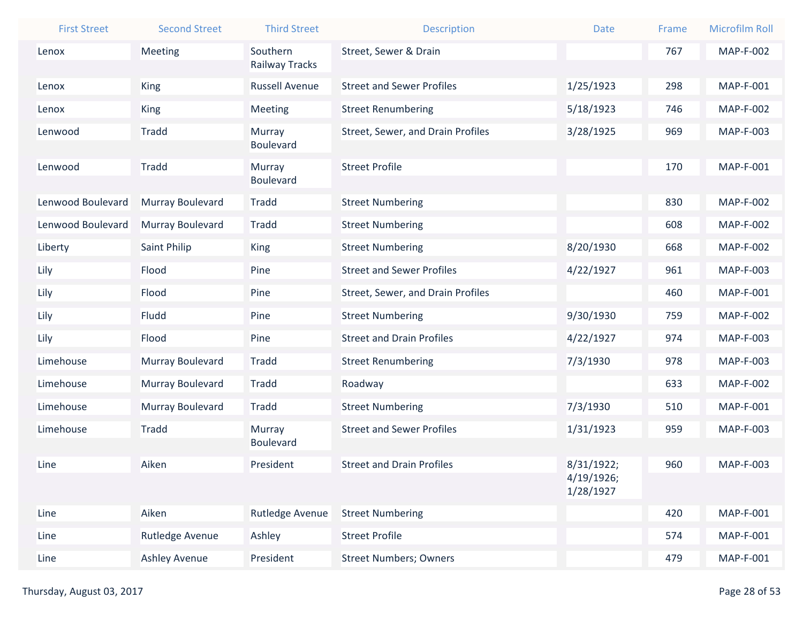| <b>First Street</b> | <b>Second Street</b> | <b>Third Street</b>        | <b>Description</b>                | <b>Date</b>              | Frame | <b>Microfilm Roll</b> |
|---------------------|----------------------|----------------------------|-----------------------------------|--------------------------|-------|-----------------------|
| Lenox               | Meeting              | Southern                   | Street, Sewer & Drain             |                          | 767   | <b>MAP-F-002</b>      |
|                     |                      | Railway Tracks             |                                   |                          |       |                       |
| Lenox               | <b>King</b>          | <b>Russell Avenue</b>      | <b>Street and Sewer Profiles</b>  | 1/25/1923                | 298   | <b>MAP-F-001</b>      |
| Lenox               | <b>King</b>          | Meeting                    | <b>Street Renumbering</b>         | 5/18/1923                | 746   | <b>MAP-F-002</b>      |
| Lenwood             | <b>Tradd</b>         | Murray                     | Street, Sewer, and Drain Profiles | 3/28/1925                | 969   | MAP-F-003             |
|                     |                      | Boulevard                  |                                   |                          |       |                       |
| Lenwood             | <b>Tradd</b>         | Murray<br><b>Boulevard</b> | <b>Street Profile</b>             |                          | 170   | <b>MAP-F-001</b>      |
| Lenwood Boulevard   | Murray Boulevard     | Tradd                      | <b>Street Numbering</b>           |                          | 830   | <b>MAP-F-002</b>      |
|                     |                      |                            |                                   |                          |       |                       |
| Lenwood Boulevard   | Murray Boulevard     | <b>Tradd</b>               | <b>Street Numbering</b>           |                          | 608   | <b>MAP-F-002</b>      |
| Liberty             | Saint Philip         | King                       | <b>Street Numbering</b>           | 8/20/1930                | 668   | <b>MAP-F-002</b>      |
| Lily                | Flood                | Pine                       | <b>Street and Sewer Profiles</b>  | 4/22/1927                | 961   | <b>MAP-F-003</b>      |
| Lily                | Flood                | Pine                       | Street, Sewer, and Drain Profiles |                          | 460   | <b>MAP-F-001</b>      |
| Lily                | Fludd                | Pine                       | <b>Street Numbering</b>           | 9/30/1930                | 759   | <b>MAP-F-002</b>      |
| Lily                | Flood                | Pine                       | <b>Street and Drain Profiles</b>  | 4/22/1927                | 974   | MAP-F-003             |
| Limehouse           | Murray Boulevard     | <b>Tradd</b>               | <b>Street Renumbering</b>         | 7/3/1930                 | 978   | <b>MAP-F-003</b>      |
| Limehouse           | Murray Boulevard     | Tradd                      | Roadway                           |                          | 633   | <b>MAP-F-002</b>      |
| Limehouse           | Murray Boulevard     | <b>Tradd</b>               | <b>Street Numbering</b>           | 7/3/1930                 | 510   | <b>MAP-F-001</b>      |
| Limehouse           | <b>Tradd</b>         | Murray                     | <b>Street and Sewer Profiles</b>  | 1/31/1923                | 959   | MAP-F-003             |
|                     |                      | Boulevard                  |                                   |                          |       |                       |
| Line                | Aiken                | President                  | <b>Street and Drain Profiles</b>  | 8/31/1922;<br>4/19/1926; | 960   | MAP-F-003             |
|                     |                      |                            |                                   | 1/28/1927                |       |                       |
| Line                | Aiken                | Rutledge Avenue            | <b>Street Numbering</b>           |                          | 420   | MAP-F-001             |
| Line                | Rutledge Avenue      | Ashley                     | <b>Street Profile</b>             |                          | 574   | <b>MAP-F-001</b>      |
| Line                | <b>Ashley Avenue</b> | President                  | <b>Street Numbers; Owners</b>     |                          | 479   | <b>MAP-F-001</b>      |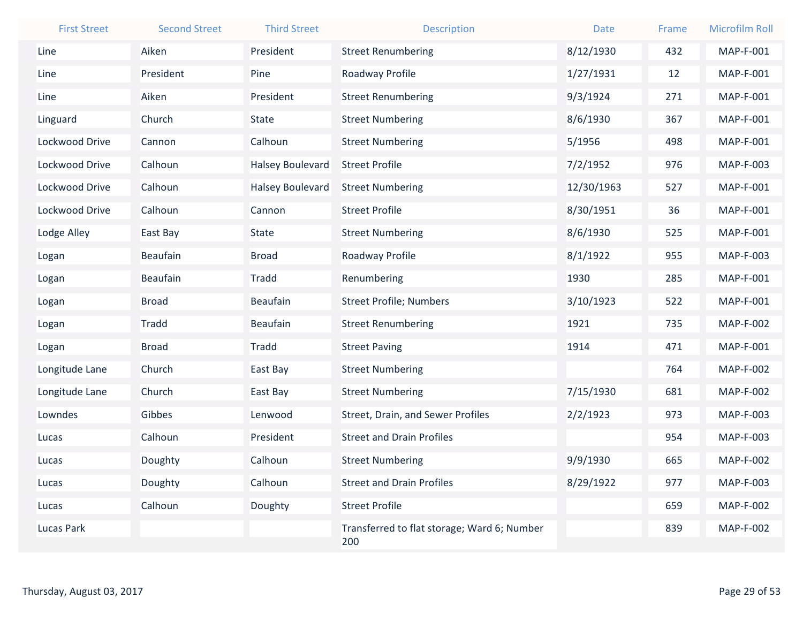| <b>First Street</b> | <b>Second Street</b> | <b>Third Street</b>     | <b>Description</b>                                 | <b>Date</b> | Frame | <b>Microfilm Roll</b> |
|---------------------|----------------------|-------------------------|----------------------------------------------------|-------------|-------|-----------------------|
| Line                | Aiken                | President               | <b>Street Renumbering</b>                          | 8/12/1930   | 432   | <b>MAP-F-001</b>      |
| Line                | President            | Pine                    | Roadway Profile                                    | 1/27/1931   | 12    | MAP-F-001             |
| Line                | Aiken                | President               | <b>Street Renumbering</b>                          | 9/3/1924    | 271   | <b>MAP-F-001</b>      |
| Linguard            | Church               | <b>State</b>            | <b>Street Numbering</b>                            | 8/6/1930    | 367   | <b>MAP-F-001</b>      |
| Lockwood Drive      | Cannon               | Calhoun                 | <b>Street Numbering</b>                            | 5/1956      | 498   | MAP-F-001             |
| Lockwood Drive      | Calhoun              | <b>Halsey Boulevard</b> | <b>Street Profile</b>                              | 7/2/1952    | 976   | MAP-F-003             |
| Lockwood Drive      | Calhoun              | <b>Halsey Boulevard</b> | <b>Street Numbering</b>                            | 12/30/1963  | 527   | MAP-F-001             |
| Lockwood Drive      | Calhoun              | Cannon                  | <b>Street Profile</b>                              | 8/30/1951   | 36    | <b>MAP-F-001</b>      |
| Lodge Alley         | East Bay             | <b>State</b>            | <b>Street Numbering</b>                            | 8/6/1930    | 525   | <b>MAP-F-001</b>      |
| Logan               | <b>Beaufain</b>      | <b>Broad</b>            | Roadway Profile                                    | 8/1/1922    | 955   | MAP-F-003             |
| Logan               | <b>Beaufain</b>      | <b>Tradd</b>            | Renumbering                                        | 1930        | 285   | MAP-F-001             |
| Logan               | <b>Broad</b>         | Beaufain                | <b>Street Profile; Numbers</b>                     | 3/10/1923   | 522   | MAP-F-001             |
| Logan               | <b>Tradd</b>         | <b>Beaufain</b>         | <b>Street Renumbering</b>                          | 1921        | 735   | <b>MAP-F-002</b>      |
| Logan               | <b>Broad</b>         | <b>Tradd</b>            | <b>Street Paving</b>                               | 1914        | 471   | <b>MAP-F-001</b>      |
| Longitude Lane      | Church               | East Bay                | <b>Street Numbering</b>                            |             | 764   | <b>MAP-F-002</b>      |
| Longitude Lane      | Church               | East Bay                | <b>Street Numbering</b>                            | 7/15/1930   | 681   | <b>MAP-F-002</b>      |
| Lowndes             | Gibbes               | Lenwood                 | Street, Drain, and Sewer Profiles                  | 2/2/1923    | 973   | MAP-F-003             |
| Lucas               | Calhoun              | President               | <b>Street and Drain Profiles</b>                   |             | 954   | <b>MAP-F-003</b>      |
| Lucas               | Doughty              | Calhoun                 | <b>Street Numbering</b>                            | 9/9/1930    | 665   | <b>MAP-F-002</b>      |
| Lucas               | Doughty              | Calhoun                 | <b>Street and Drain Profiles</b>                   | 8/29/1922   | 977   | MAP-F-003             |
| Lucas               | Calhoun              | Doughty                 | <b>Street Profile</b>                              |             | 659   | <b>MAP-F-002</b>      |
| <b>Lucas Park</b>   |                      |                         | Transferred to flat storage; Ward 6; Number<br>200 |             | 839   | <b>MAP-F-002</b>      |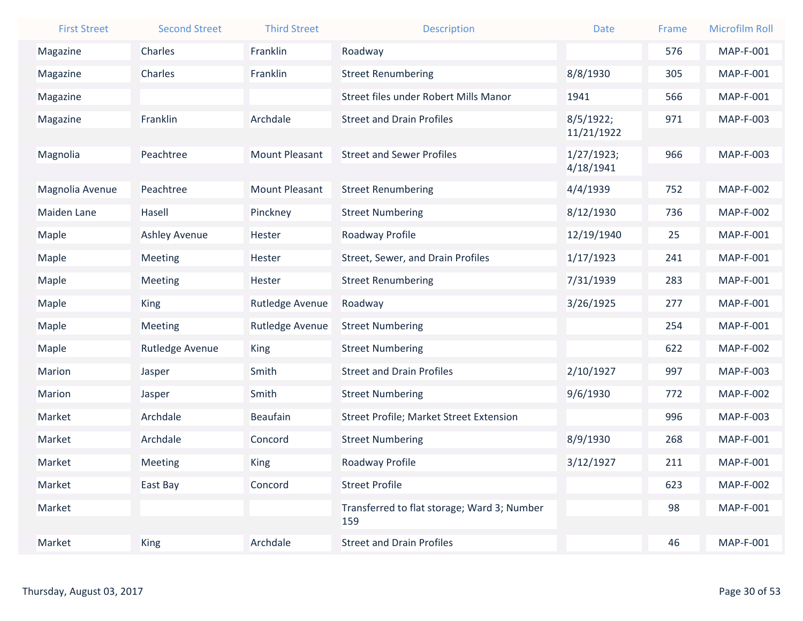| <b>First Street</b> | <b>Second Street</b> | <b>Third Street</b>   | <b>Description</b>                          | Date                    | Frame | <b>Microfilm Roll</b> |
|---------------------|----------------------|-----------------------|---------------------------------------------|-------------------------|-------|-----------------------|
| Magazine            | Charles              | Franklin              | Roadway                                     |                         | 576   | <b>MAP-F-001</b>      |
| Magazine            | Charles              | Franklin              | <b>Street Renumbering</b>                   | 8/8/1930                | 305   | <b>MAP-F-001</b>      |
| Magazine            |                      |                       | Street files under Robert Mills Manor       | 1941                    | 566   | <b>MAP-F-001</b>      |
| Magazine            | Franklin             | Archdale              | <b>Street and Drain Profiles</b>            | 8/5/1922;<br>11/21/1922 | 971   | MAP-F-003             |
| Magnolia            | Peachtree            | <b>Mount Pleasant</b> | <b>Street and Sewer Profiles</b>            | 1/27/1923;<br>4/18/1941 | 966   | MAP-F-003             |
| Magnolia Avenue     | Peachtree            | <b>Mount Pleasant</b> | <b>Street Renumbering</b>                   | 4/4/1939                | 752   | <b>MAP-F-002</b>      |
| <b>Maiden Lane</b>  | Hasell               | Pinckney              | <b>Street Numbering</b>                     | 8/12/1930               | 736   | <b>MAP-F-002</b>      |
| Maple               | <b>Ashley Avenue</b> | Hester                | Roadway Profile                             | 12/19/1940              | 25    | MAP-F-001             |
| Maple               | <b>Meeting</b>       | Hester                | Street, Sewer, and Drain Profiles           | 1/17/1923               | 241   | <b>MAP-F-001</b>      |
| Maple               | Meeting              | Hester                | <b>Street Renumbering</b>                   | 7/31/1939               | 283   | <b>MAP-F-001</b>      |
| Maple               | <b>King</b>          | Rutledge Avenue       | Roadway                                     | 3/26/1925               | 277   | MAP-F-001             |
| Maple               | Meeting              | Rutledge Avenue       | <b>Street Numbering</b>                     |                         | 254   | <b>MAP-F-001</b>      |
| Maple               | Rutledge Avenue      | <b>King</b>           | <b>Street Numbering</b>                     |                         | 622   | <b>MAP-F-002</b>      |
| Marion              | Jasper               | Smith                 | <b>Street and Drain Profiles</b>            | 2/10/1927               | 997   | MAP-F-003             |
| Marion              | Jasper               | Smith                 | <b>Street Numbering</b>                     | 9/6/1930                | 772   | <b>MAP-F-002</b>      |
| Market              | Archdale             | <b>Beaufain</b>       | Street Profile; Market Street Extension     |                         | 996   | MAP-F-003             |
| Market              | Archdale             | Concord               | <b>Street Numbering</b>                     | 8/9/1930                | 268   | <b>MAP-F-001</b>      |
| Market              | Meeting              | <b>King</b>           | Roadway Profile                             | 3/12/1927               | 211   | <b>MAP-F-001</b>      |
| Market              | East Bay             | Concord               | <b>Street Profile</b>                       |                         | 623   | <b>MAP-F-002</b>      |
| Market              |                      |                       | Transferred to flat storage; Ward 3; Number |                         | 98    | MAP-F-001             |
|                     |                      |                       | 159                                         |                         |       |                       |
| Market              | <b>King</b>          | Archdale              | <b>Street and Drain Profiles</b>            |                         | 46    | <b>MAP-F-001</b>      |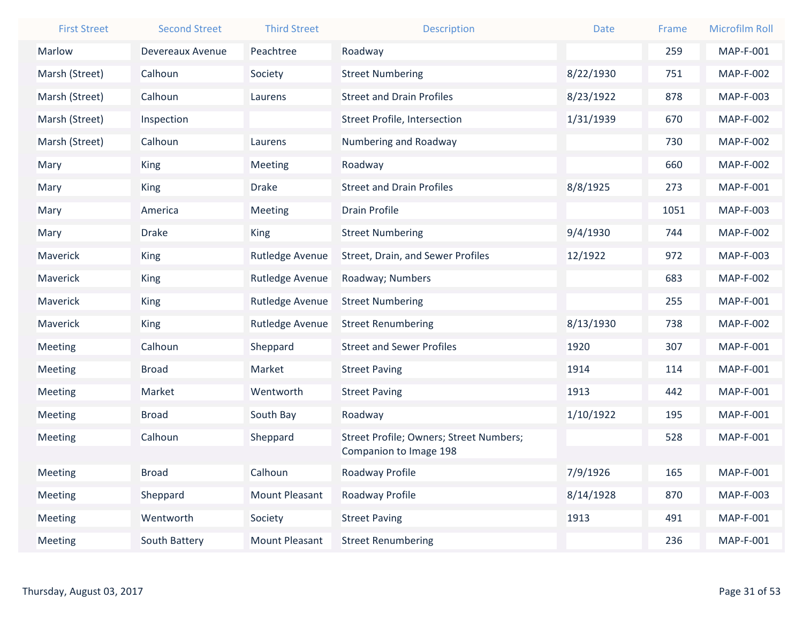| <b>First Street</b> | <b>Second Street</b> | <b>Third Street</b>   | <b>Description</b>                      | <b>Date</b> | Frame | <b>Microfilm Roll</b> |
|---------------------|----------------------|-----------------------|-----------------------------------------|-------------|-------|-----------------------|
| Marlow              | Devereaux Avenue     | Peachtree             | Roadway                                 |             | 259   | <b>MAP-F-001</b>      |
| Marsh (Street)      | Calhoun              | Society               | <b>Street Numbering</b>                 | 8/22/1930   | 751   | <b>MAP-F-002</b>      |
| Marsh (Street)      | Calhoun              | Laurens               | <b>Street and Drain Profiles</b>        | 8/23/1922   | 878   | MAP-F-003             |
| Marsh (Street)      | Inspection           |                       | <b>Street Profile, Intersection</b>     | 1/31/1939   | 670   | <b>MAP-F-002</b>      |
| Marsh (Street)      | Calhoun              | Laurens               | Numbering and Roadway                   |             | 730   | <b>MAP-F-002</b>      |
| Mary                | King                 | <b>Meeting</b>        | Roadway                                 |             | 660   | <b>MAP-F-002</b>      |
| Mary                | <b>King</b>          | <b>Drake</b>          | <b>Street and Drain Profiles</b>        | 8/8/1925    | 273   | MAP-F-001             |
| Mary                | America              | Meeting               | <b>Drain Profile</b>                    |             | 1051  | <b>MAP-F-003</b>      |
| Mary                | <b>Drake</b>         | <b>King</b>           | <b>Street Numbering</b>                 | 9/4/1930    | 744   | <b>MAP-F-002</b>      |
| Maverick            | King                 | Rutledge Avenue       | Street, Drain, and Sewer Profiles       | 12/1922     | 972   | <b>MAP-F-003</b>      |
| Maverick            | <b>King</b>          | Rutledge Avenue       | Roadway; Numbers                        |             | 683   | <b>MAP-F-002</b>      |
| Maverick            | King                 | Rutledge Avenue       | <b>Street Numbering</b>                 |             | 255   | MAP-F-001             |
| Maverick            | King                 | Rutledge Avenue       | <b>Street Renumbering</b>               | 8/13/1930   | 738   | <b>MAP-F-002</b>      |
| Meeting             | Calhoun              | Sheppard              | <b>Street and Sewer Profiles</b>        | 1920        | 307   | <b>MAP-F-001</b>      |
| Meeting             | <b>Broad</b>         | Market                | <b>Street Paving</b>                    | 1914        | 114   | <b>MAP-F-001</b>      |
| Meeting             | Market               | Wentworth             | <b>Street Paving</b>                    | 1913        | 442   | <b>MAP-F-001</b>      |
| Meeting             | <b>Broad</b>         | South Bay             | Roadway                                 | 1/10/1922   | 195   | MAP-F-001             |
| Meeting             | Calhoun              | Sheppard              | Street Profile; Owners; Street Numbers; |             | 528   | <b>MAP-F-001</b>      |
|                     |                      |                       | Companion to Image 198                  |             |       |                       |
| Meeting             | <b>Broad</b>         | Calhoun               | Roadway Profile                         | 7/9/1926    | 165   | <b>MAP-F-001</b>      |
| Meeting             | Sheppard             | <b>Mount Pleasant</b> | Roadway Profile                         | 8/14/1928   | 870   | MAP-F-003             |
| Meeting             | Wentworth            | Society               | <b>Street Paving</b>                    | 1913        | 491   | <b>MAP-F-001</b>      |
| Meeting             | South Battery        | <b>Mount Pleasant</b> | <b>Street Renumbering</b>               |             | 236   | <b>MAP-F-001</b>      |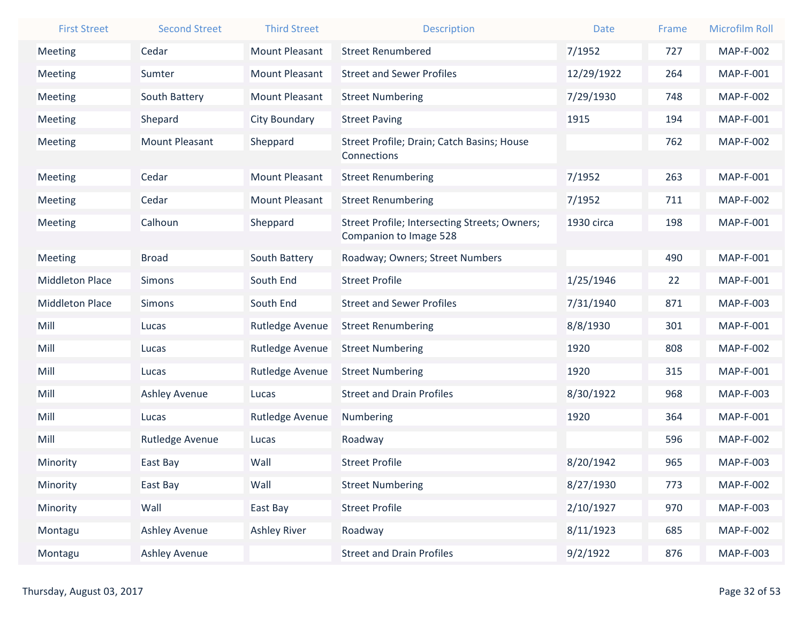| <b>First Street</b>    | <b>Second Street</b>  | <b>Third Street</b>   | <b>Description</b>                            | <b>Date</b> | Frame | <b>Microfilm Roll</b> |
|------------------------|-----------------------|-----------------------|-----------------------------------------------|-------------|-------|-----------------------|
| Meeting                | Cedar                 | <b>Mount Pleasant</b> | <b>Street Renumbered</b>                      | 7/1952      | 727   | <b>MAP-F-002</b>      |
| Meeting                | Sumter                | <b>Mount Pleasant</b> | <b>Street and Sewer Profiles</b>              | 12/29/1922  | 264   | <b>MAP-F-001</b>      |
| Meeting                | South Battery         | <b>Mount Pleasant</b> | <b>Street Numbering</b>                       | 7/29/1930   | 748   | <b>MAP-F-002</b>      |
| Meeting                | Shepard               | City Boundary         | <b>Street Paving</b>                          | 1915        | 194   | <b>MAP-F-001</b>      |
| Meeting                | <b>Mount Pleasant</b> | Sheppard              | Street Profile; Drain; Catch Basins; House    |             | 762   | <b>MAP-F-002</b>      |
|                        |                       |                       | Connections                                   |             |       |                       |
| Meeting                | Cedar                 | <b>Mount Pleasant</b> | <b>Street Renumbering</b>                     | 7/1952      | 263   | <b>MAP-F-001</b>      |
| Meeting                | Cedar                 | <b>Mount Pleasant</b> | <b>Street Renumbering</b>                     | 7/1952      | 711   | <b>MAP-F-002</b>      |
| Meeting                | Calhoun               | Sheppard              | Street Profile; Intersecting Streets; Owners; | 1930 circa  | 198   | MAP-F-001             |
|                        |                       |                       | Companion to Image 528                        |             |       |                       |
| Meeting                | <b>Broad</b>          | South Battery         | Roadway; Owners; Street Numbers               |             | 490   | <b>MAP-F-001</b>      |
| <b>Middleton Place</b> | <b>Simons</b>         | South End             | <b>Street Profile</b>                         | 1/25/1946   | 22    | <b>MAP-F-001</b>      |
| <b>Middleton Place</b> | Simons                | South End             | <b>Street and Sewer Profiles</b>              | 7/31/1940   | 871   | <b>MAP-F-003</b>      |
| Mill                   | Lucas                 | Rutledge Avenue       | <b>Street Renumbering</b>                     | 8/8/1930    | 301   | <b>MAP-F-001</b>      |
| Mill                   | Lucas                 | Rutledge Avenue       | <b>Street Numbering</b>                       | 1920        | 808   | <b>MAP-F-002</b>      |
| Mill                   | Lucas                 | Rutledge Avenue       | <b>Street Numbering</b>                       | 1920        | 315   | <b>MAP-F-001</b>      |
| Mill                   | <b>Ashley Avenue</b>  | Lucas                 | <b>Street and Drain Profiles</b>              | 8/30/1922   | 968   | MAP-F-003             |
| Mill                   | Lucas                 | Rutledge Avenue       | Numbering                                     | 1920        | 364   | <b>MAP-F-001</b>      |
| Mill                   | Rutledge Avenue       | Lucas                 | Roadway                                       |             | 596   | <b>MAP-F-002</b>      |
| Minority               | East Bay              | Wall                  | <b>Street Profile</b>                         | 8/20/1942   | 965   | MAP-F-003             |
| Minority               | East Bay              | Wall                  | <b>Street Numbering</b>                       | 8/27/1930   | 773   | <b>MAP-F-002</b>      |
| Minority               | Wall                  | East Bay              | <b>Street Profile</b>                         | 2/10/1927   | 970   | MAP-F-003             |
| Montagu                | Ashley Avenue         | <b>Ashley River</b>   | Roadway                                       | 8/11/1923   | 685   | <b>MAP-F-002</b>      |
| Montagu                | Ashley Avenue         |                       | <b>Street and Drain Profiles</b>              | 9/2/1922    | 876   | MAP-F-003             |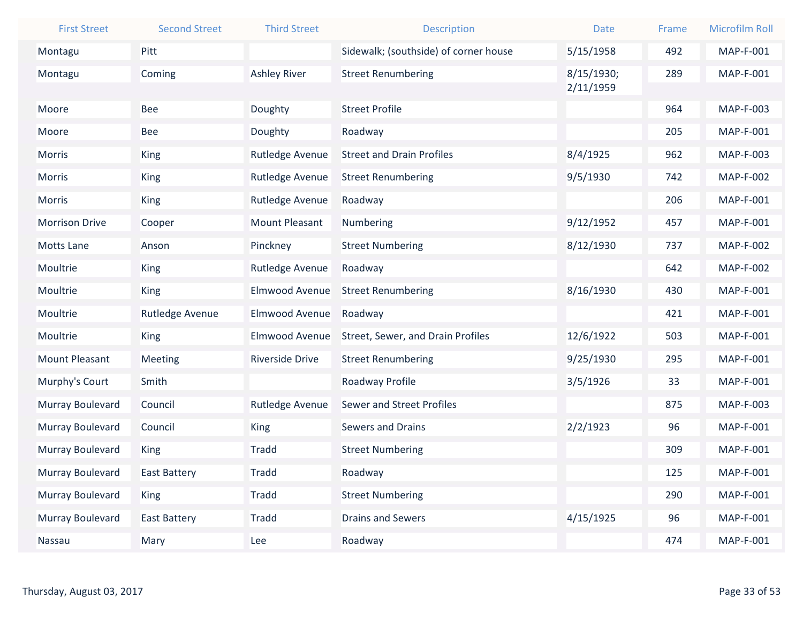| <b>First Street</b>   | <b>Second Street</b> | <b>Third Street</b>   | <b>Description</b>                    | <b>Date</b> | Frame | <b>Microfilm Roll</b> |
|-----------------------|----------------------|-----------------------|---------------------------------------|-------------|-------|-----------------------|
| Montagu               | Pitt                 |                       | Sidewalk; (southside) of corner house | 5/15/1958   | 492   | <b>MAP-F-001</b>      |
| Montagu               | Coming               | <b>Ashley River</b>   | <b>Street Renumbering</b>             | 8/15/1930;  | 289   | <b>MAP-F-001</b>      |
|                       |                      |                       |                                       | 2/11/1959   |       |                       |
| Moore                 | <b>Bee</b>           | Doughty               | <b>Street Profile</b>                 |             | 964   | MAP-F-003             |
| Moore                 | <b>Bee</b>           | Doughty               | Roadway                               |             | 205   | MAP-F-001             |
| Morris                | <b>King</b>          | Rutledge Avenue       | <b>Street and Drain Profiles</b>      | 8/4/1925    | 962   | MAP-F-003             |
| Morris                | <b>King</b>          | Rutledge Avenue       | <b>Street Renumbering</b>             | 9/5/1930    | 742   | <b>MAP-F-002</b>      |
| Morris                | King                 | Rutledge Avenue       | Roadway                               |             | 206   | MAP-F-001             |
| <b>Morrison Drive</b> | Cooper               | <b>Mount Pleasant</b> | Numbering                             | 9/12/1952   | 457   | MAP-F-001             |
| <b>Motts Lane</b>     | Anson                | Pinckney              | <b>Street Numbering</b>               | 8/12/1930   | 737   | <b>MAP-F-002</b>      |
| Moultrie              | <b>King</b>          | Rutledge Avenue       | Roadway                               |             | 642   | <b>MAP-F-002</b>      |
| Moultrie              | <b>King</b>          | Elmwood Avenue        | <b>Street Renumbering</b>             | 8/16/1930   | 430   | MAP-F-001             |
| Moultrie              | Rutledge Avenue      | Elmwood Avenue        | Roadway                               |             | 421   | MAP-F-001             |
| Moultrie              | <b>King</b>          | Elmwood Avenue        | Street, Sewer, and Drain Profiles     | 12/6/1922   | 503   | MAP-F-001             |
| <b>Mount Pleasant</b> | <b>Meeting</b>       | Riverside Drive       | <b>Street Renumbering</b>             | 9/25/1930   | 295   | MAP-F-001             |
| Murphy's Court        | Smith                |                       | Roadway Profile                       | 3/5/1926    | 33    | MAP-F-001             |
| Murray Boulevard      | Council              | Rutledge Avenue       | Sewer and Street Profiles             |             | 875   | MAP-F-003             |
| Murray Boulevard      | Council              | <b>King</b>           | <b>Sewers and Drains</b>              | 2/2/1923    | 96    | MAP-F-001             |
| Murray Boulevard      | <b>King</b>          | <b>Tradd</b>          | <b>Street Numbering</b>               |             | 309   | MAP-F-001             |
| Murray Boulevard      | <b>East Battery</b>  | Tradd                 | Roadway                               |             | 125   | MAP-F-001             |
| Murray Boulevard      | <b>King</b>          | Tradd                 | <b>Street Numbering</b>               |             | 290   | MAP-F-001             |
| Murray Boulevard      | <b>East Battery</b>  | Tradd                 | <b>Drains and Sewers</b>              | 4/15/1925   | 96    | MAP-F-001             |
| Nassau                | Mary                 | Lee                   | Roadway                               |             | 474   | <b>MAP-F-001</b>      |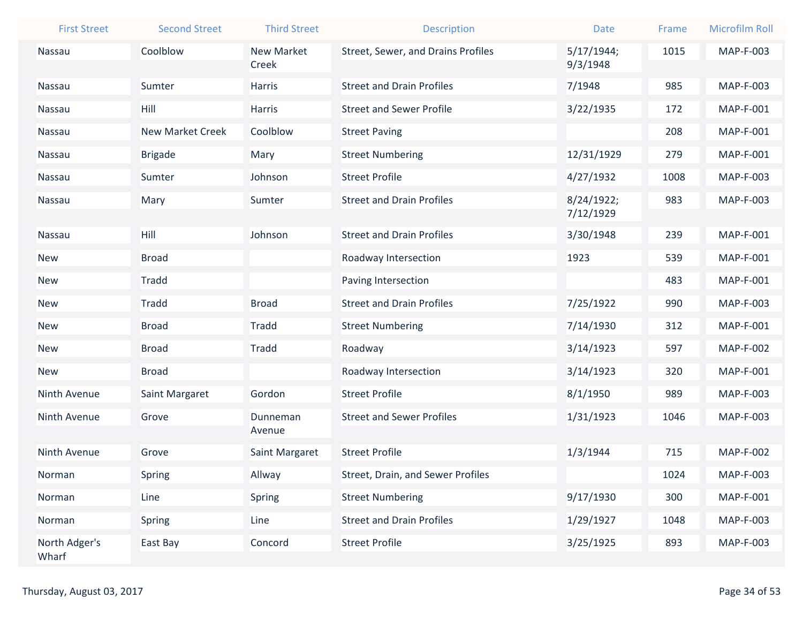| <b>First Street</b>    | <b>Second Street</b>    | <b>Third Street</b> | <b>Description</b>                        | <b>Date</b>             | Frame | <b>Microfilm Roll</b> |
|------------------------|-------------------------|---------------------|-------------------------------------------|-------------------------|-------|-----------------------|
| <b>Nassau</b>          | Coolblow                | <b>New Market</b>   | <b>Street, Sewer, and Drains Profiles</b> | 5/17/1944;              | 1015  | MAP-F-003             |
|                        |                         | Creek               |                                           | 9/3/1948                |       |                       |
| Nassau                 | Sumter                  | Harris              | <b>Street and Drain Profiles</b>          | 7/1948                  | 985   | MAP-F-003             |
| Nassau                 | Hill                    | <b>Harris</b>       | <b>Street and Sewer Profile</b>           | 3/22/1935               | 172   | <b>MAP-F-001</b>      |
| Nassau                 | <b>New Market Creek</b> | Coolblow            | <b>Street Paving</b>                      |                         | 208   | MAP-F-001             |
| Nassau                 | <b>Brigade</b>          | Mary                | <b>Street Numbering</b>                   | 12/31/1929              | 279   | MAP-F-001             |
| Nassau                 | Sumter                  | Johnson             | <b>Street Profile</b>                     | 4/27/1932               | 1008  | MAP-F-003             |
| Nassau                 | Mary                    | Sumter              | <b>Street and Drain Profiles</b>          | 8/24/1922;<br>7/12/1929 | 983   | MAP-F-003             |
| Nassau                 | Hill                    | Johnson             | <b>Street and Drain Profiles</b>          | 3/30/1948               | 239   | MAP-F-001             |
| <b>New</b>             | <b>Broad</b>            |                     | Roadway Intersection                      | 1923                    | 539   | MAP-F-001             |
| <b>New</b>             | Tradd                   |                     | Paving Intersection                       |                         | 483   | MAP-F-001             |
| <b>New</b>             | <b>Tradd</b>            | <b>Broad</b>        | <b>Street and Drain Profiles</b>          | 7/25/1922               | 990   | MAP-F-003             |
| <b>New</b>             | <b>Broad</b>            | <b>Tradd</b>        | <b>Street Numbering</b>                   | 7/14/1930               | 312   | MAP-F-001             |
| <b>New</b>             | <b>Broad</b>            | <b>Tradd</b>        | Roadway                                   | 3/14/1923               | 597   | <b>MAP-F-002</b>      |
| <b>New</b>             | <b>Broad</b>            |                     | Roadway Intersection                      | 3/14/1923               | 320   | MAP-F-001             |
| Ninth Avenue           | Saint Margaret          | Gordon              | <b>Street Profile</b>                     | 8/1/1950                | 989   | MAP-F-003             |
| Ninth Avenue           | Grove                   | Dunneman<br>Avenue  | <b>Street and Sewer Profiles</b>          | 1/31/1923               | 1046  | MAP-F-003             |
| Ninth Avenue           | Grove                   | Saint Margaret      | <b>Street Profile</b>                     | 1/3/1944                | 715   | <b>MAP-F-002</b>      |
| Norman                 | Spring                  | Allway              | Street, Drain, and Sewer Profiles         |                         | 1024  | MAP-F-003             |
| Norman                 | Line                    | Spring              | <b>Street Numbering</b>                   | 9/17/1930               | 300   | MAP-F-001             |
| Norman                 | Spring                  | Line                | <b>Street and Drain Profiles</b>          | 1/29/1927               | 1048  | MAP-F-003             |
| North Adger's<br>Wharf | East Bay                | Concord             | <b>Street Profile</b>                     | 3/25/1925               | 893   | MAP-F-003             |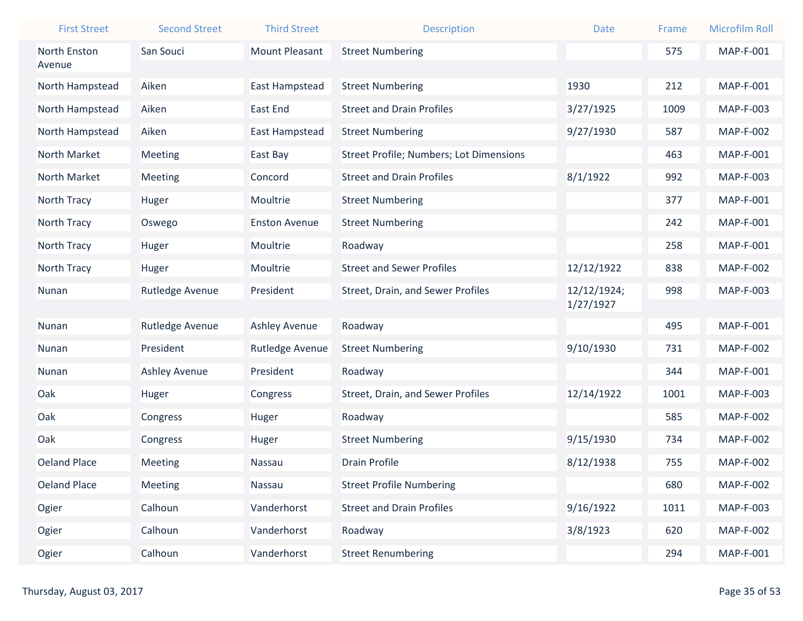| <b>First Street</b> | <b>Second Street</b> | <b>Third Street</b>   | <b>Description</b>                             | <b>Date</b> | Frame | <b>Microfilm Roll</b> |
|---------------------|----------------------|-----------------------|------------------------------------------------|-------------|-------|-----------------------|
| North Enston        | San Souci            | <b>Mount Pleasant</b> | <b>Street Numbering</b>                        |             | 575   | MAP-F-001             |
| Avenue              |                      |                       |                                                |             |       |                       |
| North Hampstead     | Aiken                | East Hampstead        | <b>Street Numbering</b>                        | 1930        | 212   | <b>MAP-F-001</b>      |
| North Hampstead     | Aiken                | East End              | <b>Street and Drain Profiles</b>               | 3/27/1925   | 1009  | MAP-F-003             |
| North Hampstead     | Aiken                | East Hampstead        | <b>Street Numbering</b>                        | 9/27/1930   | 587   | <b>MAP-F-002</b>      |
| North Market        | Meeting              | East Bay              | <b>Street Profile; Numbers; Lot Dimensions</b> |             | 463   | MAP-F-001             |
| North Market        | Meeting              | Concord               | <b>Street and Drain Profiles</b>               | 8/1/1922    | 992   | MAP-F-003             |
| North Tracy         | Huger                | Moultrie              | <b>Street Numbering</b>                        |             | 377   | MAP-F-001             |
| North Tracy         | Oswego               | <b>Enston Avenue</b>  | <b>Street Numbering</b>                        |             | 242   | MAP-F-001             |
| North Tracy         | Huger                | Moultrie              | Roadway                                        |             | 258   | MAP-F-001             |
| North Tracy         | Huger                | Moultrie              | <b>Street and Sewer Profiles</b>               | 12/12/1922  | 838   | <b>MAP-F-002</b>      |
| Nunan               | Rutledge Avenue      | President             | Street, Drain, and Sewer Profiles              | 12/12/1924; | 998   | MAP-F-003             |
|                     |                      |                       |                                                | 1/27/1927   |       |                       |
| Nunan               | Rutledge Avenue      | <b>Ashley Avenue</b>  | Roadway                                        |             | 495   | MAP-F-001             |
| Nunan               | President            | Rutledge Avenue       | <b>Street Numbering</b>                        | 9/10/1930   | 731   | <b>MAP-F-002</b>      |
| Nunan               | <b>Ashley Avenue</b> | President             | Roadway                                        |             | 344   | MAP-F-001             |
| Oak                 | Huger                | Congress              | Street, Drain, and Sewer Profiles              | 12/14/1922  | 1001  | MAP-F-003             |
| Oak                 | Congress             | Huger                 | Roadway                                        |             | 585   | <b>MAP-F-002</b>      |
| Oak                 | Congress             | Huger                 | <b>Street Numbering</b>                        | 9/15/1930   | 734   | <b>MAP-F-002</b>      |
| <b>Oeland Place</b> | Meeting              | Nassau                | <b>Drain Profile</b>                           | 8/12/1938   | 755   | <b>MAP-F-002</b>      |
| <b>Oeland Place</b> | Meeting              | Nassau                | <b>Street Profile Numbering</b>                |             | 680   | <b>MAP-F-002</b>      |
| Ogier               | Calhoun              | Vanderhorst           | <b>Street and Drain Profiles</b>               | 9/16/1922   | 1011  | MAP-F-003             |
| Ogier               | Calhoun              | Vanderhorst           | Roadway                                        | 3/8/1923    | 620   | <b>MAP-F-002</b>      |
| Ogier               | Calhoun              | Vanderhorst           | <b>Street Renumbering</b>                      |             | 294   | MAP-F-001             |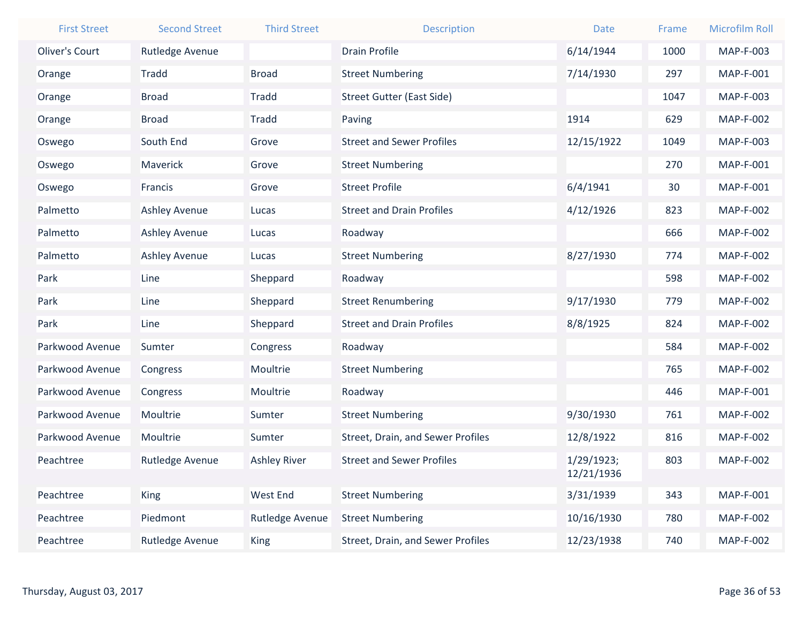| <b>First Street</b> | <b>Second Street</b> | <b>Third Street</b> | <b>Description</b>                | <b>Date</b> | Frame | <b>Microfilm Roll</b> |
|---------------------|----------------------|---------------------|-----------------------------------|-------------|-------|-----------------------|
| Oliver's Court      | Rutledge Avenue      |                     | <b>Drain Profile</b>              | 6/14/1944   | 1000  | MAP-F-003             |
| Orange              | <b>Tradd</b>         | <b>Broad</b>        | <b>Street Numbering</b>           | 7/14/1930   | 297   | MAP-F-001             |
| Orange              | <b>Broad</b>         | <b>Tradd</b>        | <b>Street Gutter (East Side)</b>  |             | 1047  | MAP-F-003             |
| Orange              | <b>Broad</b>         | Tradd               | Paving                            | 1914        | 629   | <b>MAP-F-002</b>      |
| Oswego              | South End            | Grove               | <b>Street and Sewer Profiles</b>  | 12/15/1922  | 1049  | MAP-F-003             |
| Oswego              | Maverick             | Grove               | <b>Street Numbering</b>           |             | 270   | <b>MAP-F-001</b>      |
| Oswego              | Francis              | Grove               | <b>Street Profile</b>             | 6/4/1941    | 30    | MAP-F-001             |
| Palmetto            | Ashley Avenue        | Lucas               | <b>Street and Drain Profiles</b>  | 4/12/1926   | 823   | <b>MAP-F-002</b>      |
| Palmetto            | <b>Ashley Avenue</b> | Lucas               | Roadway                           |             | 666   | <b>MAP-F-002</b>      |
| Palmetto            | <b>Ashley Avenue</b> | Lucas               | <b>Street Numbering</b>           | 8/27/1930   | 774   | <b>MAP-F-002</b>      |
| Park                | Line                 | Sheppard            | Roadway                           |             | 598   | <b>MAP-F-002</b>      |
| Park                | Line                 | Sheppard            | <b>Street Renumbering</b>         | 9/17/1930   | 779   | <b>MAP-F-002</b>      |
| Park                | Line                 | Sheppard            | <b>Street and Drain Profiles</b>  | 8/8/1925    | 824   | <b>MAP-F-002</b>      |
| Parkwood Avenue     | Sumter               | Congress            | Roadway                           |             | 584   | <b>MAP-F-002</b>      |
| Parkwood Avenue     | Congress             | Moultrie            | <b>Street Numbering</b>           |             | 765   | <b>MAP-F-002</b>      |
| Parkwood Avenue     | Congress             | Moultrie            | Roadway                           |             | 446   | MAP-F-001             |
| Parkwood Avenue     | Moultrie             | Sumter              | <b>Street Numbering</b>           | 9/30/1930   | 761   | <b>MAP-F-002</b>      |
| Parkwood Avenue     | Moultrie             | Sumter              | Street, Drain, and Sewer Profiles | 12/8/1922   | 816   | <b>MAP-F-002</b>      |
| Peachtree           | Rutledge Avenue      | <b>Ashley River</b> | <b>Street and Sewer Profiles</b>  | 1/29/1923;  | 803   | <b>MAP-F-002</b>      |
|                     |                      |                     |                                   | 12/21/1936  |       |                       |
| Peachtree           | <b>King</b>          | <b>West End</b>     | <b>Street Numbering</b>           | 3/31/1939   | 343   | <b>MAP-F-001</b>      |
| Peachtree           | Piedmont             | Rutledge Avenue     | <b>Street Numbering</b>           | 10/16/1930  | 780   | <b>MAP-F-002</b>      |
| Peachtree           | Rutledge Avenue      | King                | Street, Drain, and Sewer Profiles | 12/23/1938  | 740   | <b>MAP-F-002</b>      |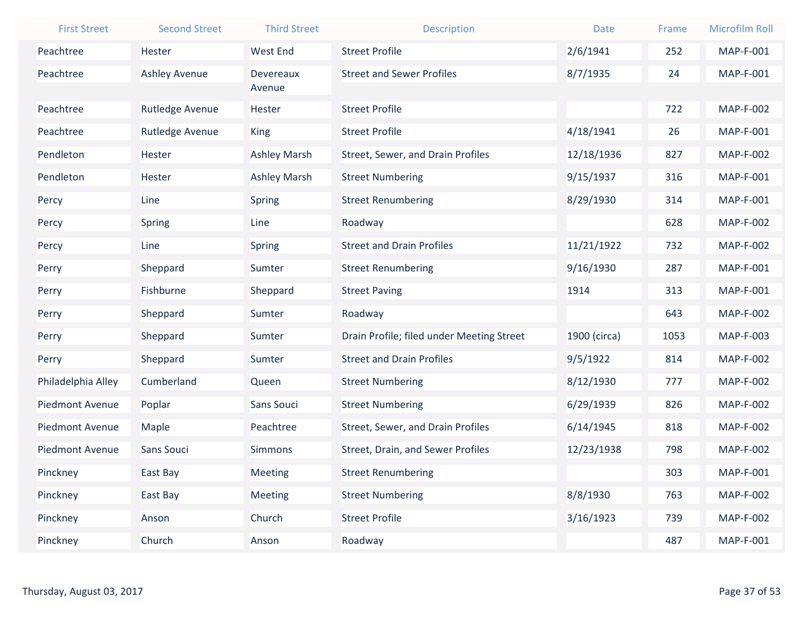| <b>First Street</b>    | <b>Second Street</b> | <b>Third Street</b> | <b>Description</b>                        | <b>Date</b>  | Frame | <b>Microfilm Roll</b> |
|------------------------|----------------------|---------------------|-------------------------------------------|--------------|-------|-----------------------|
| Peachtree              | Hester               | <b>West End</b>     | <b>Street Profile</b>                     | 2/6/1941     | 252   | <b>MAP-F-001</b>      |
| Peachtree              | <b>Ashley Avenue</b> | Devereaux           | <b>Street and Sewer Profiles</b>          | 8/7/1935     | 24    | <b>MAP-F-001</b>      |
|                        |                      | Avenue              |                                           |              |       |                       |
| Peachtree              | Rutledge Avenue      | Hester              | <b>Street Profile</b>                     |              | 722   | <b>MAP-F-002</b>      |
| Peachtree              | Rutledge Avenue      | <b>King</b>         | <b>Street Profile</b>                     | 4/18/1941    | 26    | MAP-F-001             |
| Pendleton              | Hester               | <b>Ashley Marsh</b> | Street, Sewer, and Drain Profiles         | 12/18/1936   | 827   | <b>MAP-F-002</b>      |
| Pendleton              | Hester               | <b>Ashley Marsh</b> | <b>Street Numbering</b>                   | 9/15/1937    | 316   | MAP-F-001             |
| Percy                  | Line                 | <b>Spring</b>       | <b>Street Renumbering</b>                 | 8/29/1930    | 314   | MAP-F-001             |
| Percy                  | <b>Spring</b>        | Line                | Roadway                                   |              | 628   | <b>MAP-F-002</b>      |
| Percy                  | Line                 | <b>Spring</b>       | <b>Street and Drain Profiles</b>          | 11/21/1922   | 732   | <b>MAP-F-002</b>      |
| Perry                  | Sheppard             | Sumter              | <b>Street Renumbering</b>                 | 9/16/1930    | 287   | MAP-F-001             |
| Perry                  | Fishburne            | Sheppard            | <b>Street Paving</b>                      | 1914         | 313   | <b>MAP-F-001</b>      |
| Perry                  | Sheppard             | Sumter              | Roadway                                   |              | 643   | <b>MAP-F-002</b>      |
| Perry                  | Sheppard             | Sumter              | Drain Profile; filed under Meeting Street | 1900 (circa) | 1053  | MAP-F-003             |
| Perry                  | Sheppard             | Sumter              | <b>Street and Drain Profiles</b>          | 9/5/1922     | 814   | <b>MAP-F-002</b>      |
| Philadelphia Alley     | Cumberland           | Queen               | <b>Street Numbering</b>                   | 8/12/1930    | 777   | <b>MAP-F-002</b>      |
| <b>Piedmont Avenue</b> | Poplar               | Sans Souci          | <b>Street Numbering</b>                   | 6/29/1939    | 826   | <b>MAP-F-002</b>      |
| <b>Piedmont Avenue</b> | Maple                | Peachtree           | Street, Sewer, and Drain Profiles         | 6/14/1945    | 818   | <b>MAP-F-002</b>      |
| Piedmont Avenue        | Sans Souci           | <b>Simmons</b>      | Street, Drain, and Sewer Profiles         | 12/23/1938   | 798   | <b>MAP-F-002</b>      |
| Pinckney               | East Bay             | Meeting             | <b>Street Renumbering</b>                 |              | 303   | MAP-F-001             |
| Pinckney               | East Bay             | <b>Meeting</b>      | <b>Street Numbering</b>                   | 8/8/1930     | 763   | <b>MAP-F-002</b>      |
| Pinckney               | Anson                | Church              | <b>Street Profile</b>                     | 3/16/1923    | 739   | <b>MAP-F-002</b>      |
| Pinckney               | Church               | Anson               | Roadway                                   |              | 487   | MAP-F-001             |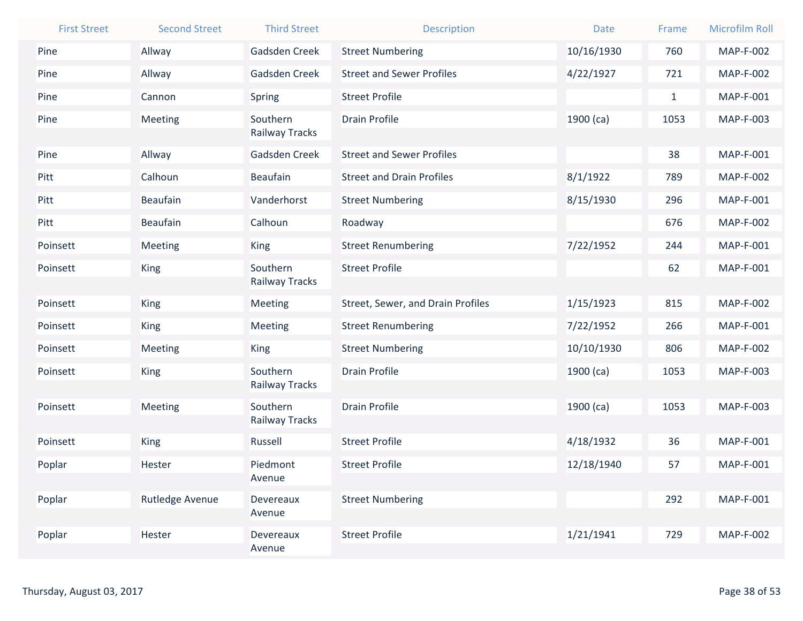| <b>First Street</b> | <b>Second Street</b> | <b>Third Street</b>        | <b>Description</b>                | <b>Date</b> | Frame        | <b>Microfilm Roll</b> |
|---------------------|----------------------|----------------------------|-----------------------------------|-------------|--------------|-----------------------|
| Pine                | Allway               | Gadsden Creek              | <b>Street Numbering</b>           | 10/16/1930  | 760          | <b>MAP-F-002</b>      |
| Pine                | Allway               | Gadsden Creek              | <b>Street and Sewer Profiles</b>  | 4/22/1927   | 721          | <b>MAP-F-002</b>      |
| Pine                | Cannon               | Spring                     | <b>Street Profile</b>             |             | $\mathbf{1}$ | MAP-F-001             |
| Pine                | Meeting              | Southern<br>Railway Tracks | <b>Drain Profile</b>              | $1900$ (ca) | 1053         | MAP-F-003             |
| Pine                | Allway               | Gadsden Creek              | <b>Street and Sewer Profiles</b>  |             | 38           | MAP-F-001             |
| Pitt                | Calhoun              | <b>Beaufain</b>            | <b>Street and Drain Profiles</b>  | 8/1/1922    | 789          | <b>MAP-F-002</b>      |
| Pitt                | <b>Beaufain</b>      | Vanderhorst                | <b>Street Numbering</b>           | 8/15/1930   | 296          | MAP-F-001             |
| Pitt                | <b>Beaufain</b>      | Calhoun                    | Roadway                           |             | 676          | <b>MAP-F-002</b>      |
| Poinsett            | Meeting              | <b>King</b>                | <b>Street Renumbering</b>         | 7/22/1952   | 244          | <b>MAP-F-001</b>      |
| Poinsett            | <b>King</b>          | Southern<br>Railway Tracks | <b>Street Profile</b>             |             | 62           | MAP-F-001             |
| Poinsett            | <b>King</b>          | Meeting                    | Street, Sewer, and Drain Profiles | 1/15/1923   | 815          | <b>MAP-F-002</b>      |
| Poinsett            | King                 | Meeting                    | <b>Street Renumbering</b>         | 7/22/1952   | 266          | MAP-F-001             |
| Poinsett            | Meeting              | King                       | <b>Street Numbering</b>           | 10/10/1930  | 806          | <b>MAP-F-002</b>      |
| Poinsett            | <b>King</b>          | Southern<br>Railway Tracks | <b>Drain Profile</b>              | $1900$ (ca) | 1053         | MAP-F-003             |
| Poinsett            | Meeting              | Southern                   | <b>Drain Profile</b>              | $1900$ (ca) | 1053         | MAP-F-003             |
|                     |                      | Railway Tracks             |                                   |             |              |                       |
| Poinsett            | <b>King</b>          | Russell                    | <b>Street Profile</b>             | 4/18/1932   | 36           | MAP-F-001             |
| Poplar              | Hester               | Piedmont<br>Avenue         | <b>Street Profile</b>             | 12/18/1940  | 57           | MAP-F-001             |
| Poplar              | Rutledge Avenue      | Devereaux                  | <b>Street Numbering</b>           |             | 292          | MAP-F-001             |
|                     |                      | Avenue                     |                                   |             |              |                       |
| Poplar              | Hester               | Devereaux<br>Avenue        | <b>Street Profile</b>             | 1/21/1941   | 729          | <b>MAP-F-002</b>      |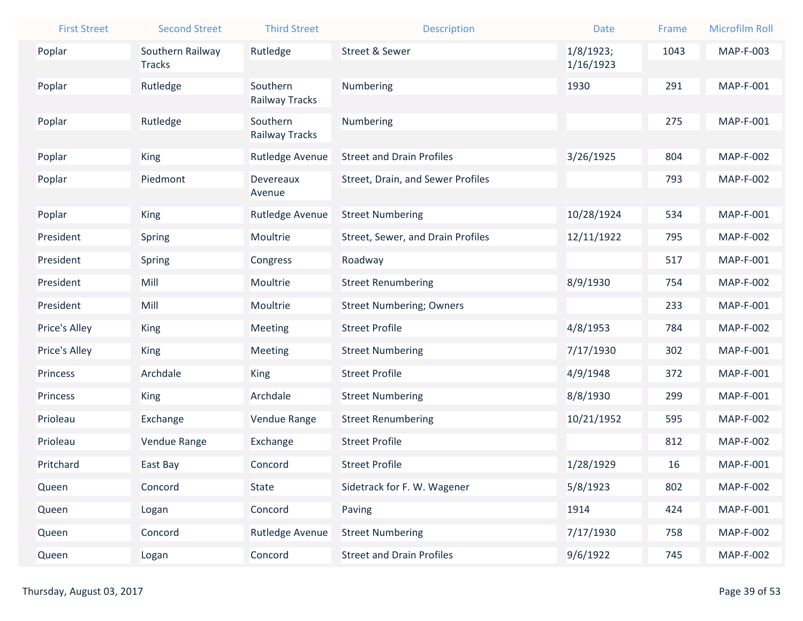| <b>First Street</b> | <b>Second Street</b> | <b>Third Street</b> | <b>Description</b>                | <b>Date</b> | Frame | <b>Microfilm Roll</b> |
|---------------------|----------------------|---------------------|-----------------------------------|-------------|-------|-----------------------|
| Poplar              | Southern Railway     | Rutledge            | <b>Street &amp; Sewer</b>         | 1/8/1923;   | 1043  | MAP-F-003             |
|                     | <b>Tracks</b>        |                     |                                   | 1/16/1923   |       |                       |
| Poplar              | Rutledge             | Southern            | Numbering                         | 1930        | 291   | MAP-F-001             |
|                     |                      | Railway Tracks      |                                   |             |       |                       |
| Poplar              | Rutledge             | Southern            | Numbering                         |             | 275   | MAP-F-001             |
|                     |                      | Railway Tracks      |                                   |             |       |                       |
| Poplar              | King                 | Rutledge Avenue     | <b>Street and Drain Profiles</b>  | 3/26/1925   | 804   | <b>MAP-F-002</b>      |
| Poplar              | Piedmont             | Devereaux           | Street, Drain, and Sewer Profiles |             | 793   | <b>MAP-F-002</b>      |
|                     |                      | Avenue              |                                   |             |       |                       |
| Poplar              | King                 | Rutledge Avenue     | <b>Street Numbering</b>           | 10/28/1924  | 534   | MAP-F-001             |
| President           | Spring               | Moultrie            | Street, Sewer, and Drain Profiles | 12/11/1922  | 795   | <b>MAP-F-002</b>      |
| President           | Spring               | Congress            | Roadway                           |             | 517   | MAP-F-001             |
| President           | Mill                 | Moultrie            | <b>Street Renumbering</b>         | 8/9/1930    | 754   | <b>MAP-F-002</b>      |
| President           | Mill                 | Moultrie            | <b>Street Numbering; Owners</b>   |             | 233   | MAP-F-001             |
| Price's Alley       | King                 | Meeting             | <b>Street Profile</b>             | 4/8/1953    | 784   | <b>MAP-F-002</b>      |
| Price's Alley       | King                 | Meeting             | <b>Street Numbering</b>           | 7/17/1930   | 302   | MAP-F-001             |
| Princess            | Archdale             | <b>King</b>         | <b>Street Profile</b>             | 4/9/1948    | 372   | MAP-F-001             |
| Princess            | <b>King</b>          | Archdale            | <b>Street Numbering</b>           | 8/8/1930    | 299   | <b>MAP-F-001</b>      |
| Prioleau            | Exchange             | Vendue Range        | <b>Street Renumbering</b>         | 10/21/1952  | 595   | <b>MAP-F-002</b>      |
| Prioleau            | Vendue Range         | Exchange            | <b>Street Profile</b>             |             | 812   | <b>MAP-F-002</b>      |
| Pritchard           | East Bay             | Concord             | <b>Street Profile</b>             | 1/28/1929   | 16    | MAP-F-001             |
| Queen               | Concord              | <b>State</b>        | Sidetrack for F. W. Wagener       | 5/8/1923    | 802   | <b>MAP-F-002</b>      |
| Queen               | Logan                | Concord             | Paving                            | 1914        | 424   | MAP-F-001             |
| Queen               | Concord              | Rutledge Avenue     | <b>Street Numbering</b>           | 7/17/1930   | 758   | <b>MAP-F-002</b>      |
| Queen               | Logan                | Concord             | <b>Street and Drain Profiles</b>  | 9/6/1922    | 745   | <b>MAP-F-002</b>      |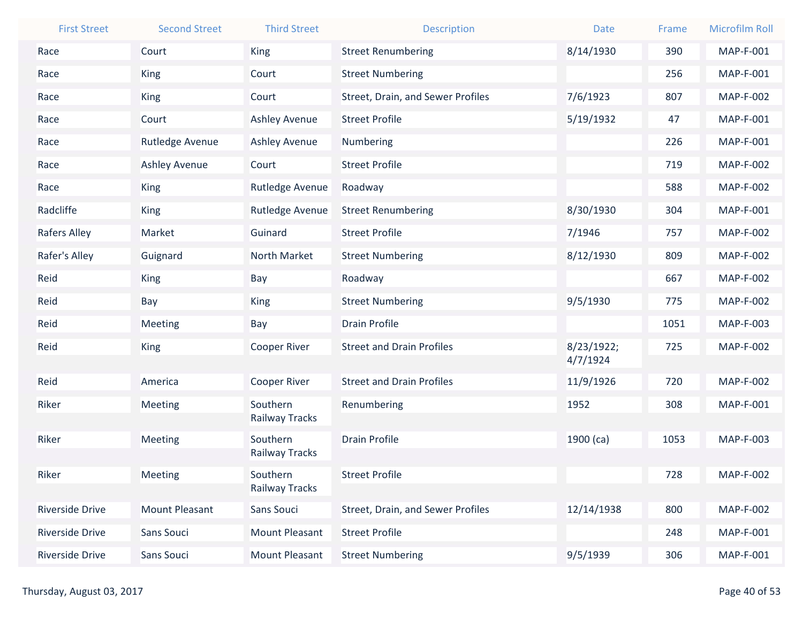| <b>First Street</b>    | <b>Second Street</b> | <b>Third Street</b>        | <b>Description</b>                | <b>Date</b>            | Frame | <b>Microfilm Roll</b> |
|------------------------|----------------------|----------------------------|-----------------------------------|------------------------|-------|-----------------------|
| Race                   | Court                | <b>King</b>                | <b>Street Renumbering</b>         | 8/14/1930              | 390   | <b>MAP-F-001</b>      |
| Race                   | <b>King</b>          | Court                      | <b>Street Numbering</b>           |                        | 256   | <b>MAP-F-001</b>      |
| Race                   | <b>King</b>          | Court                      | Street, Drain, and Sewer Profiles | 7/6/1923               | 807   | <b>MAP-F-002</b>      |
| Race                   | Court                | <b>Ashley Avenue</b>       | <b>Street Profile</b>             | 5/19/1932              | 47    | <b>MAP-F-001</b>      |
| Race                   | Rutledge Avenue      | <b>Ashley Avenue</b>       | Numbering                         |                        | 226   | MAP-F-001             |
| Race                   | <b>Ashley Avenue</b> | Court                      | <b>Street Profile</b>             |                        | 719   | <b>MAP-F-002</b>      |
| Race                   | <b>King</b>          | Rutledge Avenue            | Roadway                           |                        | 588   | <b>MAP-F-002</b>      |
| Radcliffe              | <b>King</b>          | Rutledge Avenue            | <b>Street Renumbering</b>         | 8/30/1930              | 304   | MAP-F-001             |
| Rafers Alley           | Market               | Guinard                    | <b>Street Profile</b>             | 7/1946                 | 757   | <b>MAP-F-002</b>      |
| Rafer's Alley          | Guignard             | North Market               | <b>Street Numbering</b>           | 8/12/1930              | 809   | <b>MAP-F-002</b>      |
| Reid                   | King                 | Bay                        | Roadway                           |                        | 667   | <b>MAP-F-002</b>      |
| Reid                   | Bay                  | <b>King</b>                | <b>Street Numbering</b>           | 9/5/1930               | 775   | <b>MAP-F-002</b>      |
| Reid                   | Meeting              | Bay                        | <b>Drain Profile</b>              |                        | 1051  | MAP-F-003             |
| Reid                   | <b>King</b>          | <b>Cooper River</b>        | <b>Street and Drain Profiles</b>  | 8/23/1922;<br>4/7/1924 | 725   | <b>MAP-F-002</b>      |
| Reid                   | America              | Cooper River               | <b>Street and Drain Profiles</b>  | 11/9/1926              | 720   | <b>MAP-F-002</b>      |
| Riker                  | Meeting              | Southern                   | Renumbering                       | 1952                   | 308   | MAP-F-001             |
|                        |                      | Railway Tracks             |                                   |                        |       |                       |
| Riker                  | Meeting              | Southern                   | <b>Drain Profile</b>              | $1900$ (ca)            | 1053  | <b>MAP-F-003</b>      |
|                        |                      | Railway Tracks             |                                   |                        |       |                       |
| Riker                  | Meeting              | Southern<br>Railway Tracks | <b>Street Profile</b>             |                        | 728   | <b>MAP-F-002</b>      |
| <b>Riverside Drive</b> | Mount Pleasant       | Sans Souci                 | Street, Drain, and Sewer Profiles | 12/14/1938             | 800   | <b>MAP-F-002</b>      |
| <b>Riverside Drive</b> | Sans Souci           | Mount Pleasant             | <b>Street Profile</b>             |                        | 248   | MAP-F-001             |
| Riverside Drive        | Sans Souci           | Mount Pleasant             | <b>Street Numbering</b>           | 9/5/1939               | 306   | MAP-F-001             |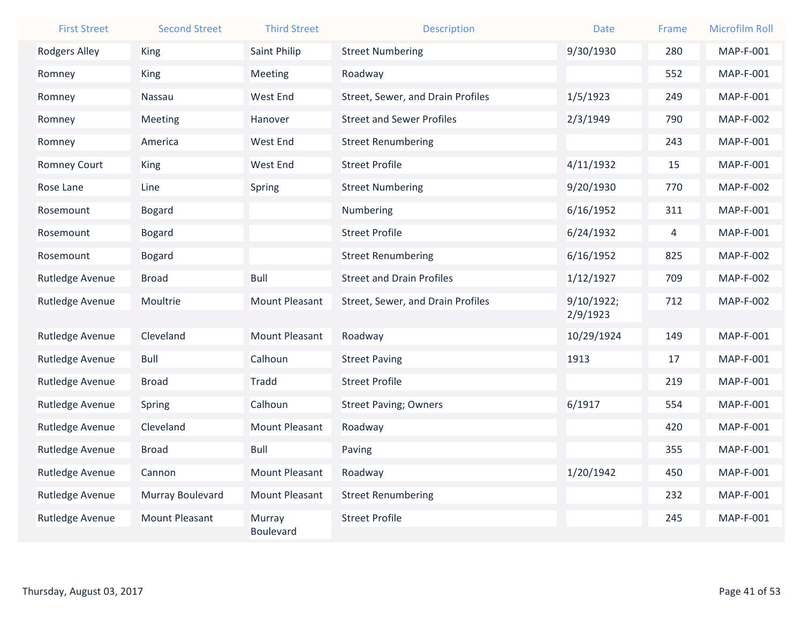| <b>First Street</b> | <b>Second Street</b>  | <b>Third Street</b>        | <b>Description</b>                | <b>Date</b>            | Frame | <b>Microfilm Roll</b> |
|---------------------|-----------------------|----------------------------|-----------------------------------|------------------------|-------|-----------------------|
| Rodgers Alley       | King                  | Saint Philip               | <b>Street Numbering</b>           | 9/30/1930              | 280   | <b>MAP-F-001</b>      |
| Romney              | King                  | Meeting                    | Roadway                           |                        | 552   | MAP-F-001             |
| Romney              | Nassau                | <b>West End</b>            | Street, Sewer, and Drain Profiles | 1/5/1923               | 249   | <b>MAP-F-001</b>      |
| Romney              | Meeting               | Hanover                    | <b>Street and Sewer Profiles</b>  | 2/3/1949               | 790   | <b>MAP-F-002</b>      |
| Romney              | America               | West End                   | <b>Street Renumbering</b>         |                        | 243   | MAP-F-001             |
| Romney Court        | King                  | <b>West End</b>            | <b>Street Profile</b>             | 4/11/1932              | 15    | MAP-F-001             |
| Rose Lane           | Line                  | Spring                     | <b>Street Numbering</b>           | 9/20/1930              | 770   | <b>MAP-F-002</b>      |
| Rosemount           | <b>Bogard</b>         |                            | Numbering                         | 6/16/1952              | 311   | MAP-F-001             |
| Rosemount           | <b>Bogard</b>         |                            | <b>Street Profile</b>             | 6/24/1932              | 4     | MAP-F-001             |
| Rosemount           | <b>Bogard</b>         |                            | <b>Street Renumbering</b>         | 6/16/1952              | 825   | <b>MAP-F-002</b>      |
| Rutledge Avenue     | <b>Broad</b>          | <b>Bull</b>                | <b>Street and Drain Profiles</b>  | 1/12/1927              | 709   | <b>MAP-F-002</b>      |
| Rutledge Avenue     | Moultrie              | <b>Mount Pleasant</b>      | Street, Sewer, and Drain Profiles | 9/10/1922;<br>2/9/1923 | 712   | <b>MAP-F-002</b>      |
| Rutledge Avenue     | Cleveland             | <b>Mount Pleasant</b>      | Roadway                           | 10/29/1924             | 149   | <b>MAP-F-001</b>      |
| Rutledge Avenue     | <b>Bull</b>           | Calhoun                    | <b>Street Paving</b>              | 1913                   | 17    | MAP-F-001             |
| Rutledge Avenue     | <b>Broad</b>          | <b>Tradd</b>               | <b>Street Profile</b>             |                        | 219   | <b>MAP-F-001</b>      |
| Rutledge Avenue     | Spring                | Calhoun                    | <b>Street Paving; Owners</b>      | 6/1917                 | 554   | MAP-F-001             |
| Rutledge Avenue     | Cleveland             | <b>Mount Pleasant</b>      | Roadway                           |                        | 420   | MAP-F-001             |
| Rutledge Avenue     | <b>Broad</b>          | Bull                       | Paving                            |                        | 355   | <b>MAP-F-001</b>      |
| Rutledge Avenue     | Cannon                | <b>Mount Pleasant</b>      | Roadway                           | 1/20/1942              | 450   | <b>MAP-F-001</b>      |
| Rutledge Avenue     | Murray Boulevard      | <b>Mount Pleasant</b>      | <b>Street Renumbering</b>         |                        | 232   | <b>MAP-F-001</b>      |
| Rutledge Avenue     | <b>Mount Pleasant</b> | Murray<br><b>Boulevard</b> | <b>Street Profile</b>             |                        | 245   | MAP-F-001             |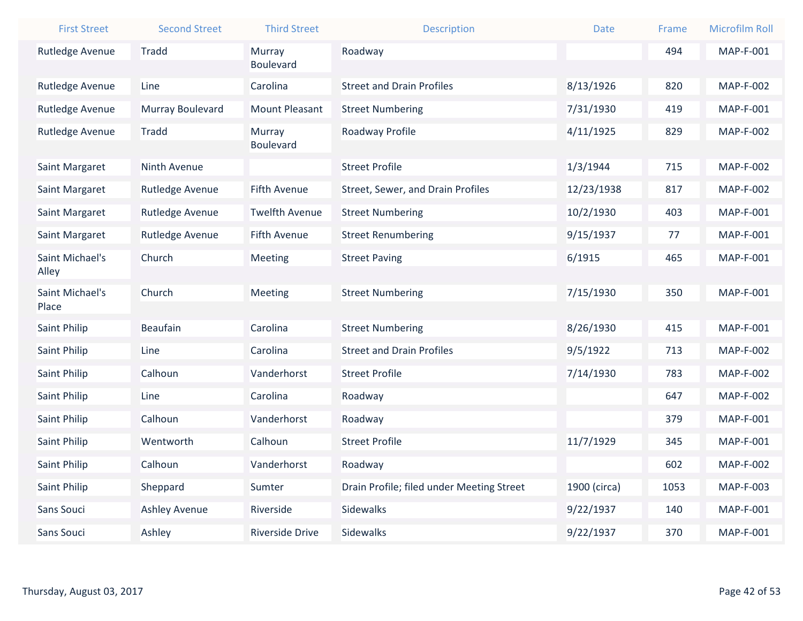| <b>First Street</b>      | <b>Second Street</b> | <b>Third Street</b>    | <b>Description</b>                        | <b>Date</b>  | Frame | Microfilm Roll   |
|--------------------------|----------------------|------------------------|-------------------------------------------|--------------|-------|------------------|
| Rutledge Avenue          | <b>Tradd</b>         | Murray                 | Roadway                                   |              | 494   | <b>MAP-F-001</b> |
|                          |                      | <b>Boulevard</b>       |                                           |              |       |                  |
| Rutledge Avenue          | Line                 | Carolina               | <b>Street and Drain Profiles</b>          | 8/13/1926    | 820   | <b>MAP-F-002</b> |
| Rutledge Avenue          | Murray Boulevard     | <b>Mount Pleasant</b>  | <b>Street Numbering</b>                   | 7/31/1930    | 419   | MAP-F-001        |
| Rutledge Avenue          | Tradd                | Murray                 | Roadway Profile                           | 4/11/1925    | 829   | <b>MAP-F-002</b> |
|                          |                      | <b>Boulevard</b>       |                                           |              |       |                  |
| Saint Margaret           | Ninth Avenue         |                        | <b>Street Profile</b>                     | 1/3/1944     | 715   | <b>MAP-F-002</b> |
| Saint Margaret           | Rutledge Avenue      | <b>Fifth Avenue</b>    | Street, Sewer, and Drain Profiles         | 12/23/1938   | 817   | <b>MAP-F-002</b> |
| Saint Margaret           | Rutledge Avenue      | <b>Twelfth Avenue</b>  | <b>Street Numbering</b>                   | 10/2/1930    | 403   | MAP-F-001        |
| Saint Margaret           | Rutledge Avenue      | <b>Fifth Avenue</b>    | <b>Street Renumbering</b>                 | 9/15/1937    | 77    | MAP-F-001        |
| Saint Michael's          | Church               | Meeting                | <b>Street Paving</b>                      | 6/1915       | 465   | MAP-F-001        |
| Alley                    |                      |                        |                                           |              |       |                  |
| Saint Michael's<br>Place | Church               | Meeting                | <b>Street Numbering</b>                   | 7/15/1930    | 350   | MAP-F-001        |
| Saint Philip             | <b>Beaufain</b>      | Carolina               | <b>Street Numbering</b>                   | 8/26/1930    | 415   | MAP-F-001        |
|                          |                      |                        |                                           |              |       |                  |
| Saint Philip             | Line                 | Carolina               | <b>Street and Drain Profiles</b>          | 9/5/1922     | 713   | <b>MAP-F-002</b> |
| Saint Philip             | Calhoun              | Vanderhorst            | <b>Street Profile</b>                     | 7/14/1930    | 783   | <b>MAP-F-002</b> |
| Saint Philip             | Line                 | Carolina               | Roadway                                   |              | 647   | <b>MAP-F-002</b> |
| Saint Philip             | Calhoun              | Vanderhorst            | Roadway                                   |              | 379   | MAP-F-001        |
| Saint Philip             | Wentworth            | Calhoun                | <b>Street Profile</b>                     | 11/7/1929    | 345   | MAP-F-001        |
| Saint Philip             | Calhoun              | Vanderhorst            | Roadway                                   |              | 602   | <b>MAP-F-002</b> |
| Saint Philip             | Sheppard             | Sumter                 | Drain Profile; filed under Meeting Street | 1900 (circa) | 1053  | MAP-F-003        |
| Sans Souci               | <b>Ashley Avenue</b> | Riverside              | Sidewalks                                 | 9/22/1937    | 140   | MAP-F-001        |
| Sans Souci               | Ashley               | <b>Riverside Drive</b> | Sidewalks                                 | 9/22/1937    | 370   | MAP-F-001        |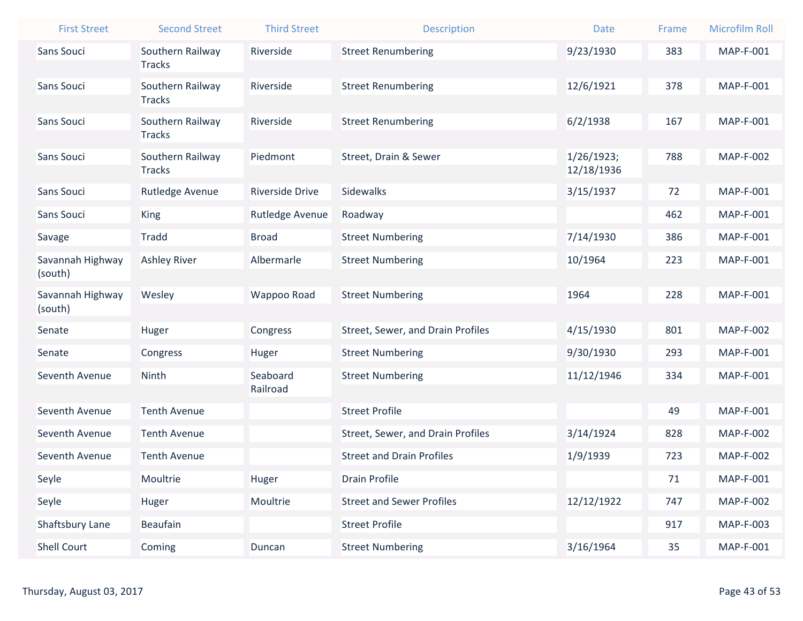| <b>First Street</b>         | <b>Second Street</b>              | <b>Third Street</b>    | <b>Description</b>                | <b>Date</b>              | Frame | <b>Microfilm Roll</b> |
|-----------------------------|-----------------------------------|------------------------|-----------------------------------|--------------------------|-------|-----------------------|
| Sans Souci                  | Southern Railway                  | Riverside              | <b>Street Renumbering</b>         | 9/23/1930                | 383   | MAP-F-001             |
|                             | <b>Tracks</b>                     |                        |                                   |                          |       |                       |
| Sans Souci                  | Southern Railway<br><b>Tracks</b> | Riverside              | <b>Street Renumbering</b>         | 12/6/1921                | 378   | <b>MAP-F-001</b>      |
| Sans Souci                  | Southern Railway                  | Riverside              | <b>Street Renumbering</b>         | 6/2/1938                 | 167   | <b>MAP-F-001</b>      |
|                             | <b>Tracks</b>                     |                        |                                   |                          |       |                       |
| Sans Souci                  | Southern Railway<br><b>Tracks</b> | Piedmont               | Street, Drain & Sewer             | 1/26/1923;<br>12/18/1936 | 788   | <b>MAP-F-002</b>      |
| Sans Souci                  | Rutledge Avenue                   | <b>Riverside Drive</b> | Sidewalks                         | 3/15/1937                | 72    | <b>MAP-F-001</b>      |
| Sans Souci                  | King                              | Rutledge Avenue        | Roadway                           |                          | 462   | <b>MAP-F-001</b>      |
| Savage                      | <b>Tradd</b>                      | <b>Broad</b>           | <b>Street Numbering</b>           | 7/14/1930                | 386   | MAP-F-001             |
| Savannah Highway            | <b>Ashley River</b>               | Albermarle             | <b>Street Numbering</b>           | 10/1964                  | 223   | <b>MAP-F-001</b>      |
| (south)                     |                                   |                        |                                   |                          |       |                       |
| Savannah Highway<br>(south) | Wesley                            | Wappoo Road            | <b>Street Numbering</b>           | 1964                     | 228   | <b>MAP-F-001</b>      |
| Senate                      | Huger                             | Congress               | Street, Sewer, and Drain Profiles | 4/15/1930                | 801   | <b>MAP-F-002</b>      |
| Senate                      | Congress                          | Huger                  | <b>Street Numbering</b>           | 9/30/1930                | 293   | <b>MAP-F-001</b>      |
| Seventh Avenue              | Ninth                             | Seaboard               | <b>Street Numbering</b>           | 11/12/1946               | 334   | <b>MAP-F-001</b>      |
|                             |                                   | Railroad               |                                   |                          |       |                       |
| Seventh Avenue              | <b>Tenth Avenue</b>               |                        | <b>Street Profile</b>             |                          | 49    | <b>MAP-F-001</b>      |
| Seventh Avenue              | <b>Tenth Avenue</b>               |                        | Street, Sewer, and Drain Profiles | 3/14/1924                | 828   | <b>MAP-F-002</b>      |
| Seventh Avenue              | <b>Tenth Avenue</b>               |                        | <b>Street and Drain Profiles</b>  | 1/9/1939                 | 723   | <b>MAP-F-002</b>      |
| Seyle                       | Moultrie                          | Huger                  | <b>Drain Profile</b>              |                          | 71    | MAP-F-001             |
| Seyle                       | Huger                             | Moultrie               | <b>Street and Sewer Profiles</b>  | 12/12/1922               | 747   | <b>MAP-F-002</b>      |
| Shaftsbury Lane             | Beaufain                          |                        | <b>Street Profile</b>             |                          | 917   | MAP-F-003             |
| Shell Court                 | Coming                            | Duncan                 | <b>Street Numbering</b>           | 3/16/1964                | 35    | <b>MAP-F-001</b>      |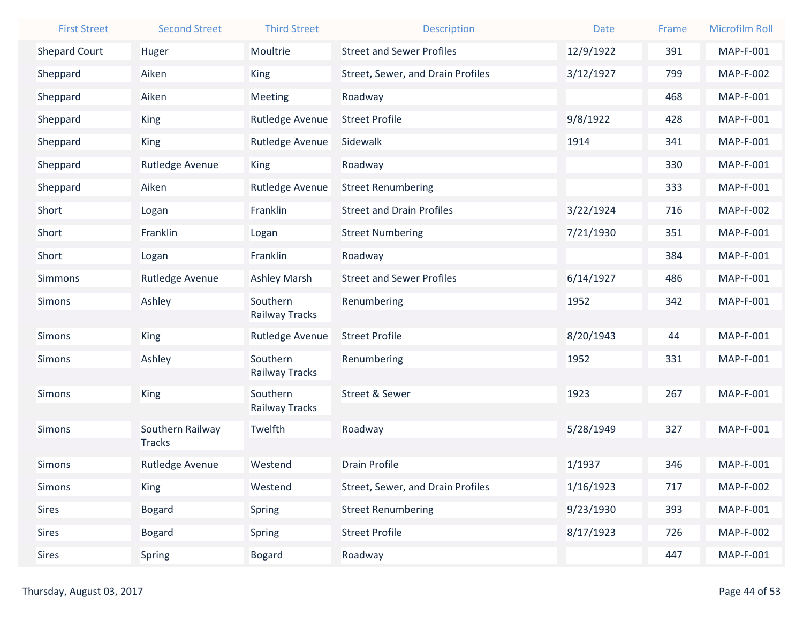| <b>First Street</b>  | <b>Second Street</b>              | <b>Third Street</b>        | <b>Description</b>                | <b>Date</b> | Frame | <b>Microfilm Roll</b> |
|----------------------|-----------------------------------|----------------------------|-----------------------------------|-------------|-------|-----------------------|
| <b>Shepard Court</b> | Huger                             | Moultrie                   | <b>Street and Sewer Profiles</b>  | 12/9/1922   | 391   | MAP-F-001             |
| Sheppard             | Aiken                             | <b>King</b>                | Street, Sewer, and Drain Profiles | 3/12/1927   | 799   | <b>MAP-F-002</b>      |
| Sheppard             | Aiken                             | Meeting                    | Roadway                           |             | 468   | MAP-F-001             |
| Sheppard             | <b>King</b>                       | Rutledge Avenue            | <b>Street Profile</b>             | 9/8/1922    | 428   | MAP-F-001             |
| Sheppard             | <b>King</b>                       | Rutledge Avenue            | Sidewalk                          | 1914        | 341   | MAP-F-001             |
| Sheppard             | Rutledge Avenue                   | <b>King</b>                | Roadway                           |             | 330   | <b>MAP-F-001</b>      |
| Sheppard             | Aiken                             | Rutledge Avenue            | <b>Street Renumbering</b>         |             | 333   | MAP-F-001             |
| Short                | Logan                             | Franklin                   | <b>Street and Drain Profiles</b>  | 3/22/1924   | 716   | <b>MAP-F-002</b>      |
| Short                | Franklin                          | Logan                      | <b>Street Numbering</b>           | 7/21/1930   | 351   | MAP-F-001             |
| Short                | Logan                             | Franklin                   | Roadway                           |             | 384   | <b>MAP-F-001</b>      |
| <b>Simmons</b>       | Rutledge Avenue                   | <b>Ashley Marsh</b>        | <b>Street and Sewer Profiles</b>  | 6/14/1927   | 486   | MAP-F-001             |
| <b>Simons</b>        | Ashley                            | Southern<br>Railway Tracks | Renumbering                       | 1952        | 342   | <b>MAP-F-001</b>      |
| <b>Simons</b>        | <b>King</b>                       | Rutledge Avenue            | <b>Street Profile</b>             | 8/20/1943   | 44    | MAP-F-001             |
| <b>Simons</b>        | Ashley                            | Southern<br>Railway Tracks | Renumbering                       | 1952        | 331   | MAP-F-001             |
| <b>Simons</b>        | <b>King</b>                       | Southern<br>Railway Tracks | <b>Street &amp; Sewer</b>         | 1923        | 267   | MAP-F-001             |
| <b>Simons</b>        | Southern Railway<br><b>Tracks</b> | Twelfth                    | Roadway                           | 5/28/1949   | 327   | MAP-F-001             |
| <b>Simons</b>        | Rutledge Avenue                   | Westend                    | <b>Drain Profile</b>              | 1/1937      | 346   | MAP-F-001             |
| <b>Simons</b>        | <b>King</b>                       | Westend                    | Street, Sewer, and Drain Profiles | 1/16/1923   | 717   | <b>MAP-F-002</b>      |
| <b>Sires</b>         | <b>Bogard</b>                     | Spring                     | <b>Street Renumbering</b>         | 9/23/1930   | 393   | MAP-F-001             |
| <b>Sires</b>         | <b>Bogard</b>                     | Spring                     | <b>Street Profile</b>             | 8/17/1923   | 726   | <b>MAP-F-002</b>      |
| <b>Sires</b>         | Spring                            | <b>Bogard</b>              | Roadway                           |             | 447   | <b>MAP-F-001</b>      |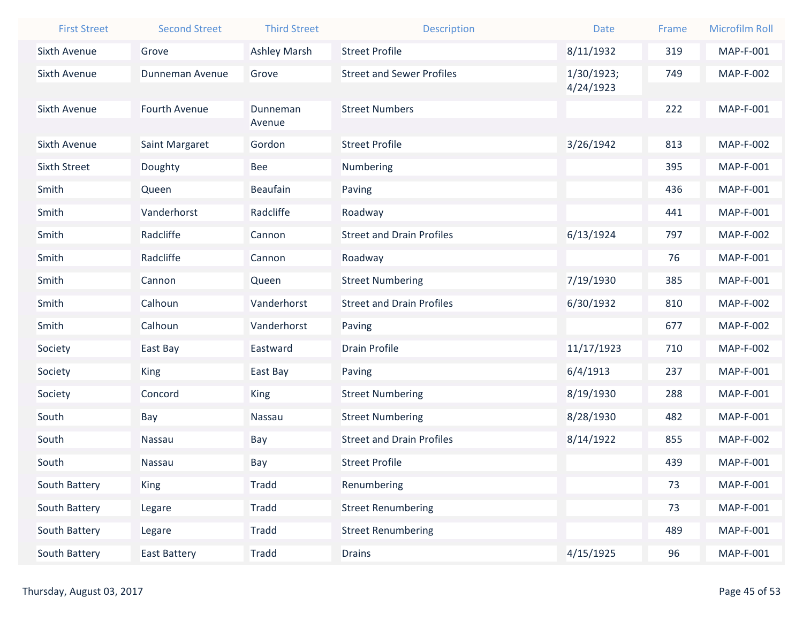| <b>First Street</b> | <b>Second Street</b> | <b>Third Street</b> | <b>Description</b>               | <b>Date</b> | Frame | <b>Microfilm Roll</b> |
|---------------------|----------------------|---------------------|----------------------------------|-------------|-------|-----------------------|
| Sixth Avenue        | Grove                | <b>Ashley Marsh</b> | <b>Street Profile</b>            | 8/11/1932   | 319   | <b>MAP-F-001</b>      |
| Sixth Avenue        | Dunneman Avenue      | Grove               | <b>Street and Sewer Profiles</b> | 1/30/1923;  | 749   | <b>MAP-F-002</b>      |
|                     |                      |                     |                                  | 4/24/1923   |       |                       |
| <b>Sixth Avenue</b> | Fourth Avenue        | Dunneman            | <b>Street Numbers</b>            |             | 222   | <b>MAP-F-001</b>      |
|                     |                      | Avenue              |                                  |             |       |                       |
| <b>Sixth Avenue</b> | Saint Margaret       | Gordon              | <b>Street Profile</b>            | 3/26/1942   | 813   | <b>MAP-F-002</b>      |
| <b>Sixth Street</b> | Doughty              | Bee                 | Numbering                        |             | 395   | <b>MAP-F-001</b>      |
| Smith               | Queen                | <b>Beaufain</b>     | Paving                           |             | 436   | <b>MAP-F-001</b>      |
| Smith               | Vanderhorst          | Radcliffe           | Roadway                          |             | 441   | MAP-F-001             |
| Smith               | Radcliffe            | Cannon              | <b>Street and Drain Profiles</b> | 6/13/1924   | 797   | <b>MAP-F-002</b>      |
| Smith               | Radcliffe            | Cannon              | Roadway                          |             | 76    | <b>MAP-F-001</b>      |
| Smith               | Cannon               | Queen               | <b>Street Numbering</b>          | 7/19/1930   | 385   | <b>MAP-F-001</b>      |
| Smith               | Calhoun              | Vanderhorst         | <b>Street and Drain Profiles</b> | 6/30/1932   | 810   | <b>MAP-F-002</b>      |
| Smith               | Calhoun              | Vanderhorst         | Paving                           |             | 677   | <b>MAP-F-002</b>      |
| Society             | East Bay             | Eastward            | <b>Drain Profile</b>             | 11/17/1923  | 710   | <b>MAP-F-002</b>      |
| Society             | <b>King</b>          | East Bay            | Paving                           | 6/4/1913    | 237   | MAP-F-001             |
| Society             | Concord              | <b>King</b>         | <b>Street Numbering</b>          | 8/19/1930   | 288   | MAP-F-001             |
| South               | Bay                  | Nassau              | <b>Street Numbering</b>          | 8/28/1930   | 482   | <b>MAP-F-001</b>      |
| South               | Nassau               | Bay                 | <b>Street and Drain Profiles</b> | 8/14/1922   | 855   | <b>MAP-F-002</b>      |
| South               | Nassau               | Bay                 | <b>Street Profile</b>            |             | 439   | MAP-F-001             |
| South Battery       | King                 | <b>Tradd</b>        | Renumbering                      |             | 73    | MAP-F-001             |
| South Battery       | Legare               | Tradd               | <b>Street Renumbering</b>        |             | 73    | MAP-F-001             |
| South Battery       | Legare               | Tradd               | <b>Street Renumbering</b>        |             | 489   | MAP-F-001             |
| South Battery       | <b>East Battery</b>  | Tradd               | <b>Drains</b>                    | 4/15/1925   | 96    | MAP-F-001             |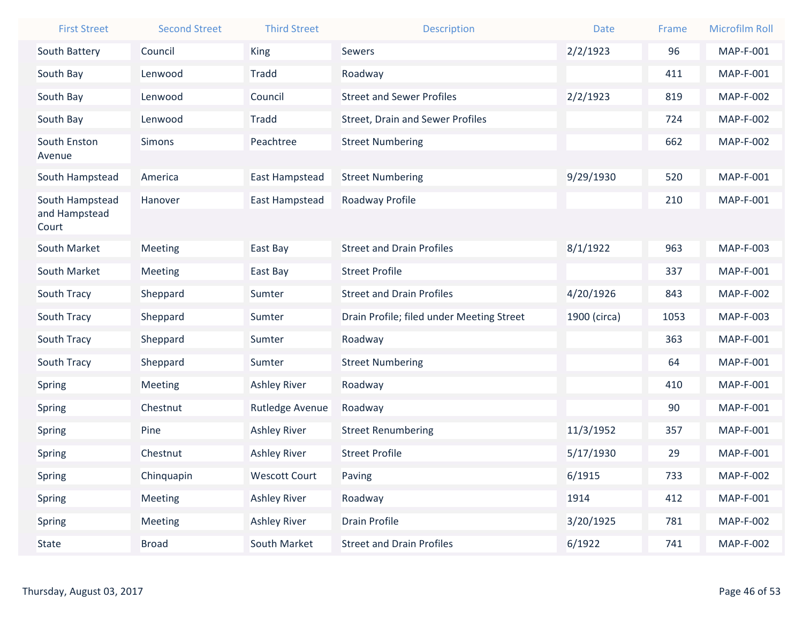| <b>First Street</b>    | <b>Second Street</b> | <b>Third Street</b>  | <b>Description</b>                        | <b>Date</b>  | Frame | <b>Microfilm Roll</b> |
|------------------------|----------------------|----------------------|-------------------------------------------|--------------|-------|-----------------------|
| South Battery          | Council              | <b>King</b>          | Sewers                                    | 2/2/1923     | 96    | <b>MAP-F-001</b>      |
| South Bay              | Lenwood              | <b>Tradd</b>         | Roadway                                   |              | 411   | MAP-F-001             |
| South Bay              | Lenwood              | Council              | <b>Street and Sewer Profiles</b>          | 2/2/1923     | 819   | <b>MAP-F-002</b>      |
| South Bay              | Lenwood              | <b>Tradd</b>         | <b>Street, Drain and Sewer Profiles</b>   |              | 724   | <b>MAP-F-002</b>      |
| South Enston<br>Avenue | Simons               | Peachtree            | <b>Street Numbering</b>                   |              | 662   | <b>MAP-F-002</b>      |
| South Hampstead        | America              | East Hampstead       | <b>Street Numbering</b>                   | 9/29/1930    | 520   | MAP-F-001             |
| South Hampstead        | Hanover              | East Hampstead       | Roadway Profile                           |              | 210   | <b>MAP-F-001</b>      |
| and Hampstead<br>Court |                      |                      |                                           |              |       |                       |
| South Market           | Meeting              | East Bay             | <b>Street and Drain Profiles</b>          | 8/1/1922     | 963   | MAP-F-003             |
| South Market           | Meeting              | East Bay             | <b>Street Profile</b>                     |              | 337   | MAP-F-001             |
| South Tracy            | Sheppard             | Sumter               | <b>Street and Drain Profiles</b>          | 4/20/1926    | 843   | <b>MAP-F-002</b>      |
| South Tracy            | Sheppard             | Sumter               | Drain Profile; filed under Meeting Street | 1900 (circa) | 1053  | MAP-F-003             |
| South Tracy            | Sheppard             | Sumter               | Roadway                                   |              | 363   | MAP-F-001             |
| South Tracy            | Sheppard             | Sumter               | <b>Street Numbering</b>                   |              | 64    | MAP-F-001             |
| <b>Spring</b>          | Meeting              | <b>Ashley River</b>  | Roadway                                   |              | 410   | MAP-F-001             |
| Spring                 | Chestnut             | Rutledge Avenue      | Roadway                                   |              | 90    | <b>MAP-F-001</b>      |
| Spring                 | Pine                 | <b>Ashley River</b>  | <b>Street Renumbering</b>                 | 11/3/1952    | 357   | MAP-F-001             |
| Spring                 | Chestnut             | <b>Ashley River</b>  | <b>Street Profile</b>                     | 5/17/1930    | 29    | MAP-F-001             |
| Spring                 | Chinquapin           | <b>Wescott Court</b> | Paving                                    | 6/1915       | 733   | <b>MAP-F-002</b>      |
| Spring                 | Meeting              | <b>Ashley River</b>  | Roadway                                   | 1914         | 412   | MAP-F-001             |
| Spring                 | Meeting              | <b>Ashley River</b>  | <b>Drain Profile</b>                      | 3/20/1925    | 781   | <b>MAP-F-002</b>      |
| State                  | <b>Broad</b>         | South Market         | <b>Street and Drain Profiles</b>          | 6/1922       | 741   | <b>MAP-F-002</b>      |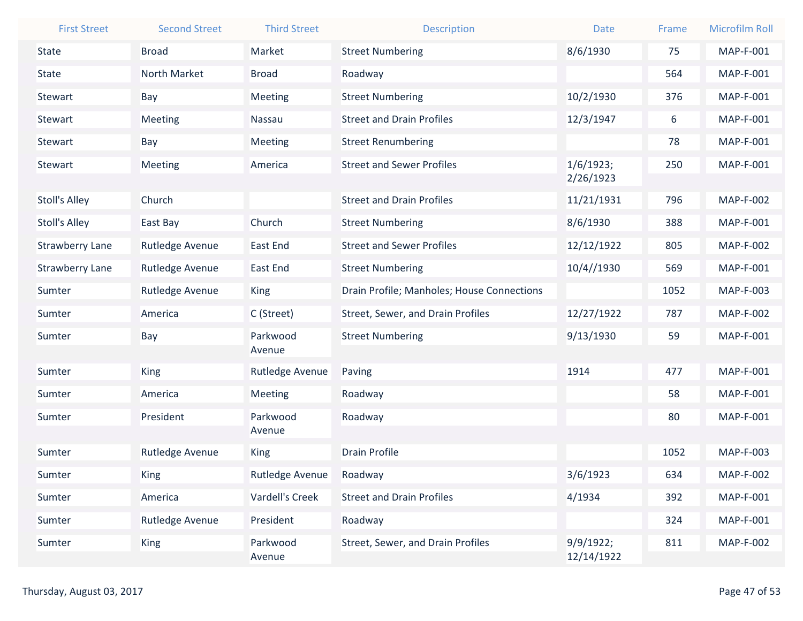| <b>First Street</b>    | <b>Second Street</b> | <b>Third Street</b> | <b>Description</b>                         | <b>Date</b>             | Frame | <b>Microfilm Roll</b> |
|------------------------|----------------------|---------------------|--------------------------------------------|-------------------------|-------|-----------------------|
| <b>State</b>           | <b>Broad</b>         | Market              | <b>Street Numbering</b>                    | 8/6/1930                | 75    | <b>MAP-F-001</b>      |
| <b>State</b>           | North Market         | <b>Broad</b>        | Roadway                                    |                         | 564   | MAP-F-001             |
| Stewart                | Bay                  | Meeting             | <b>Street Numbering</b>                    | 10/2/1930               | 376   | MAP-F-001             |
| Stewart                | Meeting              | Nassau              | <b>Street and Drain Profiles</b>           | 12/3/1947               | 6     | MAP-F-001             |
| Stewart                | Bay                  | Meeting             | <b>Street Renumbering</b>                  |                         | 78    | MAP-F-001             |
| Stewart                | Meeting              | America             | <b>Street and Sewer Profiles</b>           | 1/6/1923;               | 250   | MAP-F-001             |
|                        |                      |                     |                                            | 2/26/1923               |       |                       |
| <b>Stoll's Alley</b>   | Church               |                     | <b>Street and Drain Profiles</b>           | 11/21/1931              | 796   | <b>MAP-F-002</b>      |
| <b>Stoll's Alley</b>   | East Bay             | Church              | <b>Street Numbering</b>                    | 8/6/1930                | 388   | MAP-F-001             |
| <b>Strawberry Lane</b> | Rutledge Avenue      | <b>East End</b>     | <b>Street and Sewer Profiles</b>           | 12/12/1922              | 805   | <b>MAP-F-002</b>      |
| <b>Strawberry Lane</b> | Rutledge Avenue      | East End            | <b>Street Numbering</b>                    | 10/4//1930              | 569   | MAP-F-001             |
| Sumter                 | Rutledge Avenue      | King                | Drain Profile; Manholes; House Connections |                         | 1052  | MAP-F-003             |
| Sumter                 | America              | C (Street)          | Street, Sewer, and Drain Profiles          | 12/27/1922              | 787   | <b>MAP-F-002</b>      |
| Sumter                 | Bay                  | Parkwood            | <b>Street Numbering</b>                    | 9/13/1930               | 59    | MAP-F-001             |
|                        |                      | Avenue              |                                            |                         |       |                       |
| Sumter                 | <b>King</b>          | Rutledge Avenue     | Paving                                     | 1914                    | 477   | MAP-F-001             |
| Sumter                 | America              | Meeting             | Roadway                                    |                         | 58    | <b>MAP-F-001</b>      |
| Sumter                 | President            | Parkwood            | Roadway                                    |                         | 80    | MAP-F-001             |
|                        |                      | Avenue              |                                            |                         |       |                       |
| Sumter                 | Rutledge Avenue      | <b>King</b>         | <b>Drain Profile</b>                       |                         | 1052  | MAP-F-003             |
| Sumter                 | King                 | Rutledge Avenue     | Roadway                                    | 3/6/1923                | 634   | <b>MAP-F-002</b>      |
| Sumter                 | America              | Vardell's Creek     | <b>Street and Drain Profiles</b>           | 4/1934                  | 392   | MAP-F-001             |
| Sumter                 | Rutledge Avenue      | President           | Roadway                                    |                         | 324   | MAP-F-001             |
| Sumter                 | King                 | Parkwood<br>Avenue  | Street, Sewer, and Drain Profiles          | 9/9/1922;<br>12/14/1922 | 811   | <b>MAP-F-002</b>      |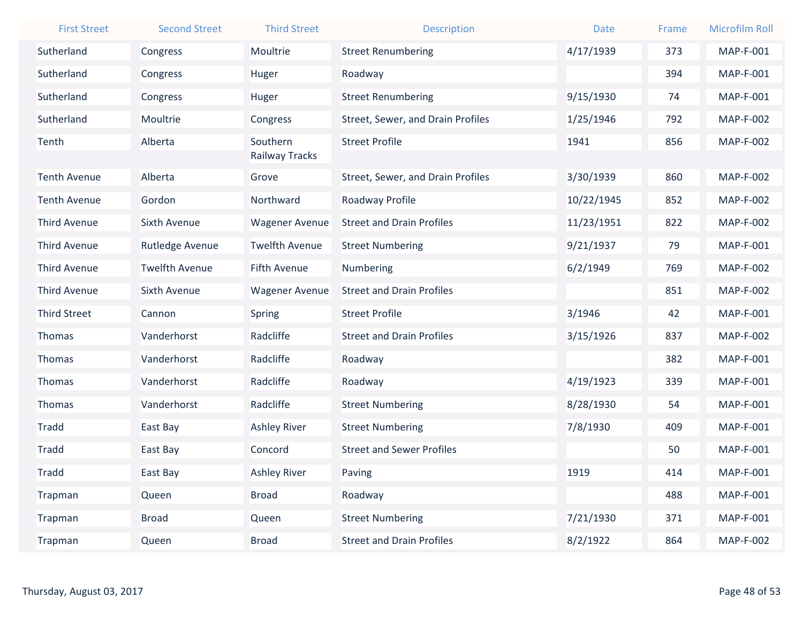| <b>First Street</b> | <b>Second Street</b>  | <b>Third Street</b>        | <b>Description</b>                | <b>Date</b> | Frame | <b>Microfilm Roll</b> |
|---------------------|-----------------------|----------------------------|-----------------------------------|-------------|-------|-----------------------|
| Sutherland          | Congress              | Moultrie                   | <b>Street Renumbering</b>         | 4/17/1939   | 373   | MAP-F-001             |
| Sutherland          | Congress              | Huger                      | Roadway                           |             | 394   | <b>MAP-F-001</b>      |
| Sutherland          | Congress              | Huger                      | <b>Street Renumbering</b>         | 9/15/1930   | 74    | <b>MAP-F-001</b>      |
| Sutherland          | Moultrie              | Congress                   | Street, Sewer, and Drain Profiles | 1/25/1946   | 792   | <b>MAP-F-002</b>      |
| Tenth               | Alberta               | Southern<br>Railway Tracks | <b>Street Profile</b>             | 1941        | 856   | <b>MAP-F-002</b>      |
| <b>Tenth Avenue</b> | Alberta               | Grove                      | Street, Sewer, and Drain Profiles | 3/30/1939   | 860   | <b>MAP-F-002</b>      |
| <b>Tenth Avenue</b> | Gordon                | Northward                  | Roadway Profile                   | 10/22/1945  | 852   | <b>MAP-F-002</b>      |
| <b>Third Avenue</b> | <b>Sixth Avenue</b>   | <b>Wagener Avenue</b>      | <b>Street and Drain Profiles</b>  | 11/23/1951  | 822   | <b>MAP-F-002</b>      |
| <b>Third Avenue</b> | Rutledge Avenue       | <b>Twelfth Avenue</b>      | <b>Street Numbering</b>           | 9/21/1937   | 79    | MAP-F-001             |
| <b>Third Avenue</b> | <b>Twelfth Avenue</b> | <b>Fifth Avenue</b>        | Numbering                         | 6/2/1949    | 769   | <b>MAP-F-002</b>      |
| <b>Third Avenue</b> | <b>Sixth Avenue</b>   | <b>Wagener Avenue</b>      | <b>Street and Drain Profiles</b>  |             | 851   | <b>MAP-F-002</b>      |
| <b>Third Street</b> | Cannon                | Spring                     | <b>Street Profile</b>             | 3/1946      | 42    | MAP-F-001             |
| <b>Thomas</b>       | Vanderhorst           | Radcliffe                  | <b>Street and Drain Profiles</b>  | 3/15/1926   | 837   | <b>MAP-F-002</b>      |
| Thomas              | Vanderhorst           | Radcliffe                  | Roadway                           |             | 382   | <b>MAP-F-001</b>      |
| <b>Thomas</b>       | Vanderhorst           | Radcliffe                  | Roadway                           | 4/19/1923   | 339   | <b>MAP-F-001</b>      |
| Thomas              | Vanderhorst           | Radcliffe                  | <b>Street Numbering</b>           | 8/28/1930   | 54    | <b>MAP-F-001</b>      |
| <b>Tradd</b>        | East Bay              | <b>Ashley River</b>        | <b>Street Numbering</b>           | 7/8/1930    | 409   | MAP-F-001             |
| <b>Tradd</b>        | East Bay              | Concord                    | <b>Street and Sewer Profiles</b>  |             | 50    | MAP-F-001             |
| <b>Tradd</b>        | East Bay              | <b>Ashley River</b>        | Paving                            | 1919        | 414   | MAP-F-001             |
| Trapman             | Queen                 | <b>Broad</b>               | Roadway                           |             | 488   | <b>MAP-F-001</b>      |
| Trapman             | <b>Broad</b>          | Queen                      | <b>Street Numbering</b>           | 7/21/1930   | 371   | MAP-F-001             |
| Trapman             | Queen                 | <b>Broad</b>               | <b>Street and Drain Profiles</b>  | 8/2/1922    | 864   | <b>MAP-F-002</b>      |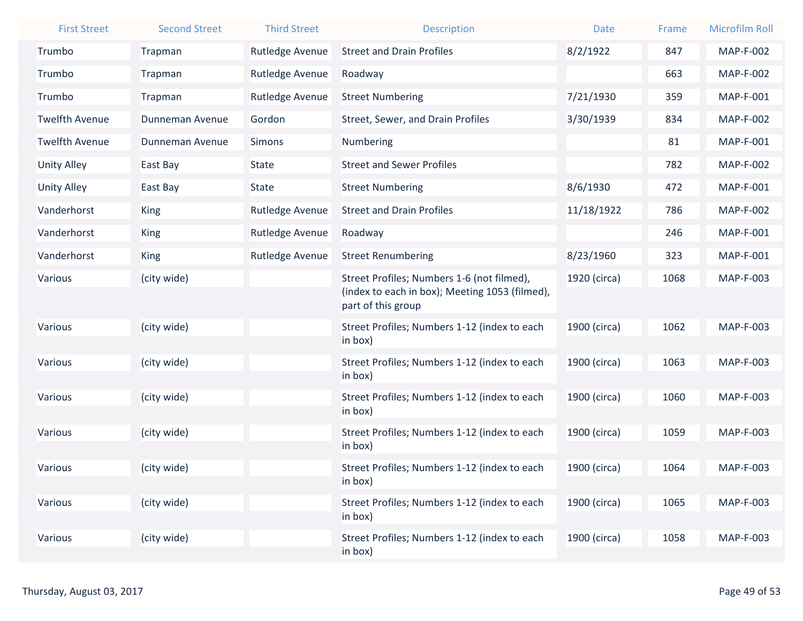| <b>First Street</b>   | <b>Second Street</b> | <b>Third Street</b> | <b>Description</b>                                                                                                 | <b>Date</b>  | Frame | <b>Microfilm Roll</b> |
|-----------------------|----------------------|---------------------|--------------------------------------------------------------------------------------------------------------------|--------------|-------|-----------------------|
| Trumbo                | Trapman              | Rutledge Avenue     | <b>Street and Drain Profiles</b>                                                                                   | 8/2/1922     | 847   | <b>MAP-F-002</b>      |
| Trumbo                | Trapman              | Rutledge Avenue     | Roadway                                                                                                            |              | 663   | <b>MAP-F-002</b>      |
| Trumbo                | Trapman              | Rutledge Avenue     | <b>Street Numbering</b>                                                                                            | 7/21/1930    | 359   | MAP-F-001             |
| <b>Twelfth Avenue</b> | Dunneman Avenue      | Gordon              | Street, Sewer, and Drain Profiles                                                                                  | 3/30/1939    | 834   | <b>MAP-F-002</b>      |
| <b>Twelfth Avenue</b> | Dunneman Avenue      | <b>Simons</b>       | Numbering                                                                                                          |              | 81    | MAP-F-001             |
| <b>Unity Alley</b>    | East Bay             | <b>State</b>        | <b>Street and Sewer Profiles</b>                                                                                   |              | 782   | <b>MAP-F-002</b>      |
| <b>Unity Alley</b>    | East Bay             | <b>State</b>        | <b>Street Numbering</b>                                                                                            | 8/6/1930     | 472   | MAP-F-001             |
| Vanderhorst           | King                 | Rutledge Avenue     | <b>Street and Drain Profiles</b>                                                                                   | 11/18/1922   | 786   | <b>MAP-F-002</b>      |
| Vanderhorst           | King                 | Rutledge Avenue     | Roadway                                                                                                            |              | 246   | MAP-F-001             |
| Vanderhorst           | King                 | Rutledge Avenue     | <b>Street Renumbering</b>                                                                                          | 8/23/1960    | 323   | MAP-F-001             |
| Various               | (city wide)          |                     | Street Profiles; Numbers 1-6 (not filmed),<br>(index to each in box); Meeting 1053 (filmed),<br>part of this group | 1920 (circa) | 1068  | MAP-F-003             |
| Various               | (city wide)          |                     | Street Profiles; Numbers 1-12 (index to each<br>in box)                                                            | 1900 (circa) | 1062  | MAP-F-003             |
| Various               | (city wide)          |                     | Street Profiles; Numbers 1-12 (index to each<br>in box)                                                            | 1900 (circa) | 1063  | MAP-F-003             |
| Various               | (city wide)          |                     | Street Profiles; Numbers 1-12 (index to each<br>in box)                                                            | 1900 (circa) | 1060  | MAP-F-003             |
| Various               | (city wide)          |                     | Street Profiles; Numbers 1-12 (index to each<br>in box)                                                            | 1900 (circa) | 1059  | MAP-F-003             |
| Various               | (city wide)          |                     | Street Profiles; Numbers 1-12 (index to each<br>in box)                                                            | 1900 (circa) | 1064  | <b>MAP-F-003</b>      |
| Various               | (city wide)          |                     | Street Profiles; Numbers 1-12 (index to each<br>in box)                                                            | 1900 (circa) | 1065  | MAP-F-003             |
| Various               | (city wide)          |                     | Street Profiles; Numbers 1-12 (index to each<br>in box)                                                            | 1900 (circa) | 1058  | <b>MAP-F-003</b>      |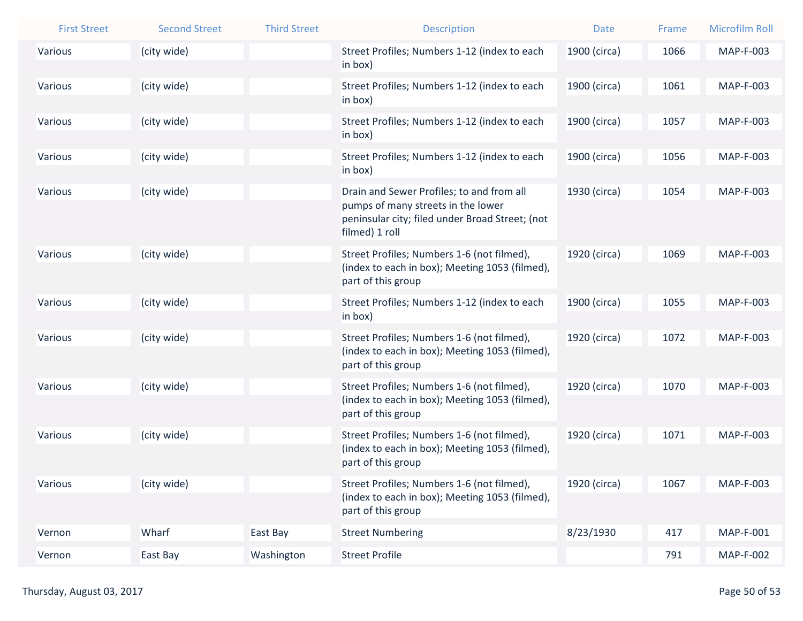| <b>First Street</b> | <b>Second Street</b> | <b>Third Street</b> | <b>Description</b>                                                                                                                                   | <b>Date</b>  | Frame | <b>Microfilm Roll</b> |
|---------------------|----------------------|---------------------|------------------------------------------------------------------------------------------------------------------------------------------------------|--------------|-------|-----------------------|
| Various             | (city wide)          |                     | Street Profiles; Numbers 1-12 (index to each<br>in box)                                                                                              | 1900 (circa) | 1066  | <b>MAP-F-003</b>      |
| Various             | (city wide)          |                     | Street Profiles; Numbers 1-12 (index to each<br>in box)                                                                                              | 1900 (circa) | 1061  | <b>MAP-F-003</b>      |
| Various             | (city wide)          |                     | Street Profiles; Numbers 1-12 (index to each<br>in box)                                                                                              | 1900 (circa) | 1057  | MAP-F-003             |
| Various             | (city wide)          |                     | Street Profiles; Numbers 1-12 (index to each<br>in box)                                                                                              | 1900 (circa) | 1056  | MAP-F-003             |
| Various             | (city wide)          |                     | Drain and Sewer Profiles; to and from all<br>pumps of many streets in the lower<br>peninsular city; filed under Broad Street; (not<br>filmed) 1 roll | 1930 (circa) | 1054  | MAP-F-003             |
| Various             | (city wide)          |                     | Street Profiles; Numbers 1-6 (not filmed),<br>(index to each in box); Meeting 1053 (filmed),<br>part of this group                                   | 1920 (circa) | 1069  | MAP-F-003             |
| Various             | (city wide)          |                     | Street Profiles; Numbers 1-12 (index to each<br>in box)                                                                                              | 1900 (circa) | 1055  | MAP-F-003             |
| Various             | (city wide)          |                     | Street Profiles; Numbers 1-6 (not filmed),<br>(index to each in box); Meeting 1053 (filmed),<br>part of this group                                   | 1920 (circa) | 1072  | MAP-F-003             |
| Various             | (city wide)          |                     | Street Profiles; Numbers 1-6 (not filmed),<br>(index to each in box); Meeting 1053 (filmed),<br>part of this group                                   | 1920 (circa) | 1070  | <b>MAP-F-003</b>      |
| Various             | (city wide)          |                     | Street Profiles; Numbers 1-6 (not filmed),<br>(index to each in box); Meeting 1053 (filmed),<br>part of this group                                   | 1920 (circa) | 1071  | MAP-F-003             |
| Various             | (city wide)          |                     | Street Profiles; Numbers 1-6 (not filmed),<br>(index to each in box); Meeting 1053 (filmed),<br>part of this group                                   | 1920 (circa) | 1067  | MAP-F-003             |
| Vernon              | Wharf                | East Bay            | <b>Street Numbering</b>                                                                                                                              | 8/23/1930    | 417   | MAP-F-001             |
| Vernon              | East Bay             | Washington          | <b>Street Profile</b>                                                                                                                                |              | 791   | <b>MAP-F-002</b>      |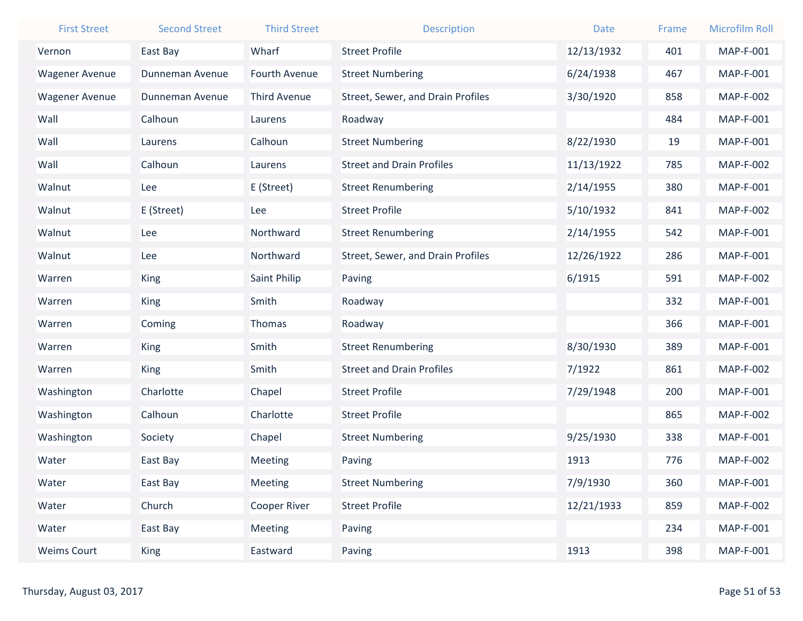| <b>First Street</b>   | <b>Second Street</b> | <b>Third Street</b> | <b>Description</b>                | <b>Date</b> | Frame | <b>Microfilm Roll</b> |
|-----------------------|----------------------|---------------------|-----------------------------------|-------------|-------|-----------------------|
| Vernon                | East Bay             | Wharf               | <b>Street Profile</b>             | 12/13/1932  | 401   | <b>MAP-F-001</b>      |
| <b>Wagener Avenue</b> | Dunneman Avenue      | Fourth Avenue       | <b>Street Numbering</b>           | 6/24/1938   | 467   | <b>MAP-F-001</b>      |
| <b>Wagener Avenue</b> | Dunneman Avenue      | <b>Third Avenue</b> | Street, Sewer, and Drain Profiles | 3/30/1920   | 858   | <b>MAP-F-002</b>      |
| Wall                  | Calhoun              | Laurens             | Roadway                           |             | 484   | MAP-F-001             |
| Wall                  | Laurens              | Calhoun             | <b>Street Numbering</b>           | 8/22/1930   | 19    | MAP-F-001             |
| Wall                  | Calhoun              | Laurens             | <b>Street and Drain Profiles</b>  | 11/13/1922  | 785   | <b>MAP-F-002</b>      |
| Walnut                | Lee                  | E (Street)          | <b>Street Renumbering</b>         | 2/14/1955   | 380   | MAP-F-001             |
| Walnut                | E (Street)           | Lee                 | <b>Street Profile</b>             | 5/10/1932   | 841   | <b>MAP-F-002</b>      |
| Walnut                | Lee                  | Northward           | <b>Street Renumbering</b>         | 2/14/1955   | 542   | <b>MAP-F-001</b>      |
| Walnut                | Lee                  | Northward           | Street, Sewer, and Drain Profiles | 12/26/1922  | 286   | MAP-F-001             |
| Warren                | King                 | Saint Philip        | Paving                            | 6/1915      | 591   | <b>MAP-F-002</b>      |
| Warren                | King                 | Smith               | Roadway                           |             | 332   | MAP-F-001             |
| Warren                | Coming               | Thomas              | Roadway                           |             | 366   | <b>MAP-F-001</b>      |
| Warren                | King                 | Smith               | <b>Street Renumbering</b>         | 8/30/1930   | 389   | MAP-F-001             |
| Warren                | King                 | Smith               | <b>Street and Drain Profiles</b>  | 7/1922      | 861   | <b>MAP-F-002</b>      |
| Washington            | Charlotte            | Chapel              | <b>Street Profile</b>             | 7/29/1948   | 200   | <b>MAP-F-001</b>      |
| Washington            | Calhoun              | Charlotte           | <b>Street Profile</b>             |             | 865   | <b>MAP-F-002</b>      |
| Washington            | Society              | Chapel              | <b>Street Numbering</b>           | 9/25/1930   | 338   | <b>MAP-F-001</b>      |
| Water                 | East Bay             | Meeting             | Paving                            | 1913        | 776   | <b>MAP-F-002</b>      |
| Water                 | East Bay             | <b>Meeting</b>      | <b>Street Numbering</b>           | 7/9/1930    | 360   | MAP-F-001             |
| Water                 | Church               | Cooper River        | <b>Street Profile</b>             | 12/21/1933  | 859   | <b>MAP-F-002</b>      |
| Water                 | East Bay             | Meeting             | Paving                            |             | 234   | MAP-F-001             |
| <b>Weims Court</b>    | <b>King</b>          | Eastward            | Paving                            | 1913        | 398   | MAP-F-001             |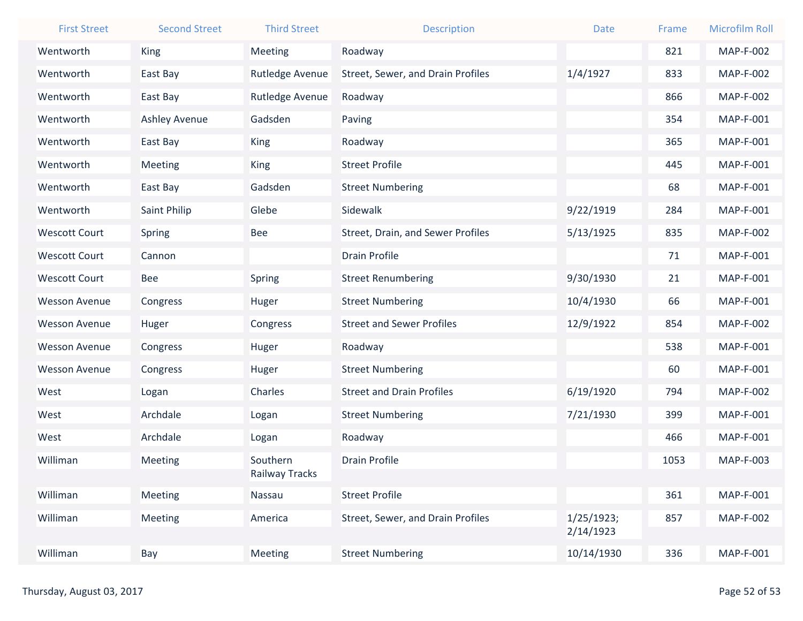| <b>First Street</b>  | <b>Second Street</b> | <b>Third Street</b> | <b>Description</b>                | <b>Date</b>             | Frame | <b>Microfilm Roll</b> |
|----------------------|----------------------|---------------------|-----------------------------------|-------------------------|-------|-----------------------|
| Wentworth            | King                 | <b>Meeting</b>      | Roadway                           |                         | 821   | <b>MAP-F-002</b>      |
| Wentworth            | East Bay             | Rutledge Avenue     | Street, Sewer, and Drain Profiles | 1/4/1927                | 833   | <b>MAP-F-002</b>      |
| Wentworth            | East Bay             | Rutledge Avenue     | Roadway                           |                         | 866   | <b>MAP-F-002</b>      |
| Wentworth            | <b>Ashley Avenue</b> | Gadsden             | Paving                            |                         | 354   | <b>MAP-F-001</b>      |
| Wentworth            | East Bay             | <b>King</b>         | Roadway                           |                         | 365   | <b>MAP-F-001</b>      |
| Wentworth            | Meeting              | <b>King</b>         | <b>Street Profile</b>             |                         | 445   | <b>MAP-F-001</b>      |
| Wentworth            | East Bay             | Gadsden             | <b>Street Numbering</b>           |                         | 68    | MAP-F-001             |
| Wentworth            | Saint Philip         | Glebe               | Sidewalk                          | 9/22/1919               | 284   | MAP-F-001             |
| <b>Wescott Court</b> | Spring               | <b>Bee</b>          | Street, Drain, and Sewer Profiles | 5/13/1925               | 835   | <b>MAP-F-002</b>      |
| <b>Wescott Court</b> | Cannon               |                     | <b>Drain Profile</b>              |                         | 71    | MAP-F-001             |
| <b>Wescott Court</b> | Bee                  | <b>Spring</b>       | <b>Street Renumbering</b>         | 9/30/1930               | 21    | MAP-F-001             |
| <b>Wesson Avenue</b> | Congress             | Huger               | <b>Street Numbering</b>           | 10/4/1930               | 66    | MAP-F-001             |
| <b>Wesson Avenue</b> | Huger                | Congress            | <b>Street and Sewer Profiles</b>  | 12/9/1922               | 854   | <b>MAP-F-002</b>      |
| <b>Wesson Avenue</b> | Congress             | Huger               | Roadway                           |                         | 538   | MAP-F-001             |
| <b>Wesson Avenue</b> | Congress             | Huger               | <b>Street Numbering</b>           |                         | 60    | MAP-F-001             |
| West                 | Logan                | Charles             | <b>Street and Drain Profiles</b>  | 6/19/1920               | 794   | <b>MAP-F-002</b>      |
| West                 | Archdale             | Logan               | <b>Street Numbering</b>           | 7/21/1930               | 399   | <b>MAP-F-001</b>      |
| West                 | Archdale             | Logan               | Roadway                           |                         | 466   | MAP-F-001             |
| Williman             | Meeting              | Southern            | <b>Drain Profile</b>              |                         | 1053  | MAP-F-003             |
|                      |                      | Railway Tracks      |                                   |                         |       |                       |
| Williman             | <b>Meeting</b>       | Nassau              | <b>Street Profile</b>             |                         | 361   | MAP-F-001             |
| Williman             | Meeting              | America             | Street, Sewer, and Drain Profiles | 1/25/1923;<br>2/14/1923 | 857   | <b>MAP-F-002</b>      |
| Williman             | Bay                  | <b>Meeting</b>      | <b>Street Numbering</b>           | 10/14/1930              | 336   | MAP-F-001             |
|                      |                      |                     |                                   |                         |       |                       |